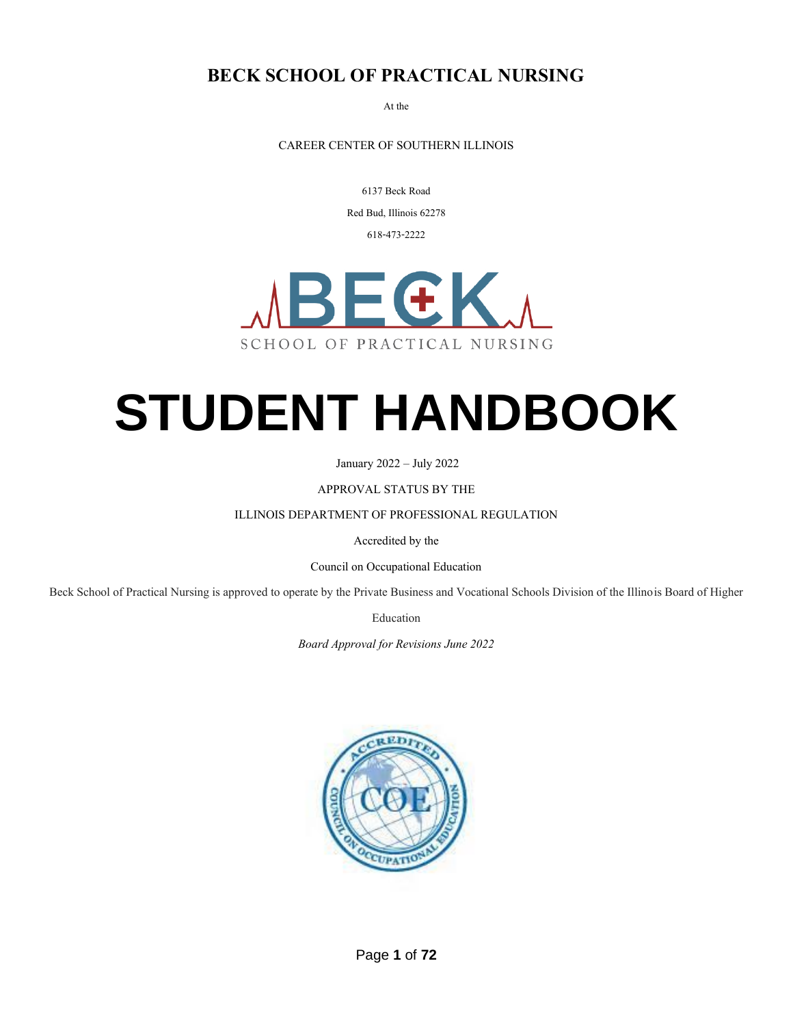#### **BECK SCHOOL OF PRACTICAL NURSING**

At the

CAREER CENTER OF SOUTHERN ILLINOIS

6137 Beck Road

Red Bud, Illinois 62278

618-473-2222



# **STUDENT HANDBOOK**

January 2022 – July 2022

APPROVAL STATUS BY THE

ILLINOIS DEPARTMENT OF PROFESSIONAL REGULATION

Accredited by the

Council on Occupational Education

Beck School of Practical Nursing is approved to operate by the Private Business and Vocational Schools Division of the Illinois Board of Higher

Education

*Board Approval for Revisions June 2022*

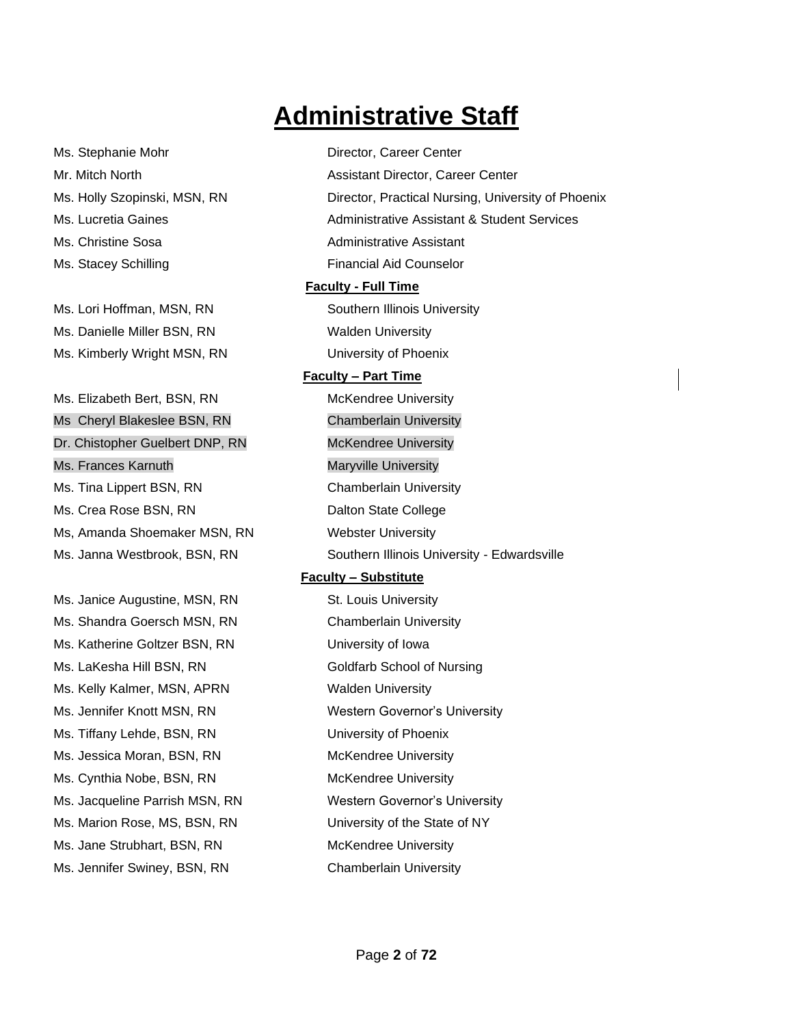## **Administrative Staff**

| Ms. Stephanie Mohr              | Director, Career Center                                |  |  |
|---------------------------------|--------------------------------------------------------|--|--|
| Mr. Mitch North                 | Assistant Director, Career Center                      |  |  |
| Ms. Holly Szopinski, MSN, RN    | Director, Practical Nursing, University of Phoenix     |  |  |
| Ms. Lucretia Gaines             | <b>Administrative Assistant &amp; Student Services</b> |  |  |
| Ms. Christine Sosa              | <b>Administrative Assistant</b>                        |  |  |
| Ms. Stacey Schilling            | <b>Financial Aid Counselor</b>                         |  |  |
|                                 | <b>Faculty - Full Time</b>                             |  |  |
| Ms. Lori Hoffman, MSN, RN       | Southern Illinois University                           |  |  |
| Ms. Danielle Miller BSN, RN     | <b>Walden University</b>                               |  |  |
| Ms. Kimberly Wright MSN, RN     | University of Phoenix                                  |  |  |
|                                 | <b>Faculty - Part Time</b>                             |  |  |
| Ms. Elizabeth Bert, BSN, RN     | McKendree University                                   |  |  |
| Ms Cheryl Blakeslee BSN, RN     | <b>Chamberlain University</b>                          |  |  |
| Dr. Chistopher Guelbert DNP, RN | <b>McKendree University</b>                            |  |  |
| Ms. Frances Karnuth             | <b>Maryville University</b>                            |  |  |
| Ms. Tina Lippert BSN, RN        | <b>Chamberlain University</b>                          |  |  |
| Ms. Crea Rose BSN, RN           | Dalton State College                                   |  |  |
| Ms, Amanda Shoemaker MSN, RN    | <b>Webster University</b>                              |  |  |
| Ms. Janna Westbrook, BSN, RN    | Southern Illinois University - Edwardsville            |  |  |
|                                 | <b>Faculty - Substitute</b>                            |  |  |
| Ms. Janice Augustine, MSN, RN   | St. Louis University                                   |  |  |
| Ms. Shandra Goersch MSN, RN     | <b>Chamberlain University</b>                          |  |  |
| Ms. Katherine Goltzer BSN, RN   | University of Iowa                                     |  |  |
| Ms. LaKesha Hill BSN, RN        | Goldfarb School of Nursing                             |  |  |
| Ms. Kelly Kalmer, MSN, APRN     | <b>Walden University</b>                               |  |  |
| Ms. Jennifer Knott MSN, RN      | <b>Western Governor's University</b>                   |  |  |
| Ms. Tiffany Lehde, BSN, RN      | University of Phoenix                                  |  |  |
| Ms. Jessica Moran, BSN, RN      | <b>McKendree University</b>                            |  |  |
| Ms. Cynthia Nobe, BSN, RN       | McKendree University                                   |  |  |
| Ms. Jacqueline Parrish MSN, RN  | Western Governor's University                          |  |  |
| Ms. Marion Rose, MS, BSN, RN    | University of the State of NY                          |  |  |
| Ms. Jane Strubhart, BSN, RN     | McKendree University                                   |  |  |
| Ms. Jennifer Swiney, BSN, RN    | <b>Chamberlain University</b>                          |  |  |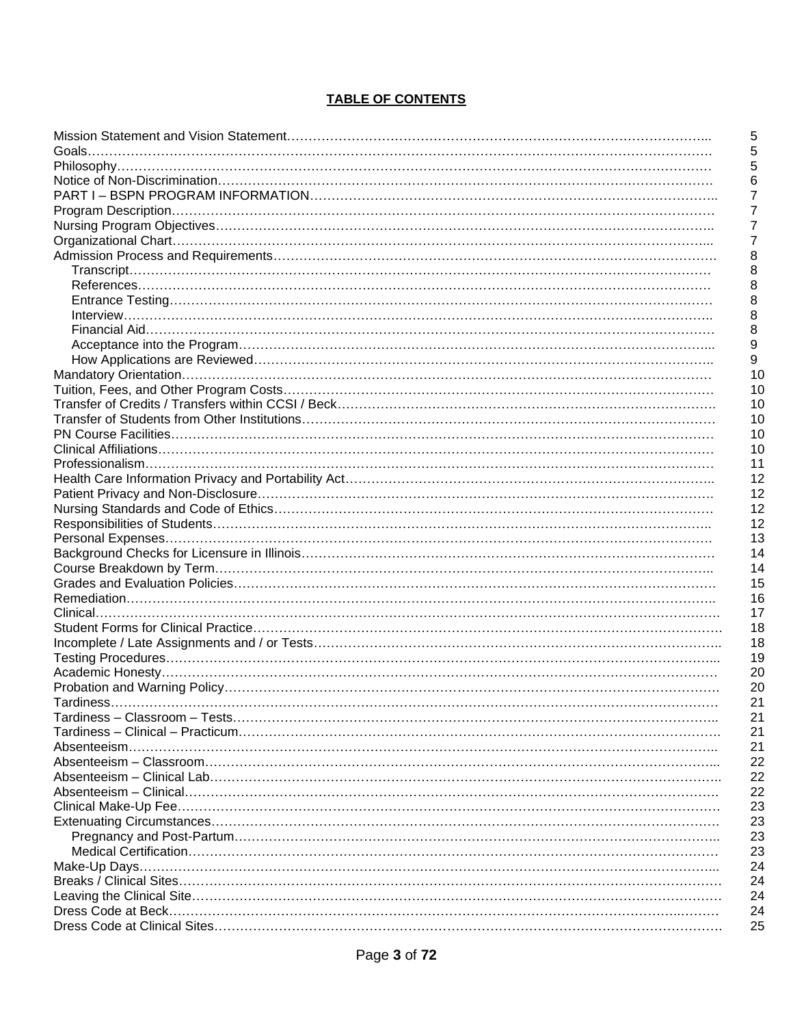#### **TABLE OF CONTENTS**

| 5<br>$\sqrt{5}$  |
|------------------|
| 5                |
| 6                |
| $\overline{7}$   |
| $\overline{7}$   |
| $\overline{7}$   |
| $\overline{7}$   |
| 8                |
| 8                |
|                  |
| 8                |
| 8                |
| 8                |
| 8                |
| $\boldsymbol{9}$ |
| 9                |
| 10               |
| 10               |
| 10               |
| 10               |
| 10               |
| 10               |
| 11               |
| 12               |
| 12               |
| 12               |
| 12               |
| 13               |
| 14               |
| 14               |
| 15               |
| 16               |
| 17               |
| 18               |
| 18               |
| 19               |
| 20               |
| 20               |
| 21               |
| 21               |
| 21               |
| 21               |
| 22               |
| 22               |
| 22               |
| 23               |
| 23               |
| 23               |
|                  |
| 23               |
| 24               |
| 24               |
| 24               |
| 24               |
| 25               |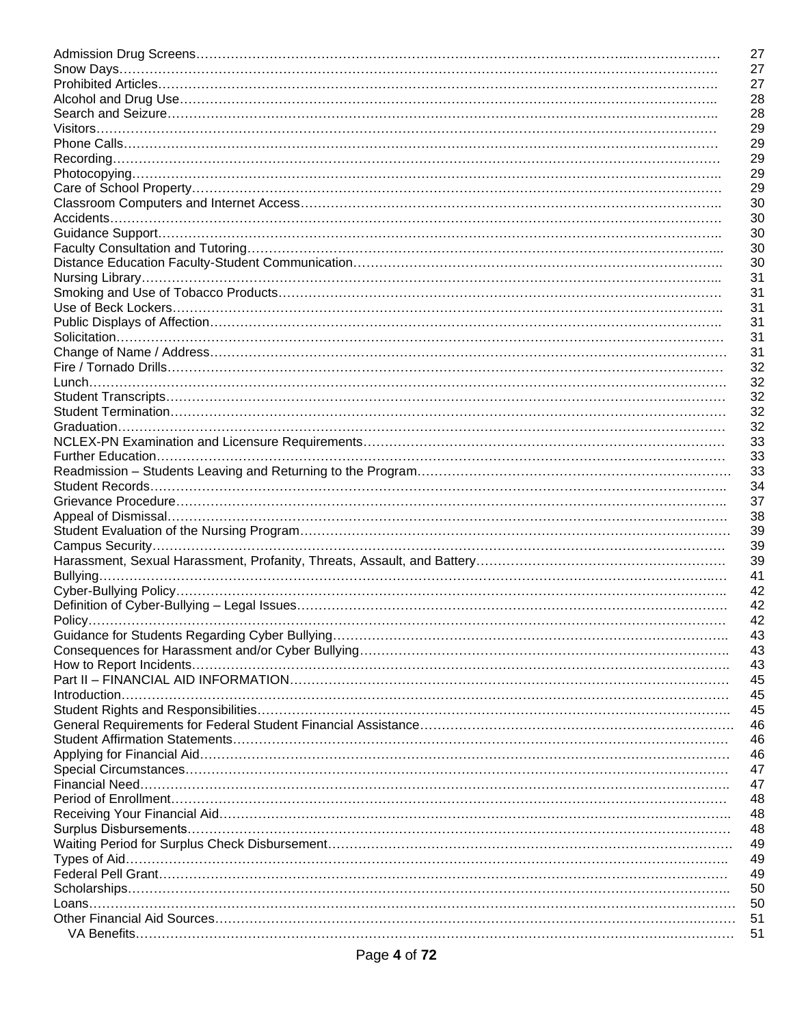| 27 |
|----|
| 27 |
| 27 |
| 28 |
| 28 |
| 29 |
| 29 |
| 29 |
| 29 |
| 29 |
| 30 |
| 30 |
| 30 |
|    |
| 30 |
| 30 |
| 31 |
| 31 |
| 31 |
| 31 |
| 31 |
| 31 |
| 32 |
| 32 |
| 32 |
| 32 |
| 32 |
|    |
| 33 |
| 33 |
| 33 |
| 34 |
| 37 |
| 38 |
| 39 |
| 39 |
| 39 |
| 41 |
| 42 |
| 42 |
| 42 |
| 43 |
| 43 |
|    |
| 43 |
| 45 |
| 45 |
| 45 |
| 46 |
| 46 |
| 46 |
| 47 |
| 47 |
| 48 |
| 48 |
| 48 |
| 49 |
| 49 |
|    |
| 49 |
| 50 |
| 50 |
| 51 |
| 51 |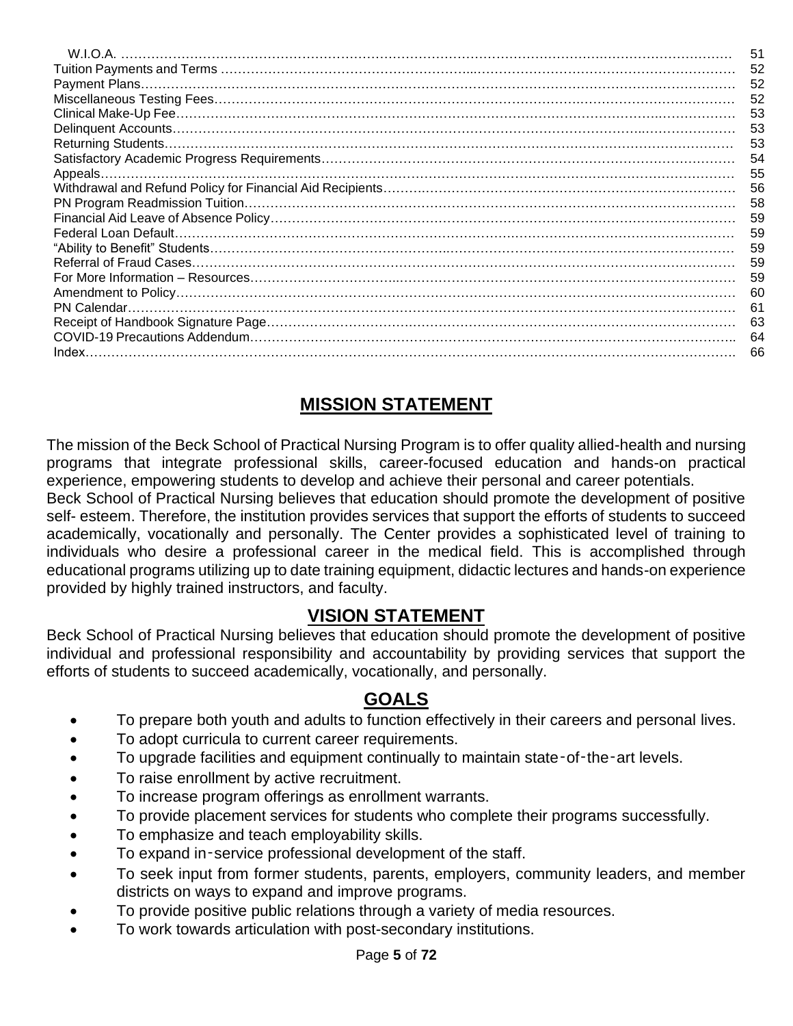| 51 |
|----|
| 52 |
| 52 |
| 52 |
| 53 |
| 53 |
| 53 |
| 54 |
| 55 |
| 56 |
| 58 |
| 59 |
| 59 |
| 59 |
| 59 |
| 59 |
| 60 |
| 61 |
| 63 |
| 64 |
| 66 |

## **MISSION STATEMENT**

The mission of the Beck School of Practical Nursing Program is to offer quality allied-health and nursing programs that integrate professional skills, career-focused education and hands-on practical experience, empowering students to develop and achieve their personal and career potentials.

Beck School of Practical Nursing believes that education should promote the development of positive self- esteem. Therefore, the institution provides services that support the efforts of students to succeed academically, vocationally and personally. The Center provides a sophisticated level of training to individuals who desire a professional career in the medical field. This is accomplished through educational programs utilizing up to date training equipment, didactic lectures and hands-on experience provided by highly trained instructors, and faculty.

#### **VISION STATEMENT**

Beck School of Practical Nursing believes that education should promote the development of positive individual and professional responsibility and accountability by providing services that support the efforts of students to succeed academically, vocationally, and personally.

#### **GOALS**

- To prepare both youth and adults to function effectively in their careers and personal lives.
- To adopt curricula to current career requirements.
- To upgrade facilities and equipment continually to maintain state-of-the-art levels.
- To raise enrollment by active recruitment.
- To increase program offerings as enrollment warrants.
- To provide placement services for students who complete their programs successfully.
- To emphasize and teach employability skills.
- To expand in-service professional development of the staff.
- To seek input from former students, parents, employers, community leaders, and member districts on ways to expand and improve programs.
- To provide positive public relations through a variety of media resources.
- To work towards articulation with post-secondary institutions.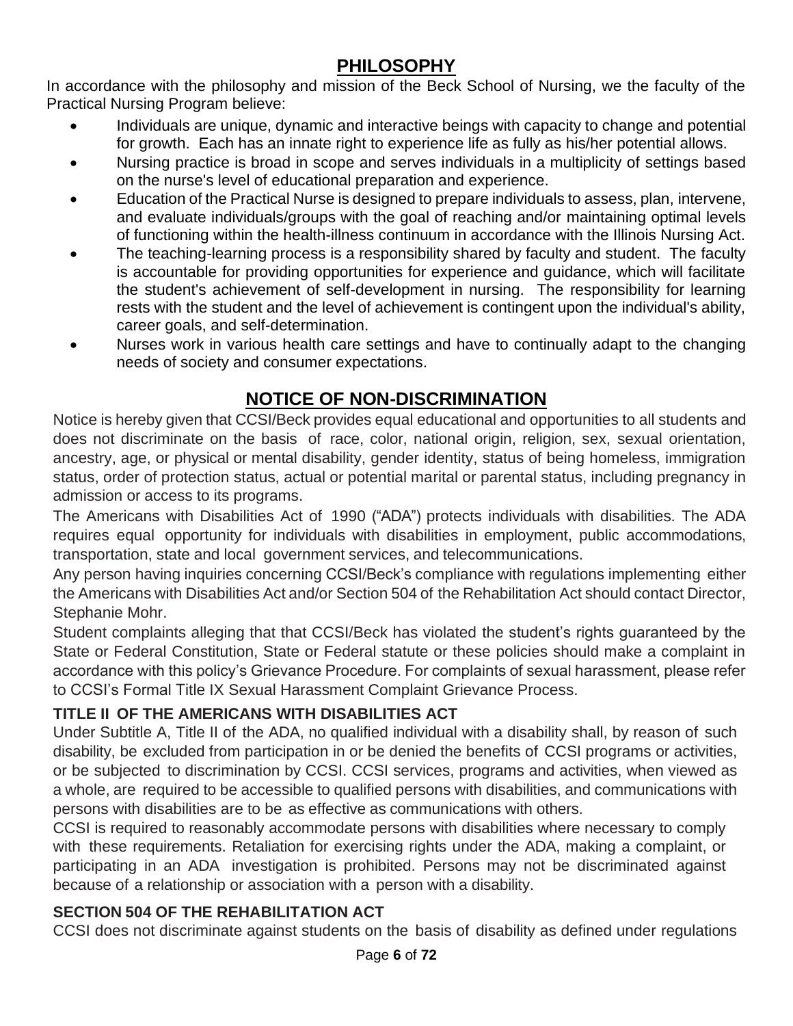## **PHILOSOPHY**

In accordance with the philosophy and mission of the Beck School of Nursing, we the faculty of the Practical Nursing Program believe:

- Individuals are unique, dynamic and interactive beings with capacity to change and potential for growth. Each has an innate right to experience life as fully as his/her potential allows.
- Nursing practice is broad in scope and serves individuals in a multiplicity of settings based on the nurse's level of educational preparation and experience.
- Education of the Practical Nurse is designed to prepare individuals to assess, plan, intervene, and evaluate individuals/groups with the goal of reaching and/or maintaining optimal levels of functioning within the health-illness continuum in accordance with the Illinois Nursing Act.
- The teaching-learning process is a responsibility shared by faculty and student. The faculty is accountable for providing opportunities for experience and guidance, which will facilitate the student's achievement of self-development in nursing. The responsibility for learning rests with the student and the level of achievement is contingent upon the individual's ability, career goals, and self-determination.
- Nurses work in various health care settings and have to continually adapt to the changing needs of society and consumer expectations.

#### **NOTICE OF NON-DISCRIMINATION**

Notice is hereby given that CCSI/Beck provides equal educational and opportunities to all students and does not discriminate on the basis of race, color, national origin, religion, sex, sexual orientation, ancestry, age, or physical or mental disability, gender identity, status of being homeless, immigration status, order of protection status, actual or potential marital or parental status, including pregnancy in admission or access to its programs.

The Americans with Disabilities Act of 1990 ("ADA") protects individuals with disabilities. The ADA requires equal opportunity for individuals with disabilities in employment, public accommodations, transportation, state and local government services, and telecommunications.

Any person having inquiries concerning CCSI/Beck's compliance with regulations implementing either the Americans with Disabilities Act and/or Section 504 of the Rehabilitation Act should contact Director, Stephanie Mohr.

Student complaints alleging that that CCSI/Beck has violated the student's rights guaranteed by the State or Federal Constitution, State or Federal statute or these policies should make a complaint in accordance with this policy's Grievance Procedure. For complaints of sexual harassment, please refer to CCSI's Formal Title IX Sexual Harassment Complaint Grievance Process.

#### **TITLE II OF THE AMERICANS WITH DISABILITIES ACT**

Under Subtitle A, Title II of the ADA, no qualified individual with a disability shall, by reason of such disability, be excluded from participation in or be denied the benefits of CCSI programs or activities, or be subjected to discrimination by CCSI. CCSI services, programs and activities, when viewed as a whole, are required to be accessible to qualified persons with disabilities, and communications with persons with disabilities are to be as effective as communications with others.

CCSI is required to reasonably accommodate persons with disabilities where necessary to comply with these requirements. Retaliation for exercising rights under the ADA, making a complaint, or participating in an ADA investigation is prohibited. Persons may not be discriminated against because of a relationship or association with a person with a disability.

#### **SECTION 504 OF THE REHABILITATION ACT**

CCSI does not discriminate against students on the basis of disability as defined under regulations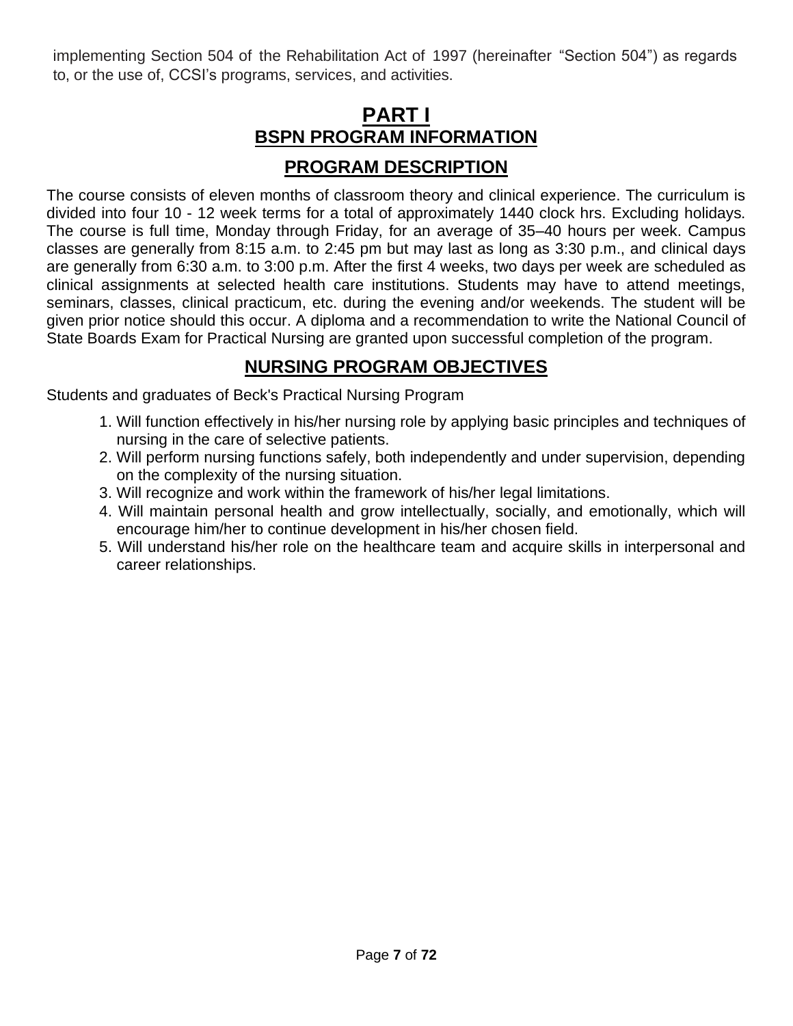implementing Section 504 of the Rehabilitation Act of 1997 (hereinafter "Section 504") as regards to, or the use of, CCSI's programs, services, and activities.

## **PART I BSPN PROGRAM INFORMATION PROGRAM DESCRIPTION**

The course consists of eleven months of classroom theory and clinical experience. The curriculum is divided into four 10 - 12 week terms for a total of approximately 1440 clock hrs. Excluding holidays. The course is full time, Monday through Friday, for an average of 35–40 hours per week. Campus classes are generally from 8:15 a.m. to 2:45 pm but may last as long as 3:30 p.m., and clinical days are generally from 6:30 a.m. to 3:00 p.m. After the first 4 weeks, two days per week are scheduled as clinical assignments at selected health care institutions. Students may have to attend meetings, seminars, classes, clinical practicum, etc. during the evening and/or weekends. The student will be given prior notice should this occur. A diploma and a recommendation to write the National Council of State Boards Exam for Practical Nursing are granted upon successful completion of the program.

## **NURSING PROGRAM OBJECTIVES**

Students and graduates of Beck's Practical Nursing Program

- 1. Will function effectively in his/her nursing role by applying basic principles and techniques of nursing in the care of selective patients.
- 2. Will perform nursing functions safely, both independently and under supervision, depending on the complexity of the nursing situation.
- 3. Will recognize and work within the framework of his/her legal limitations.
- 4. Will maintain personal health and grow intellectually, socially, and emotionally, which will encourage him/her to continue development in his/her chosen field.
- 5. Will understand his/her role on the healthcare team and acquire skills in interpersonal and career relationships.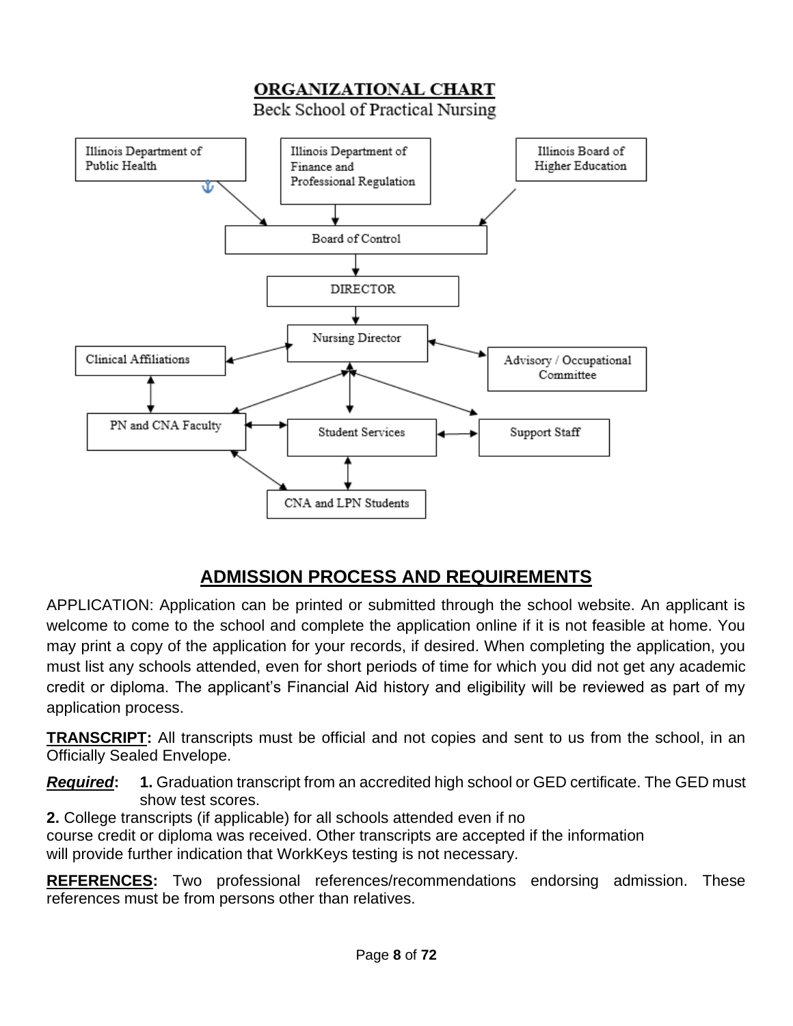

## **ADMISSION PROCESS AND REQUIREMENTS**

APPLICATION: Application can be printed or submitted through the school website. An applicant is welcome to come to the school and complete the application online if it is not feasible at home. You may print a copy of the application for your records, if desired. When completing the application, you must list any schools attended, even for short periods of time for which you did not get any academic credit or diploma. The applicant's Financial Aid history and eligibility will be reviewed as part of my application process.

**TRANSCRIPT:** All transcripts must be official and not copies and sent to us from the school, in an Officially Sealed Envelope.

*Required***: 1.** Graduation transcript from an accredited high school or GED certificate. The GED must show test scores.

**2.** College transcripts (if applicable) for all schools attended even if no

course credit or diploma was received. Other transcripts are accepted if the information will provide further indication that WorkKeys testing is not necessary.

**REFERENCES:** Two professional references/recommendations endorsing admission. These references must be from persons other than relatives.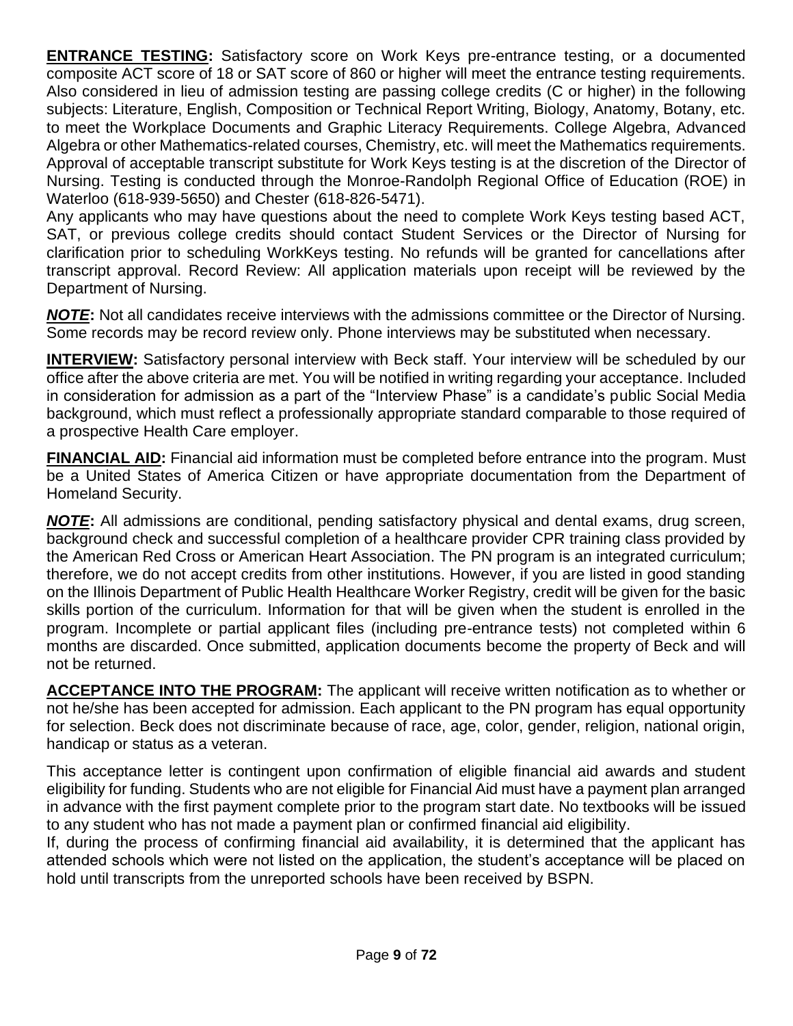**ENTRANCE TESTING:** Satisfactory score on Work Keys pre-entrance testing, or a documented composite ACT score of 18 or SAT score of 860 or higher will meet the entrance testing requirements. Also considered in lieu of admission testing are passing college credits (C or higher) in the following subjects: Literature, English, Composition or Technical Report Writing, Biology, Anatomy, Botany, etc. to meet the Workplace Documents and Graphic Literacy Requirements. College Algebra, Advanced Algebra or other Mathematics-related courses, Chemistry, etc. will meet the Mathematics requirements. Approval of acceptable transcript substitute for Work Keys testing is at the discretion of the Director of Nursing. Testing is conducted through the Monroe-Randolph Regional Office of Education (ROE) in Waterloo (618-939-5650) and Chester (618-826-5471).

Any applicants who may have questions about the need to complete Work Keys testing based ACT, SAT, or previous college credits should contact Student Services or the Director of Nursing for clarification prior to scheduling WorkKeys testing. No refunds will be granted for cancellations after transcript approval. Record Review: All application materials upon receipt will be reviewed by the Department of Nursing.

*NOTE***:** Not all candidates receive interviews with the admissions committee or the Director of Nursing. Some records may be record review only. Phone interviews may be substituted when necessary.

**INTERVIEW:** Satisfactory personal interview with Beck staff. Your interview will be scheduled by our office after the above criteria are met. You will be notified in writing regarding your acceptance. Included in consideration for admission as a part of the "Interview Phase" is a candidate's public Social Media background, which must reflect a professionally appropriate standard comparable to those required of a prospective Health Care employer.

**FINANCIAL AID:** Financial aid information must be completed before entrance into the program. Must be a United States of America Citizen or have appropriate documentation from the Department of Homeland Security.

*NOTE***:** All admissions are conditional, pending satisfactory physical and dental exams, drug screen, background check and successful completion of a healthcare provider CPR training class provided by the American Red Cross or American Heart Association. The PN program is an integrated curriculum; therefore, we do not accept credits from other institutions. However, if you are listed in good standing on the Illinois Department of Public Health Healthcare Worker Registry, credit will be given for the basic skills portion of the curriculum. Information for that will be given when the student is enrolled in the program. Incomplete or partial applicant files (including pre-entrance tests) not completed within 6 months are discarded. Once submitted, application documents become the property of Beck and will not be returned.

**ACCEPTANCE INTO THE PROGRAM:** The applicant will receive written notification as to whether or not he/she has been accepted for admission. Each applicant to the PN program has equal opportunity for selection. Beck does not discriminate because of race, age, color, gender, religion, national origin, handicap or status as a veteran.

This acceptance letter is contingent upon confirmation of eligible financial aid awards and student eligibility for funding. Students who are not eligible for Financial Aid must have a payment plan arranged in advance with the first payment complete prior to the program start date. No textbooks will be issued to any student who has not made a payment plan or confirmed financial aid eligibility.

If, during the process of confirming financial aid availability, it is determined that the applicant has attended schools which were not listed on the application, the student's acceptance will be placed on hold until transcripts from the unreported schools have been received by BSPN.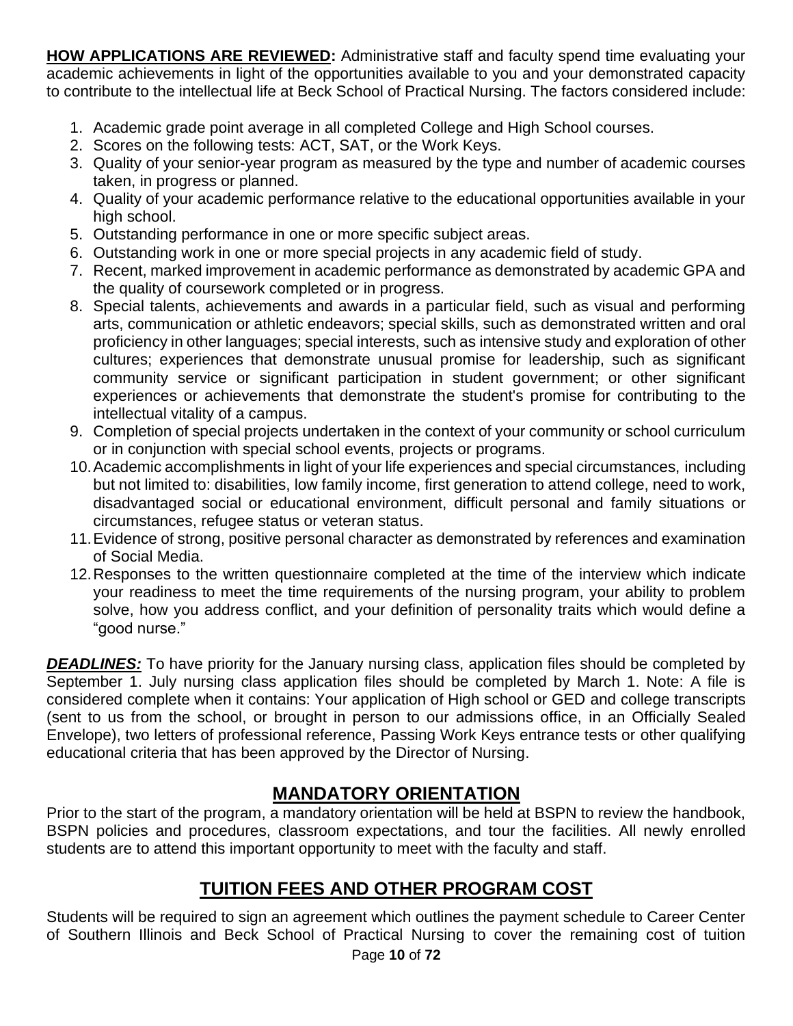**HOW APPLICATIONS ARE REVIEWED:** Administrative staff and faculty spend time evaluating your academic achievements in light of the opportunities available to you and your demonstrated capacity to contribute to the intellectual life at Beck School of Practical Nursing. The factors considered include:

- 1. Academic grade point average in all completed College and High School courses.
- 2. Scores on the following tests: ACT, SAT, or the Work Keys.
- 3. Quality of your senior-year program as measured by the type and number of academic courses taken, in progress or planned.
- 4. Quality of your academic performance relative to the educational opportunities available in your high school.
- 5. Outstanding performance in one or more specific subject areas.
- 6. Outstanding work in one or more special projects in any academic field of study.
- 7. Recent, marked improvement in academic performance as demonstrated by academic GPA and the quality of coursework completed or in progress.
- 8. Special talents, achievements and awards in a particular field, such as visual and performing arts, communication or athletic endeavors; special skills, such as demonstrated written and oral proficiency in other languages; special interests, such as intensive study and exploration of other cultures; experiences that demonstrate unusual promise for leadership, such as significant community service or significant participation in student government; or other significant experiences or achievements that demonstrate the student's promise for contributing to the intellectual vitality of a campus.
- 9. Completion of special projects undertaken in the context of your community or school curriculum or in conjunction with special school events, projects or programs.
- 10.Academic accomplishments in light of your life experiences and special circumstances, including but not limited to: disabilities, low family income, first generation to attend college, need to work, disadvantaged social or educational environment, difficult personal and family situations or circumstances, refugee status or veteran status.
- 11.Evidence of strong, positive personal character as demonstrated by references and examination of Social Media.
- 12.Responses to the written questionnaire completed at the time of the interview which indicate your readiness to meet the time requirements of the nursing program, your ability to problem solve, how you address conflict, and your definition of personality traits which would define a "good nurse."

**DEADLINES:** To have priority for the January nursing class, application files should be completed by September 1. July nursing class application files should be completed by March 1. Note: A file is considered complete when it contains: Your application of High school or GED and college transcripts (sent to us from the school, or brought in person to our admissions office, in an Officially Sealed Envelope), two letters of professional reference, Passing Work Keys entrance tests or other qualifying educational criteria that has been approved by the Director of Nursing.

## **MANDATORY ORIENTATION**

Prior to the start of the program, a mandatory orientation will be held at BSPN to review the handbook, BSPN policies and procedures, classroom expectations, and tour the facilities. All newly enrolled students are to attend this important opportunity to meet with the faculty and staff.

## **TUITION FEES AND OTHER PROGRAM COST**

Page **10** of **72** Students will be required to sign an agreement which outlines the payment schedule to Career Center of Southern Illinois and Beck School of Practical Nursing to cover the remaining cost of tuition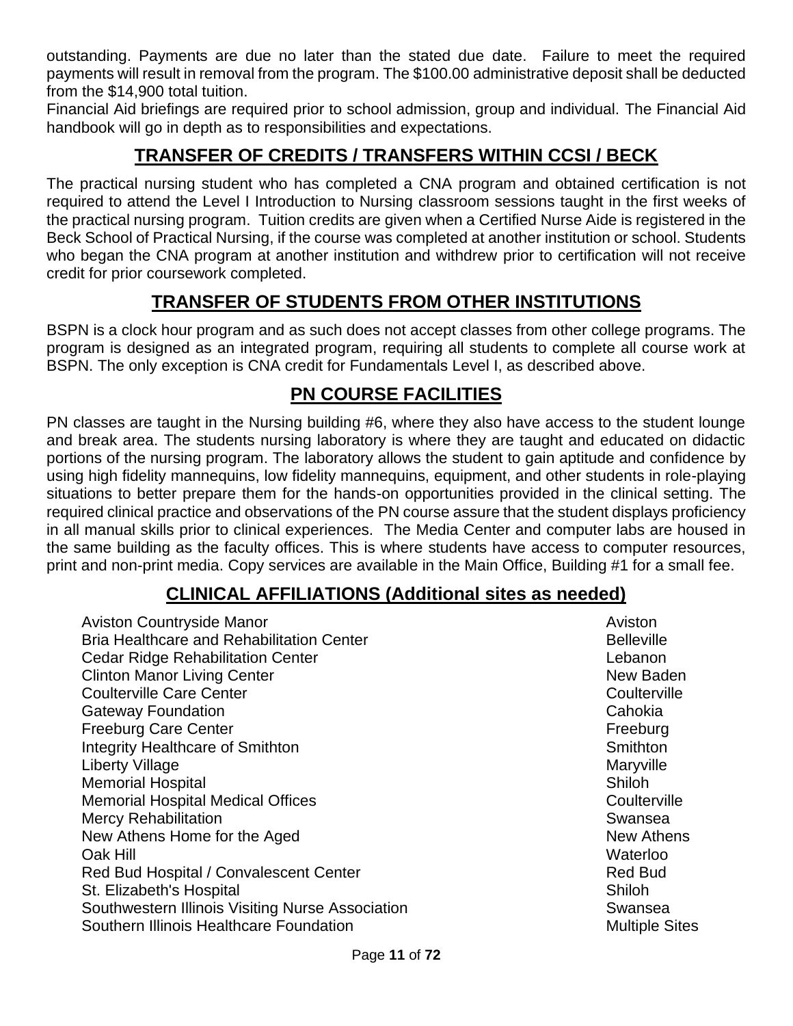outstanding. Payments are due no later than the stated due date. Failure to meet the required payments will result in removal from the program. The \$100.00 administrative deposit shall be deducted from the \$14,900 total tuition.

Financial Aid briefings are required prior to school admission, group and individual. The Financial Aid handbook will go in depth as to responsibilities and expectations.

## **TRANSFER OF CREDITS / TRANSFERS WITHIN CCSI / BECK**

The practical nursing student who has completed a CNA program and obtained certification is not required to attend the Level I Introduction to Nursing classroom sessions taught in the first weeks of the practical nursing program. Tuition credits are given when a Certified Nurse Aide is registered in the Beck School of Practical Nursing, if the course was completed at another institution or school. Students who began the CNA program at another institution and withdrew prior to certification will not receive credit for prior coursework completed.

## **TRANSFER OF STUDENTS FROM OTHER INSTITUTIONS**

BSPN is a clock hour program and as such does not accept classes from other college programs. The program is designed as an integrated program, requiring all students to complete all course work at BSPN. The only exception is CNA credit for Fundamentals Level I, as described above.

## **PN COURSE FACILITIES**

PN classes are taught in the Nursing building #6, where they also have access to the student lounge and break area. The students nursing laboratory is where they are taught and educated on didactic portions of the nursing program. The laboratory allows the student to gain aptitude and confidence by using high fidelity mannequins, low fidelity mannequins, equipment, and other students in role-playing situations to better prepare them for the hands-on opportunities provided in the clinical setting. The required clinical practice and observations of the PN course assure that the student displays proficiency in all manual skills prior to clinical experiences. The Media Center and computer labs are housed in the same building as the faculty offices. This is where students have access to computer resources, print and non-print media. Copy services are available in the Main Office, Building #1 for a small fee.

#### **CLINICAL AFFILIATIONS (Additional sites as needed)**

| <b>Aviston Countryside Manor</b>                 | Aviston               |
|--------------------------------------------------|-----------------------|
| <b>Bria Healthcare and Rehabilitation Center</b> | <b>Belleville</b>     |
| <b>Cedar Ridge Rehabilitation Center</b>         | Lebanon               |
| <b>Clinton Manor Living Center</b>               | New Baden             |
| <b>Coulterville Care Center</b>                  | Coulterville          |
| <b>Gateway Foundation</b>                        | Cahokia               |
| <b>Freeburg Care Center</b>                      | Freeburg              |
| <b>Integrity Healthcare of Smithton</b>          | Smithton              |
| Liberty Village                                  | Maryville             |
| <b>Memorial Hospital</b>                         | Shiloh                |
| <b>Memorial Hospital Medical Offices</b>         | Coulterville          |
| <b>Mercy Rehabilitation</b>                      | Swansea               |
| New Athens Home for the Aged                     | <b>New Athens</b>     |
| Oak Hill                                         | Waterloo              |
| Red Bud Hospital / Convalescent Center           | <b>Red Bud</b>        |
| St. Elizabeth's Hospital                         | Shiloh                |
| Southwestern Illinois Visiting Nurse Association | Swansea               |
| Southern Illinois Healthcare Foundation          | <b>Multiple Sites</b> |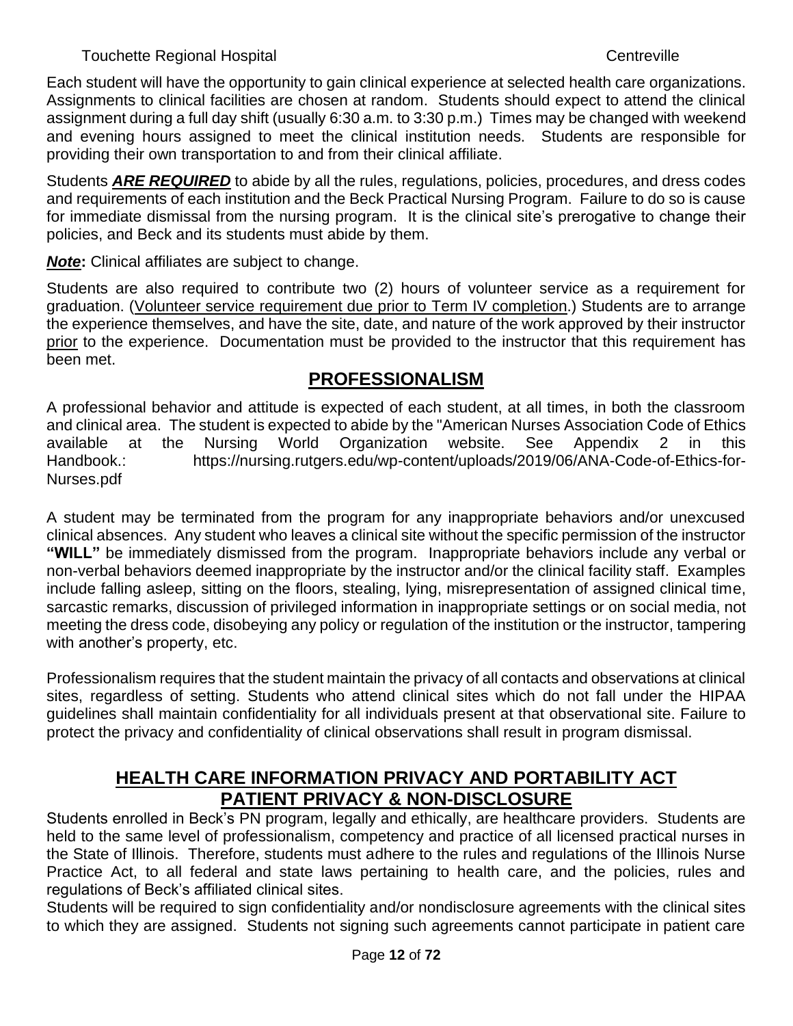Each student will have the opportunity to gain clinical experience at selected health care organizations. Assignments to clinical facilities are chosen at random. Students should expect to attend the clinical assignment during a full day shift (usually 6:30 a.m. to 3:30 p.m.) Times may be changed with weekend and evening hours assigned to meet the clinical institution needs.Students are responsible for providing their own transportation to and from their clinical affiliate.

Students *ARE REQUIRED* to abide by all the rules, regulations, policies, procedures, and dress codes and requirements of each institution and the Beck Practical Nursing Program. Failure to do so is cause for immediate dismissal from the nursing program. It is the clinical site's prerogative to change their policies, and Beck and its students must abide by them.

*Note***:** Clinical affiliates are subject to change.

Students are also required to contribute two (2) hours of volunteer service as a requirement for graduation. (Volunteer service requirement due prior to Term IV completion.) Students are to arrange the experience themselves, and have the site, date, and nature of the work approved by their instructor prior to the experience. Documentation must be provided to the instructor that this requirement has been met.

#### **PROFESSIONALISM**

A professional behavior and attitude is expected of each student, at all times, in both the classroom and clinical area. The student is expected to abide by the "American Nurses Association Code of Ethics available at the Nursing World Organization website. See Appendix 2 in this Handbook.: https://nursing.rutgers.edu/wp-content/uploads/2019/06/ANA-Code-of-Ethics-for-Nurses.pdf

A student may be terminated from the program for any inappropriate behaviors and/or unexcused clinical absences. Any student who leaves a clinical site without the specific permission of the instructor **"WILL"** be immediately dismissed from the program. Inappropriate behaviors include any verbal or non-verbal behaviors deemed inappropriate by the instructor and/or the clinical facility staff. Examples include falling asleep, sitting on the floors, stealing, lying, misrepresentation of assigned clinical time, sarcastic remarks, discussion of privileged information in inappropriate settings or on social media, not meeting the dress code, disobeying any policy or regulation of the institution or the instructor, tampering with another's property, etc.

Professionalism requires that the student maintain the privacy of all contacts and observations at clinical sites, regardless of setting. Students who attend clinical sites which do not fall under the HIPAA guidelines shall maintain confidentiality for all individuals present at that observational site. Failure to protect the privacy and confidentiality of clinical observations shall result in program dismissal.

#### **HEALTH CARE INFORMATION PRIVACY AND PORTABILITY ACT PATIENT PRIVACY & NON-DISCLOSURE**

Students enrolled in Beck's PN program, legally and ethically, are healthcare providers. Students are held to the same level of professionalism, competency and practice of all licensed practical nurses in the State of Illinois. Therefore, students must adhere to the rules and regulations of the Illinois Nurse Practice Act, to all federal and state laws pertaining to health care, and the policies, rules and regulations of Beck's affiliated clinical sites.

Students will be required to sign confidentiality and/or nondisclosure agreements with the clinical sites to which they are assigned. Students not signing such agreements cannot participate in patient care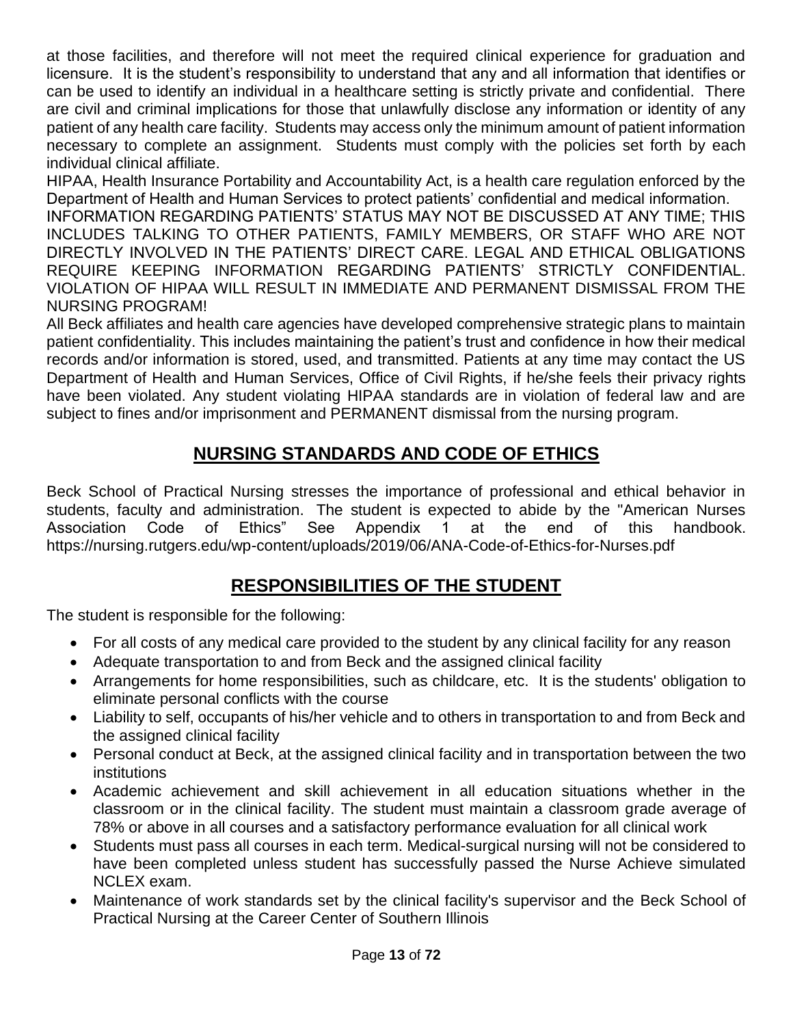at those facilities, and therefore will not meet the required clinical experience for graduation and licensure. It is the student's responsibility to understand that any and all information that identifies or can be used to identify an individual in a healthcare setting is strictly private and confidential. There are civil and criminal implications for those that unlawfully disclose any information or identity of any patient of any health care facility. Students may access only the minimum amount of patient information necessary to complete an assignment. Students must comply with the policies set forth by each individual clinical affiliate.

HIPAA, Health Insurance Portability and Accountability Act, is a health care regulation enforced by the Department of Health and Human Services to protect patients' confidential and medical information.

INFORMATION REGARDING PATIENTS' STATUS MAY NOT BE DISCUSSED AT ANY TIME; THIS INCLUDES TALKING TO OTHER PATIENTS, FAMILY MEMBERS, OR STAFF WHO ARE NOT DIRECTLY INVOLVED IN THE PATIENTS' DIRECT CARE. LEGAL AND ETHICAL OBLIGATIONS REQUIRE KEEPING INFORMATION REGARDING PATIENTS' STRICTLY CONFIDENTIAL. VIOLATION OF HIPAA WILL RESULT IN IMMEDIATE AND PERMANENT DISMISSAL FROM THE NURSING PROGRAM!

All Beck affiliates and health care agencies have developed comprehensive strategic plans to maintain patient confidentiality. This includes maintaining the patient's trust and confidence in how their medical records and/or information is stored, used, and transmitted. Patients at any time may contact the US Department of Health and Human Services, Office of Civil Rights, if he/she feels their privacy rights have been violated. Any student violating HIPAA standards are in violation of federal law and are subject to fines and/or imprisonment and PERMANENT dismissal from the nursing program.

## **NURSING STANDARDS AND CODE OF ETHICS**

Beck School of Practical Nursing stresses the importance of professional and ethical behavior in students, faculty and administration. The student is expected to abide by the "American Nurses Association Code of Ethics" See Appendix 1 at the end of this handbook. <https://nursing.rutgers.edu/wp-content/uploads/2019/06/ANA-Code-of-Ethics-for-Nurses.pdf>

## **RESPONSIBILITIES OF THE STUDENT**

The student is responsible for the following:

- For all costs of any medical care provided to the student by any clinical facility for any reason
- Adequate transportation to and from Beck and the assigned clinical facility
- Arrangements for home responsibilities, such as childcare, etc. It is the students' obligation to eliminate personal conflicts with the course
- Liability to self, occupants of his/her vehicle and to others in transportation to and from Beck and the assigned clinical facility
- Personal conduct at Beck, at the assigned clinical facility and in transportation between the two institutions
- Academic achievement and skill achievement in all education situations whether in the classroom or in the clinical facility. The student must maintain a classroom grade average of 78% or above in all courses and a satisfactory performance evaluation for all clinical work
- Students must pass all courses in each term. Medical-surgical nursing will not be considered to have been completed unless student has successfully passed the Nurse Achieve simulated NCLEX exam.
- Maintenance of work standards set by the clinical facility's supervisor and the Beck School of Practical Nursing at the Career Center of Southern Illinois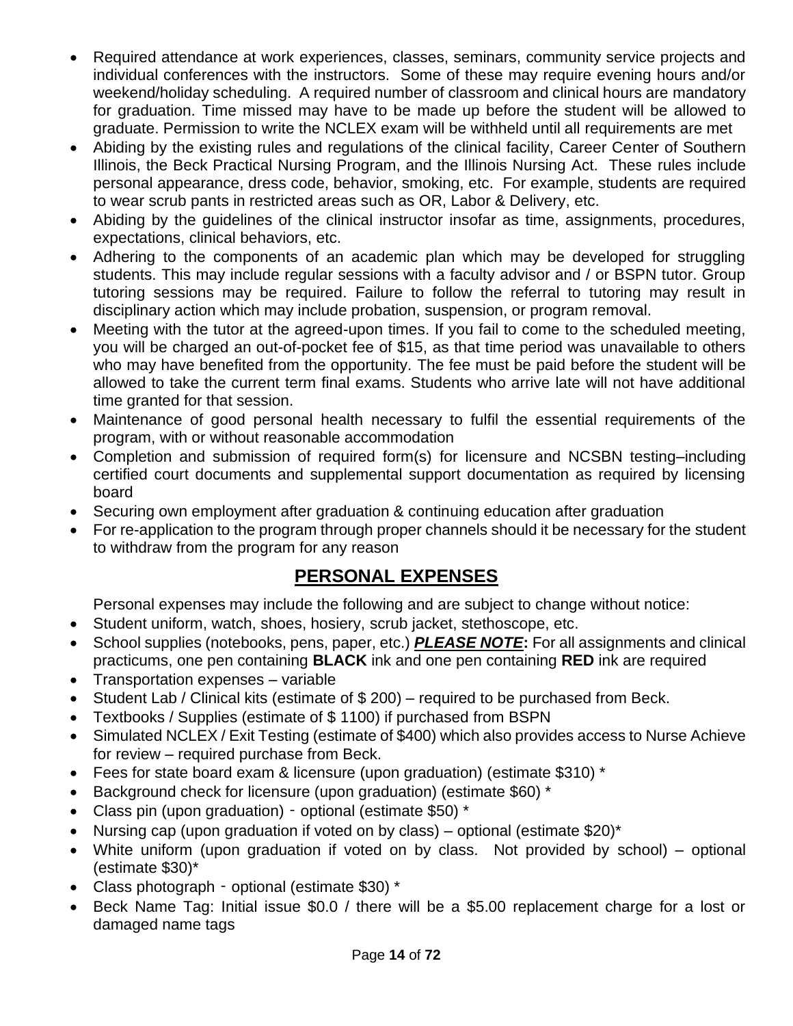- Required attendance at work experiences, classes, seminars, community service projects and individual conferences with the instructors. Some of these may require evening hours and/or weekend/holiday scheduling. A required number of classroom and clinical hours are mandatory for graduation. Time missed may have to be made up before the student will be allowed to graduate. Permission to write the NCLEX exam will be withheld until all requirements are met
- Abiding by the existing rules and regulations of the clinical facility, Career Center of Southern Illinois, the Beck Practical Nursing Program, and the Illinois Nursing Act. These rules include personal appearance, dress code, behavior, smoking, etc. For example, students are required to wear scrub pants in restricted areas such as OR, Labor & Delivery, etc.
- Abiding by the guidelines of the clinical instructor insofar as time, assignments, procedures, expectations, clinical behaviors, etc.
- Adhering to the components of an academic plan which may be developed for struggling students. This may include regular sessions with a faculty advisor and / or BSPN tutor. Group tutoring sessions may be required. Failure to follow the referral to tutoring may result in disciplinary action which may include probation, suspension, or program removal.
- Meeting with the tutor at the agreed-upon times. If you fail to come to the scheduled meeting, you will be charged an out-of-pocket fee of \$15, as that time period was unavailable to others who may have benefited from the opportunity. The fee must be paid before the student will be allowed to take the current term final exams. Students who arrive late will not have additional time granted for that session.
- Maintenance of good personal health necessary to fulfil the essential requirements of the program, with or without reasonable accommodation
- Completion and submission of required form(s) for licensure and NCSBN testing–including certified court documents and supplemental support documentation as required by licensing board
- Securing own employment after graduation & continuing education after graduation
- For re-application to the program through proper channels should it be necessary for the student to withdraw from the program for any reason

#### **PERSONAL EXPENSES**

Personal expenses may include the following and are subject to change without notice:

- Student uniform, watch, shoes, hosiery, scrub jacket, stethoscope, etc.
- School supplies (notebooks, pens, paper, etc.) *PLEASE NOTE***:** For all assignments and clinical practicums, one pen containing **BLACK** ink and one pen containing **RED** ink are required
- Transportation expenses variable
- Student Lab / Clinical kits (estimate of \$ 200) required to be purchased from Beck.
- Textbooks / Supplies (estimate of \$ 1100) if purchased from BSPN
- Simulated NCLEX / Exit Testing (estimate of \$400) which also provides access to Nurse Achieve for review – required purchase from Beck.
- Fees for state board exam & licensure (upon graduation) (estimate \$310) \*
- Background check for licensure (upon graduation) (estimate \$60) \*
- Class pin (upon graduation) optional (estimate \$50) \*
- Nursing cap (upon graduation if voted on by class) optional (estimate  $$20$ )\*
- White uniform (upon graduation if voted on by class. Not provided by school) optional (estimate \$30)\*
- Class photograph optional (estimate \$30) \*
- Beck Name Tag: Initial issue \$0.0 / there will be a \$5.00 replacement charge for a lost or damaged name tags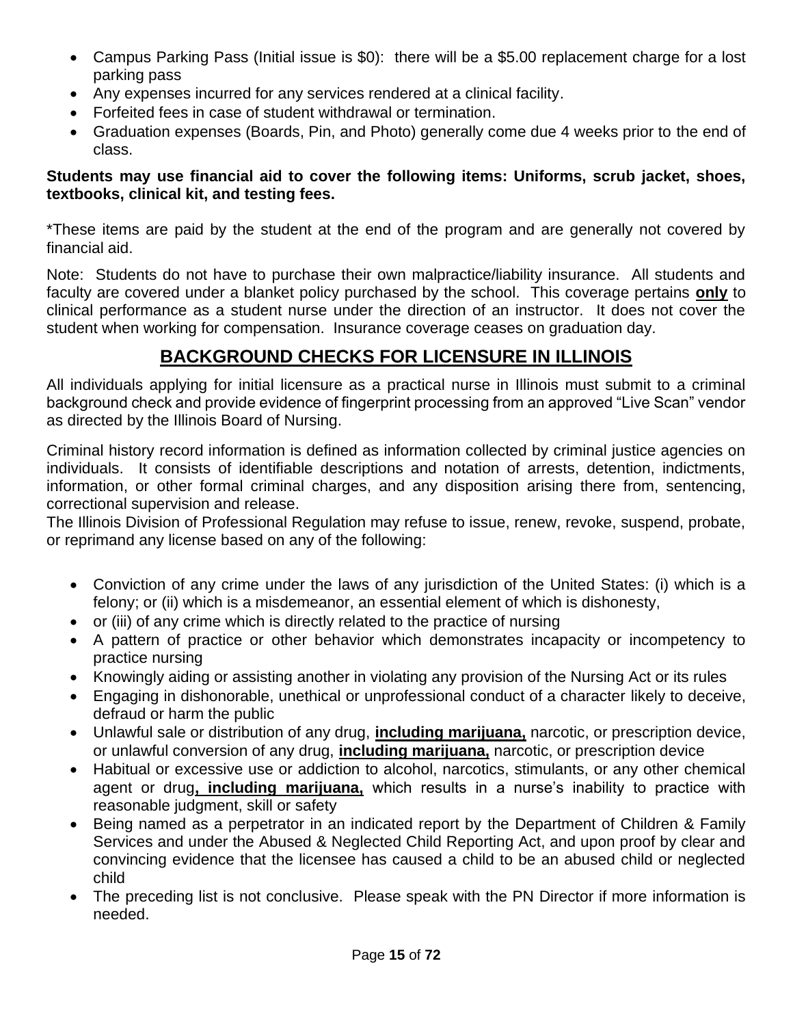- Campus Parking Pass (Initial issue is \$0): there will be a \$5.00 replacement charge for a lost parking pass
- Any expenses incurred for any services rendered at a clinical facility.
- Forfeited fees in case of student withdrawal or termination.
- Graduation expenses (Boards, Pin, and Photo) generally come due 4 weeks prior to the end of class.

#### **Students may use financial aid to cover the following items: Uniforms, scrub jacket, shoes, textbooks, clinical kit, and testing fees.**

\*These items are paid by the student at the end of the program and are generally not covered by financial aid.

Note: Students do not have to purchase their own malpractice/liability insurance. All students and faculty are covered under a blanket policy purchased by the school. This coverage pertains **only** to clinical performance as a student nurse under the direction of an instructor. It does not cover the student when working for compensation. Insurance coverage ceases on graduation day.

#### **BACKGROUND CHECKS FOR LICENSURE IN ILLINOIS**

All individuals applying for initial licensure as a practical nurse in Illinois must submit to a criminal background check and provide evidence of fingerprint processing from an approved "Live Scan" vendor as directed by the Illinois Board of Nursing.

Criminal history record information is defined as information collected by criminal justice agencies on individuals. It consists of identifiable descriptions and notation of arrests, detention, indictments, information, or other formal criminal charges, and any disposition arising there from, sentencing, correctional supervision and release.

The Illinois Division of Professional Regulation may refuse to issue, renew, revoke, suspend, probate, or reprimand any license based on any of the following:

- Conviction of any crime under the laws of any jurisdiction of the United States: (i) which is a felony; or (ii) which is a misdemeanor, an essential element of which is dishonesty,
- or (iii) of any crime which is directly related to the practice of nursing
- A pattern of practice or other behavior which demonstrates incapacity or incompetency to practice nursing
- Knowingly aiding or assisting another in violating any provision of the Nursing Act or its rules
- Engaging in dishonorable, unethical or unprofessional conduct of a character likely to deceive, defraud or harm the public
- Unlawful sale or distribution of any drug, **including marijuana,** narcotic, or prescription device, or unlawful conversion of any drug, **including marijuana,** narcotic, or prescription device
- Habitual or excessive use or addiction to alcohol, narcotics, stimulants, or any other chemical agent or drug**, including marijuana,** which results in a nurse's inability to practice with reasonable judgment, skill or safety
- Being named as a perpetrator in an indicated report by the Department of Children & Family Services and under the Abused & Neglected Child Reporting Act, and upon proof by clear and convincing evidence that the licensee has caused a child to be an abused child or neglected child
- The preceding list is not conclusive. Please speak with the PN Director if more information is needed.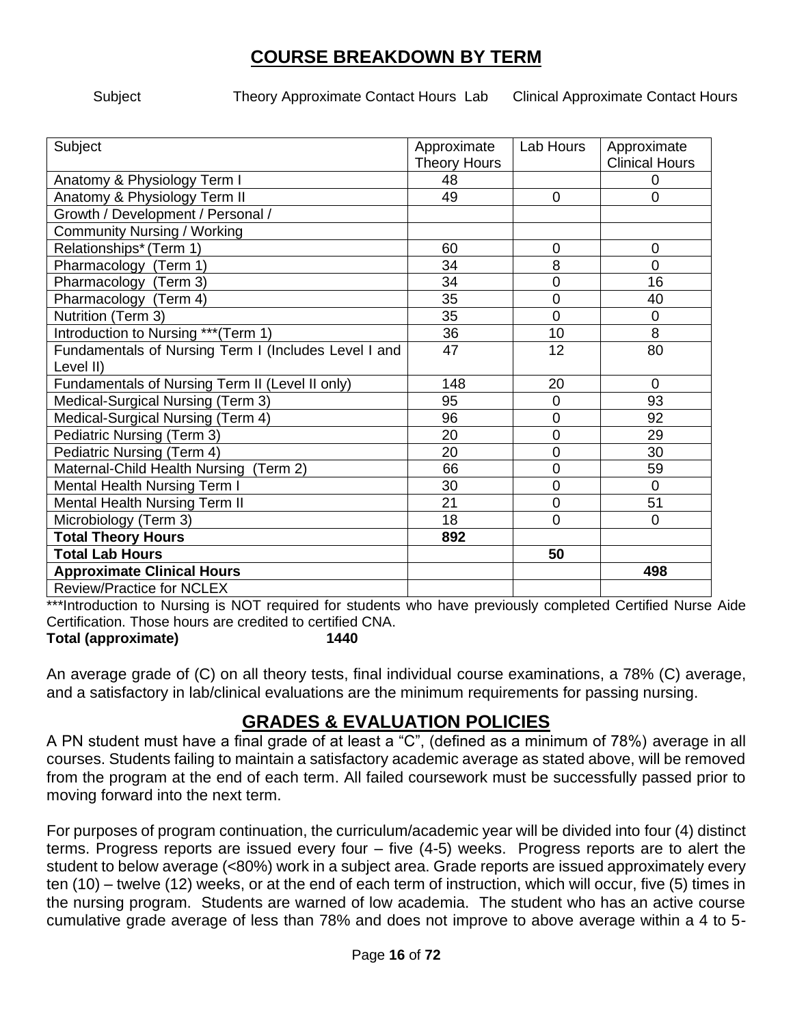#### **COURSE BREAKDOWN BY TERM**

Subject Theory Approximate Contact Hours Lab Clinical Approximate Contact Hours

| Subject                                              | Approximate         | Lab Hours      | Approximate           |
|------------------------------------------------------|---------------------|----------------|-----------------------|
|                                                      | <b>Theory Hours</b> |                | <b>Clinical Hours</b> |
| Anatomy & Physiology Term I                          | 48                  |                | 0                     |
| Anatomy & Physiology Term II                         | 49                  | 0              | $\overline{0}$        |
| Growth / Development / Personal /                    |                     |                |                       |
| <b>Community Nursing / Working</b>                   |                     |                |                       |
| Relationships* (Term 1)                              | 60                  | 0              | $\overline{0}$        |
| Pharmacology (Term 1)                                | 34                  | 8              | $\overline{0}$        |
| Pharmacology (Term 3)                                | 34                  | 0              | 16                    |
| Pharmacology (Term 4)                                | 35                  | $\overline{0}$ | 40                    |
| Nutrition (Term 3)                                   | 35                  | 0              | $\mathbf 0$           |
| Introduction to Nursing *** (Term 1)                 | 36                  | 10             | 8                     |
| Fundamentals of Nursing Term I (Includes Level I and | 47                  | 12             | 80                    |
| Level II)                                            |                     |                |                       |
| Fundamentals of Nursing Term II (Level II only)      | 148                 | 20             | $\Omega$              |
| Medical-Surgical Nursing (Term 3)                    | 95                  | 0              | 93                    |
| Medical-Surgical Nursing (Term 4)                    | 96                  | 0              | 92                    |
| Pediatric Nursing (Term 3)                           | 20                  | 0              | 29                    |
| Pediatric Nursing (Term 4)                           | 20                  | $\overline{0}$ | 30                    |
| Maternal-Child Health Nursing (Term 2)               | 66                  | 0              | 59                    |
| Mental Health Nursing Term I                         | 30                  | 0              | $\overline{0}$        |
| <b>Mental Health Nursing Term II</b>                 | 21                  | $\overline{0}$ | 51                    |
| Microbiology (Term 3)                                | 18                  | 0              | $\Omega$              |
| <b>Total Theory Hours</b>                            | 892                 |                |                       |
| <b>Total Lab Hours</b>                               |                     | 50             |                       |
| <b>Approximate Clinical Hours</b>                    |                     |                | 498                   |
| <b>Review/Practice for NCLEX</b>                     |                     |                |                       |

\*\*\*Introduction to Nursing is NOT required for students who have previously completed Certified Nurse Aide Certification. Those hours are credited to certified CNA.

**Total (approximate) 1440**

An average grade of (C) on all theory tests, final individual course examinations, a 78% (C) average, and a satisfactory in lab/clinical evaluations are the minimum requirements for passing nursing.

#### **GRADES & EVALUATION POLICIES**

A PN student must have a final grade of at least a "C", (defined as a minimum of 78%) average in all courses. Students failing to maintain a satisfactory academic average as stated above, will be removed from the program at the end of each term. All failed coursework must be successfully passed prior to moving forward into the next term.

For purposes of program continuation, the curriculum/academic year will be divided into four (4) distinct terms. Progress reports are issued every four – five (4-5) weeks. Progress reports are to alert the student to below average (<80%) work in a subject area. Grade reports are issued approximately every ten (10) – twelve (12) weeks, or at the end of each term of instruction, which will occur, five (5) times in the nursing program. Students are warned of low academia. The student who has an active course cumulative grade average of less than 78% and does not improve to above average within a 4 to 5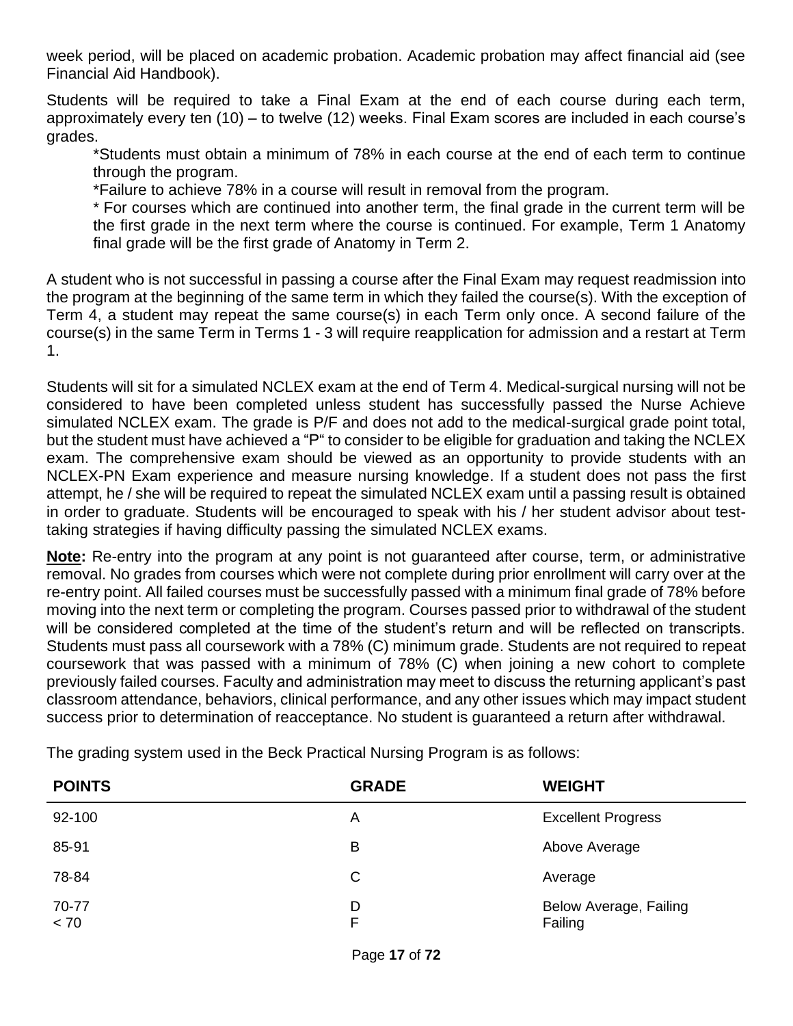week period, will be placed on academic probation. Academic probation may affect financial aid (see Financial Aid Handbook).

Students will be required to take a Final Exam at the end of each course during each term, approximately every ten (10) – to twelve (12) weeks. Final Exam scores are included in each course's grades.

\*Students must obtain a minimum of 78% in each course at the end of each term to continue through the program.

\*Failure to achieve 78% in a course will result in removal from the program.

\* For courses which are continued into another term, the final grade in the current term will be the first grade in the next term where the course is continued. For example, Term 1 Anatomy final grade will be the first grade of Anatomy in Term 2.

A student who is not successful in passing a course after the Final Exam may request readmission into the program at the beginning of the same term in which they failed the course(s). With the exception of Term 4, a student may repeat the same course(s) in each Term only once. A second failure of the course(s) in the same Term in Terms 1 - 3 will require reapplication for admission and a restart at Term 1.

Students will sit for a simulated NCLEX exam at the end of Term 4. Medical-surgical nursing will not be considered to have been completed unless student has successfully passed the Nurse Achieve simulated NCLEX exam. The grade is P/F and does not add to the medical-surgical grade point total, but the student must have achieved a "P" to consider to be eligible for graduation and taking the NCLEX exam. The comprehensive exam should be viewed as an opportunity to provide students with an NCLEX-PN Exam experience and measure nursing knowledge. If a student does not pass the first attempt, he / she will be required to repeat the simulated NCLEX exam until a passing result is obtained in order to graduate. Students will be encouraged to speak with his / her student advisor about testtaking strategies if having difficulty passing the simulated NCLEX exams.

**Note:** Re-entry into the program at any point is not guaranteed after course, term, or administrative removal. No grades from courses which were not complete during prior enrollment will carry over at the re-entry point. All failed courses must be successfully passed with a minimum final grade of 78% before moving into the next term or completing the program. Courses passed prior to withdrawal of the student will be considered completed at the time of the student's return and will be reflected on transcripts. Students must pass all coursework with a 78% (C) minimum grade. Students are not required to repeat coursework that was passed with a minimum of 78% (C) when joining a new cohort to complete previously failed courses. Faculty and administration may meet to discuss the returning applicant's past classroom attendance, behaviors, clinical performance, and any other issues which may impact student success prior to determination of reacceptance. No student is guaranteed a return after withdrawal.

| <b>POINTS</b> | <b>GRADE</b> | <b>WEIGHT</b>                     |
|---------------|--------------|-----------------------------------|
| 92-100        | A            | <b>Excellent Progress</b>         |
| 85-91         | B            | Above Average                     |
| 78-84         | C            | Average                           |
| 70-77<br>< 70 | D<br>F       | Below Average, Failing<br>Failing |

The grading system used in the Beck Practical Nursing Program is as follows: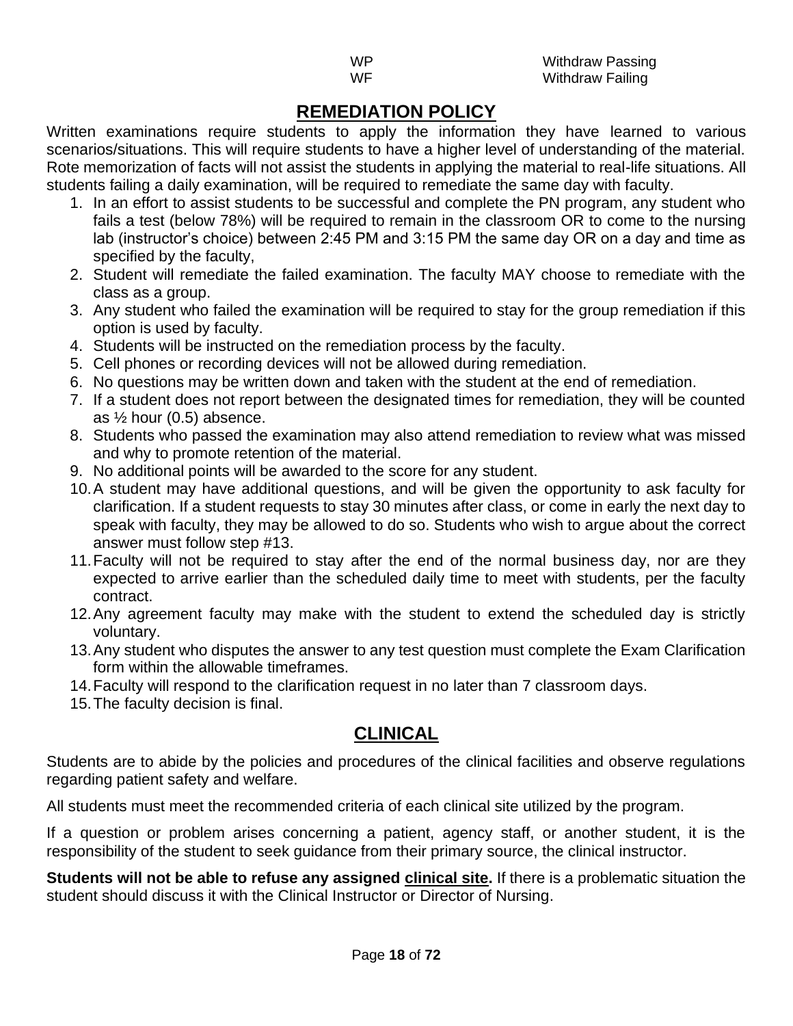#### **REMEDIATION POLICY**

Written examinations require students to apply the information they have learned to various scenarios/situations. This will require students to have a higher level of understanding of the material. Rote memorization of facts will not assist the students in applying the material to real-life situations. All students failing a daily examination, will be required to remediate the same day with faculty.

- 1. In an effort to assist students to be successful and complete the PN program, any student who fails a test (below 78%) will be required to remain in the classroom OR to come to the nursing lab (instructor's choice) between 2:45 PM and 3:15 PM the same day OR on a day and time as specified by the faculty,
- 2. Student will remediate the failed examination. The faculty MAY choose to remediate with the class as a group.
- 3. Any student who failed the examination will be required to stay for the group remediation if this option is used by faculty.
- 4. Students will be instructed on the remediation process by the faculty.
- 5. Cell phones or recording devices will not be allowed during remediation.
- 6. No questions may be written down and taken with the student at the end of remediation.
- 7. If a student does not report between the designated times for remediation, they will be counted as  $\frac{1}{2}$  hour (0.5) absence.
- 8. Students who passed the examination may also attend remediation to review what was missed and why to promote retention of the material.
- 9. No additional points will be awarded to the score for any student.
- 10.A student may have additional questions, and will be given the opportunity to ask faculty for clarification. If a student requests to stay 30 minutes after class, or come in early the next day to speak with faculty, they may be allowed to do so. Students who wish to argue about the correct answer must follow step #13.
- 11.Faculty will not be required to stay after the end of the normal business day, nor are they expected to arrive earlier than the scheduled daily time to meet with students, per the faculty contract.
- 12.Any agreement faculty may make with the student to extend the scheduled day is strictly voluntary.
- 13.Any student who disputes the answer to any test question must complete the Exam Clarification form within the allowable timeframes.
- 14.Faculty will respond to the clarification request in no later than 7 classroom days.
- 15.The faculty decision is final.

## **CLINICAL**

Students are to abide by the policies and procedures of the clinical facilities and observe regulations regarding patient safety and welfare.

All students must meet the recommended criteria of each clinical site utilized by the program.

If a question or problem arises concerning a patient, agency staff, or another student, it is the responsibility of the student to seek guidance from their primary source, the clinical instructor.

**Students will not be able to refuse any assigned clinical site.** If there is a problematic situation the student should discuss it with the Clinical Instructor or Director of Nursing.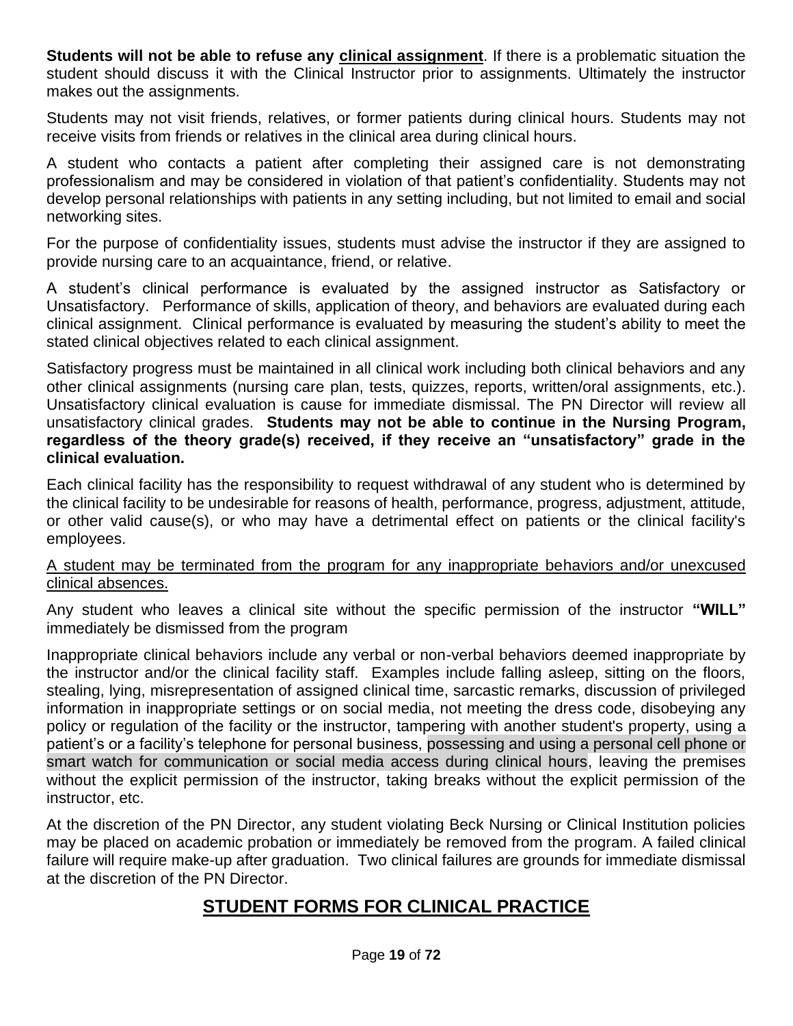**Students will not be able to refuse any clinical assignment**. If there is a problematic situation the student should discuss it with the Clinical Instructor prior to assignments. Ultimately the instructor makes out the assignments.

Students may not visit friends, relatives, or former patients during clinical hours. Students may not receive visits from friends or relatives in the clinical area during clinical hours.

A student who contacts a patient after completing their assigned care is not demonstrating professionalism and may be considered in violation of that patient's confidentiality. Students may not develop personal relationships with patients in any setting including, but not limited to email and social networking sites.

For the purpose of confidentiality issues, students must advise the instructor if they are assigned to provide nursing care to an acquaintance, friend, or relative.

A student's clinical performance is evaluated by the assigned instructor as Satisfactory or Unsatisfactory. Performance of skills, application of theory, and behaviors are evaluated during each clinical assignment. Clinical performance is evaluated by measuring the student's ability to meet the stated clinical objectives related to each clinical assignment.

Satisfactory progress must be maintained in all clinical work including both clinical behaviors and any other clinical assignments (nursing care plan, tests, quizzes, reports, written/oral assignments, etc.). Unsatisfactory clinical evaluation is cause for immediate dismissal. The PN Director will review all unsatisfactory clinical grades. **Students may not be able to continue in the Nursing Program, regardless of the theory grade(s) received, if they receive an "unsatisfactory" grade in the clinical evaluation.**

Each clinical facility has the responsibility to request withdrawal of any student who is determined by the clinical facility to be undesirable for reasons of health, performance, progress, adjustment, attitude, or other valid cause(s), or who may have a detrimental effect on patients or the clinical facility's employees.

#### A student may be terminated from the program for any inappropriate behaviors and/or unexcused clinical absences.

Any student who leaves a clinical site without the specific permission of the instructor **"WILL"** immediately be dismissed from the program

Inappropriate clinical behaviors include any verbal or non-verbal behaviors deemed inappropriate by the instructor and/or the clinical facility staff. Examples include falling asleep, sitting on the floors, stealing, lying, misrepresentation of assigned clinical time, sarcastic remarks, discussion of privileged information in inappropriate settings or on social media, not meeting the dress code, disobeying any policy or regulation of the facility or the instructor, tampering with another student's property, using a patient's or a facility's telephone for personal business, possessing and using a personal cell phone or smart watch for communication or social media access during clinical hours, leaving the premises without the explicit permission of the instructor, taking breaks without the explicit permission of the instructor, etc.

At the discretion of the PN Director, any student violating Beck Nursing or Clinical Institution policies may be placed on academic probation or immediately be removed from the program. A failed clinical failure will require make-up after graduation. Two clinical failures are grounds for immediate dismissal at the discretion of the PN Director.

## **STUDENT FORMS FOR CLINICAL PRACTICE**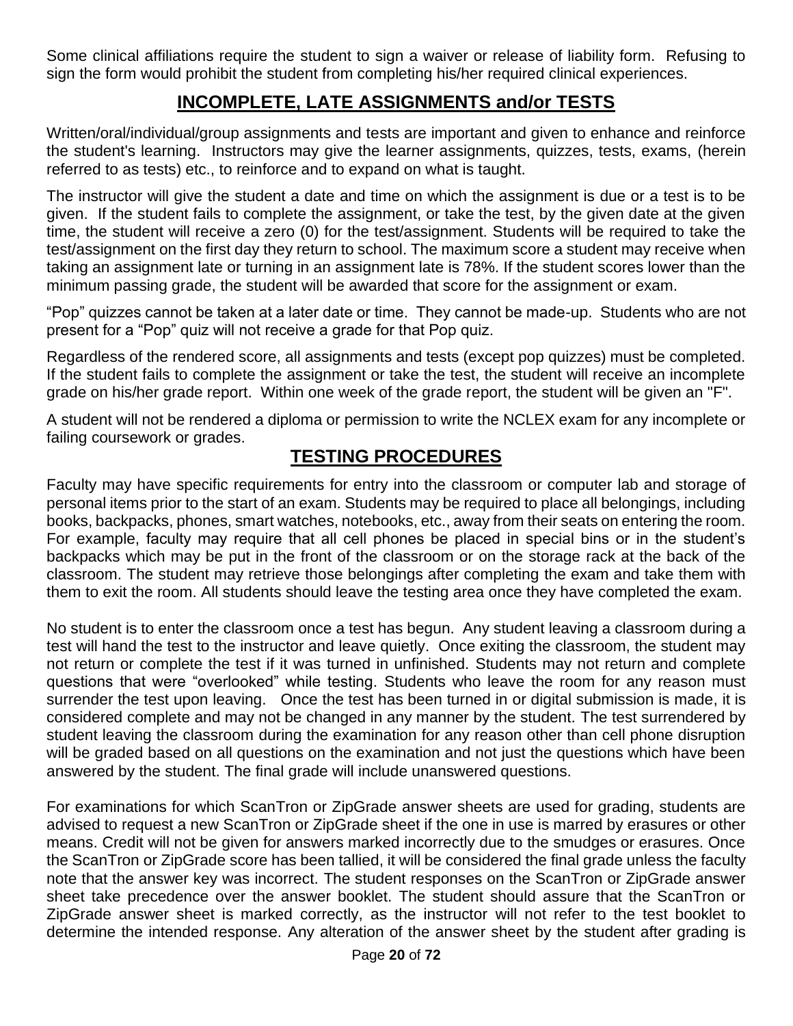Some clinical affiliations require the student to sign a waiver or release of liability form. Refusing to sign the form would prohibit the student from completing his/her required clinical experiences.

#### **INCOMPLETE, LATE ASSIGNMENTS and/or TESTS**

Written/oral/individual/group assignments and tests are important and given to enhance and reinforce the student's learning. Instructors may give the learner assignments, quizzes, tests, exams, (herein referred to as tests) etc., to reinforce and to expand on what is taught.

The instructor will give the student a date and time on which the assignment is due or a test is to be given. If the student fails to complete the assignment, or take the test, by the given date at the given time, the student will receive a zero (0) for the test/assignment. Students will be required to take the test/assignment on the first day they return to school. The maximum score a student may receive when taking an assignment late or turning in an assignment late is 78%. If the student scores lower than the minimum passing grade, the student will be awarded that score for the assignment or exam.

"Pop" quizzes cannot be taken at a later date or time. They cannot be made-up. Students who are not present for a "Pop" quiz will not receive a grade for that Pop quiz.

Regardless of the rendered score, all assignments and tests (except pop quizzes) must be completed. If the student fails to complete the assignment or take the test, the student will receive an incomplete grade on his/her grade report. Within one week of the grade report, the student will be given an "F".

A student will not be rendered a diploma or permission to write the NCLEX exam for any incomplete or failing coursework or grades.

#### **TESTING PROCEDURES**

Faculty may have specific requirements for entry into the classroom or computer lab and storage of personal items prior to the start of an exam. Students may be required to place all belongings, including books, backpacks, phones, smart watches, notebooks, etc., away from their seats on entering the room. For example, faculty may require that all cell phones be placed in special bins or in the student's backpacks which may be put in the front of the classroom or on the storage rack at the back of the classroom. The student may retrieve those belongings after completing the exam and take them with them to exit the room. All students should leave the testing area once they have completed the exam.

No student is to enter the classroom once a test has begun. Any student leaving a classroom during a test will hand the test to the instructor and leave quietly. Once exiting the classroom, the student may not return or complete the test if it was turned in unfinished. Students may not return and complete questions that were "overlooked" while testing. Students who leave the room for any reason must surrender the test upon leaving. Once the test has been turned in or digital submission is made, it is considered complete and may not be changed in any manner by the student. The test surrendered by student leaving the classroom during the examination for any reason other than cell phone disruption will be graded based on all questions on the examination and not just the questions which have been answered by the student. The final grade will include unanswered questions.

For examinations for which ScanTron or ZipGrade answer sheets are used for grading, students are advised to request a new ScanTron or ZipGrade sheet if the one in use is marred by erasures or other means. Credit will not be given for answers marked incorrectly due to the smudges or erasures. Once the ScanTron or ZipGrade score has been tallied, it will be considered the final grade unless the faculty note that the answer key was incorrect. The student responses on the ScanTron or ZipGrade answer sheet take precedence over the answer booklet. The student should assure that the ScanTron or ZipGrade answer sheet is marked correctly, as the instructor will not refer to the test booklet to determine the intended response. Any alteration of the answer sheet by the student after grading is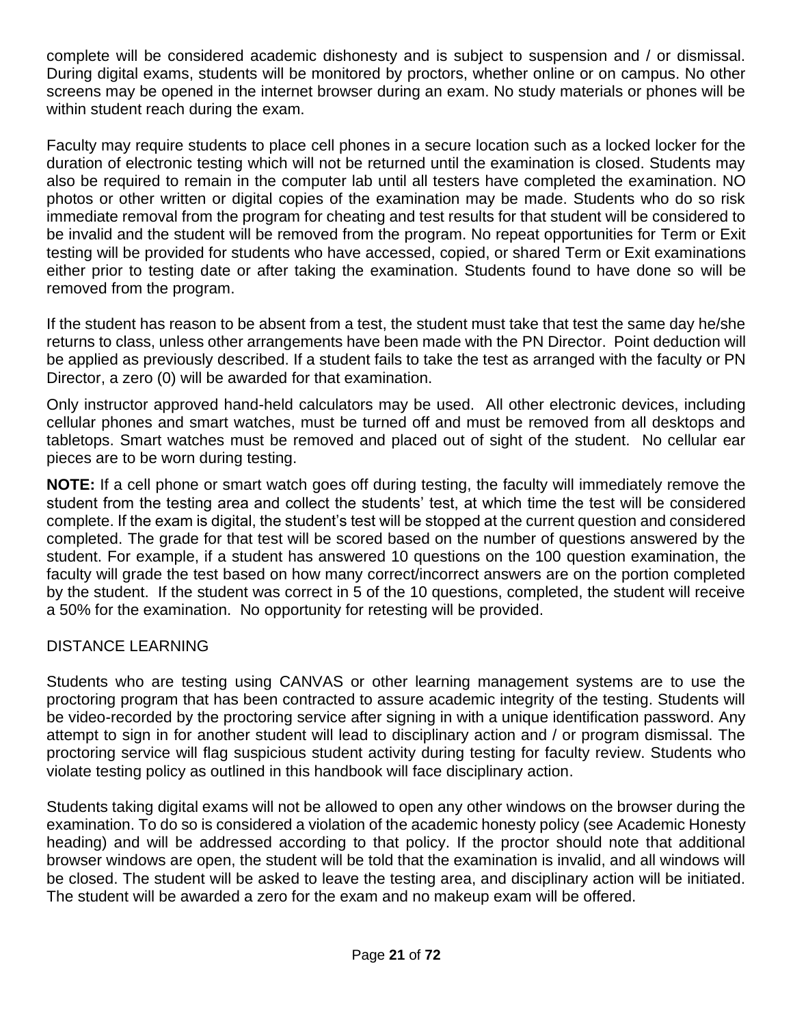complete will be considered academic dishonesty and is subject to suspension and / or dismissal. During digital exams, students will be monitored by proctors, whether online or on campus. No other screens may be opened in the internet browser during an exam. No study materials or phones will be within student reach during the exam.

Faculty may require students to place cell phones in a secure location such as a locked locker for the duration of electronic testing which will not be returned until the examination is closed. Students may also be required to remain in the computer lab until all testers have completed the examination. NO photos or other written or digital copies of the examination may be made. Students who do so risk immediate removal from the program for cheating and test results for that student will be considered to be invalid and the student will be removed from the program. No repeat opportunities for Term or Exit testing will be provided for students who have accessed, copied, or shared Term or Exit examinations either prior to testing date or after taking the examination. Students found to have done so will be removed from the program.

If the student has reason to be absent from a test, the student must take that test the same day he/she returns to class, unless other arrangements have been made with the PN Director. Point deduction will be applied as previously described. If a student fails to take the test as arranged with the faculty or PN Director, a zero (0) will be awarded for that examination.

Only instructor approved hand-held calculators may be used. All other electronic devices, including cellular phones and smart watches, must be turned off and must be removed from all desktops and tabletops. Smart watches must be removed and placed out of sight of the student. No cellular ear pieces are to be worn during testing.

**NOTE:** If a cell phone or smart watch goes off during testing, the faculty will immediately remove the student from the testing area and collect the students' test, at which time the test will be considered complete. If the exam is digital, the student's test will be stopped at the current question and considered completed. The grade for that test will be scored based on the number of questions answered by the student. For example, if a student has answered 10 questions on the 100 question examination, the faculty will grade the test based on how many correct/incorrect answers are on the portion completed by the student. If the student was correct in 5 of the 10 questions, completed, the student will receive a 50% for the examination. No opportunity for retesting will be provided.

#### DISTANCE LEARNING

Students who are testing using CANVAS or other learning management systems are to use the proctoring program that has been contracted to assure academic integrity of the testing. Students will be video-recorded by the proctoring service after signing in with a unique identification password. Any attempt to sign in for another student will lead to disciplinary action and / or program dismissal. The proctoring service will flag suspicious student activity during testing for faculty review. Students who violate testing policy as outlined in this handbook will face disciplinary action.

Students taking digital exams will not be allowed to open any other windows on the browser during the examination. To do so is considered a violation of the academic honesty policy (see Academic Honesty heading) and will be addressed according to that policy. If the proctor should note that additional browser windows are open, the student will be told that the examination is invalid, and all windows will be closed. The student will be asked to leave the testing area, and disciplinary action will be initiated. The student will be awarded a zero for the exam and no makeup exam will be offered.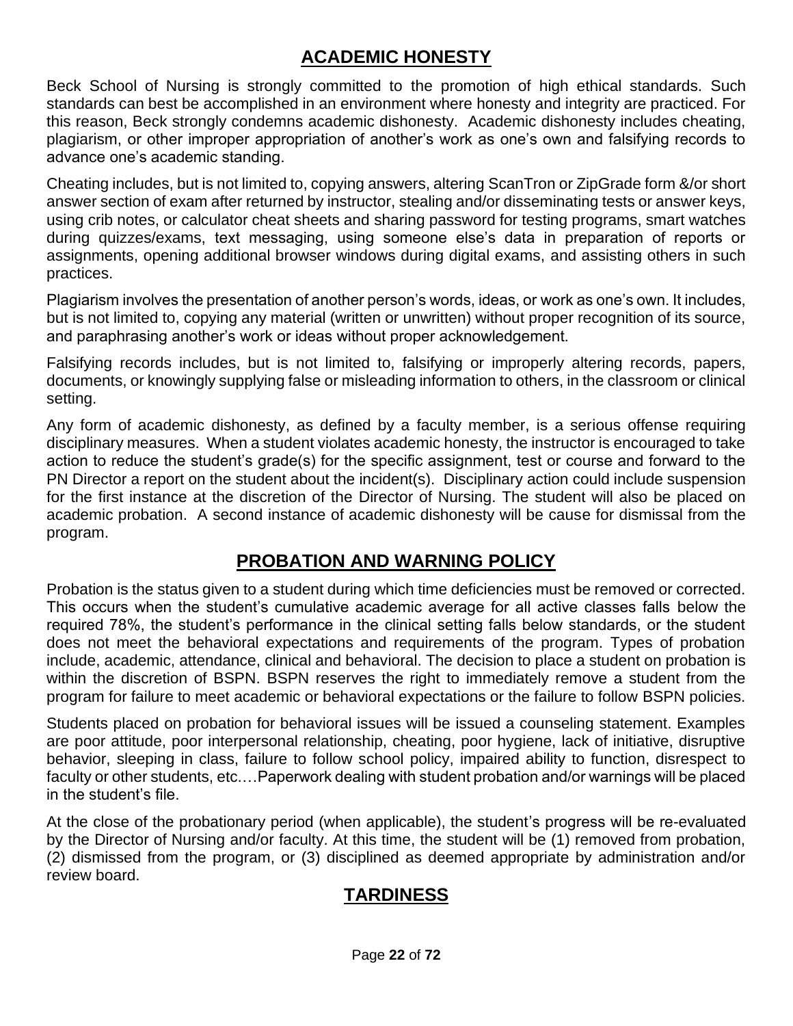#### **ACADEMIC HONESTY**

Beck School of Nursing is strongly committed to the promotion of high ethical standards. Such standards can best be accomplished in an environment where honesty and integrity are practiced. For this reason, Beck strongly condemns academic dishonesty. Academic dishonesty includes cheating, plagiarism, or other improper appropriation of another's work as one's own and falsifying records to advance one's academic standing.

Cheating includes, but is not limited to, copying answers, altering ScanTron or ZipGrade form &/or short answer section of exam after returned by instructor, stealing and/or disseminating tests or answer keys, using crib notes, or calculator cheat sheets and sharing password for testing programs, smart watches during quizzes/exams, text messaging, using someone else's data in preparation of reports or assignments, opening additional browser windows during digital exams, and assisting others in such practices.

Plagiarism involves the presentation of another person's words, ideas, or work as one's own. It includes, but is not limited to, copying any material (written or unwritten) without proper recognition of its source, and paraphrasing another's work or ideas without proper acknowledgement.

Falsifying records includes, but is not limited to, falsifying or improperly altering records, papers, documents, or knowingly supplying false or misleading information to others, in the classroom or clinical setting.

Any form of academic dishonesty, as defined by a faculty member, is a serious offense requiring disciplinary measures. When a student violates academic honesty, the instructor is encouraged to take action to reduce the student's grade(s) for the specific assignment, test or course and forward to the PN Director a report on the student about the incident(s). Disciplinary action could include suspension for the first instance at the discretion of the Director of Nursing. The student will also be placed on academic probation. A second instance of academic dishonesty will be cause for dismissal from the program.

#### **PROBATION AND WARNING POLICY**

Probation is the status given to a student during which time deficiencies must be removed or corrected. This occurs when the student's cumulative academic average for all active classes falls below the required 78%, the student's performance in the clinical setting falls below standards, or the student does not meet the behavioral expectations and requirements of the program. Types of probation include, academic, attendance, clinical and behavioral. The decision to place a student on probation is within the discretion of BSPN. BSPN reserves the right to immediately remove a student from the program for failure to meet academic or behavioral expectations or the failure to follow BSPN policies.

Students placed on probation for behavioral issues will be issued a counseling statement. Examples are poor attitude, poor interpersonal relationship, cheating, poor hygiene, lack of initiative, disruptive behavior, sleeping in class, failure to follow school policy, impaired ability to function, disrespect to faculty or other students, etc.…Paperwork dealing with student probation and/or warnings will be placed in the student's file.

At the close of the probationary period (when applicable), the student's progress will be re-evaluated by the Director of Nursing and/or faculty. At this time, the student will be (1) removed from probation, (2) dismissed from the program, or (3) disciplined as deemed appropriate by administration and/or review board.

#### **TARDINESS**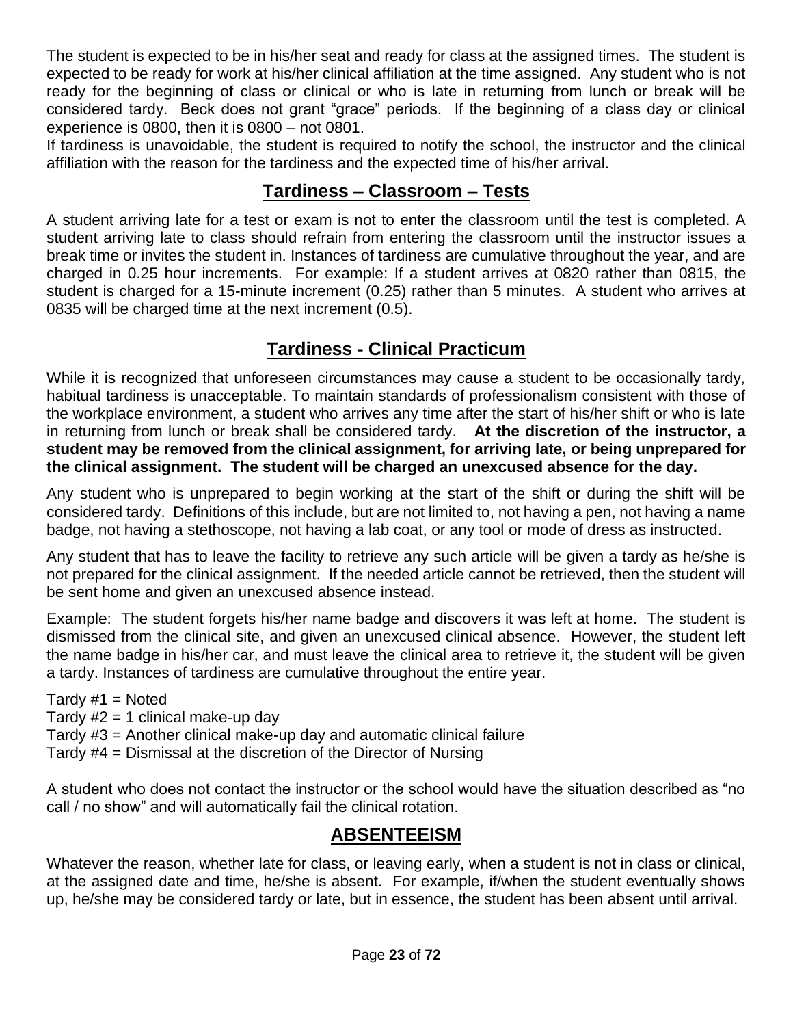The student is expected to be in his/her seat and ready for class at the assigned times. The student is expected to be ready for work at his/her clinical affiliation at the time assigned. Any student who is not ready for the beginning of class or clinical or who is late in returning from lunch or break will be considered tardy. Beck does not grant "grace" periods. If the beginning of a class day or clinical experience is 0800, then it is 0800 – not 0801.

If tardiness is unavoidable, the student is required to notify the school, the instructor and the clinical affiliation with the reason for the tardiness and the expected time of his/her arrival.

#### **Tardiness – Classroom – Tests**

A student arriving late for a test or exam is not to enter the classroom until the test is completed. A student arriving late to class should refrain from entering the classroom until the instructor issues a break time or invites the student in. Instances of tardiness are cumulative throughout the year, and are charged in 0.25 hour increments. For example: If a student arrives at 0820 rather than 0815, the student is charged for a 15-minute increment (0.25) rather than 5 minutes. A student who arrives at 0835 will be charged time at the next increment (0.5).

## **Tardiness - Clinical Practicum**

While it is recognized that unforeseen circumstances may cause a student to be occasionally tardy, habitual tardiness is unacceptable. To maintain standards of professionalism consistent with those of the workplace environment, a student who arrives any time after the start of his/her shift or who is late in returning from lunch or break shall be considered tardy. **At the discretion of the instructor, a student may be removed from the clinical assignment, for arriving late, or being unprepared for the clinical assignment. The student will be charged an unexcused absence for the day.**

Any student who is unprepared to begin working at the start of the shift or during the shift will be considered tardy. Definitions of this include, but are not limited to, not having a pen, not having a name badge, not having a stethoscope, not having a lab coat, or any tool or mode of dress as instructed.

Any student that has to leave the facility to retrieve any such article will be given a tardy as he/she is not prepared for the clinical assignment. If the needed article cannot be retrieved, then the student will be sent home and given an unexcused absence instead.

Example: The student forgets his/her name badge and discovers it was left at home. The student is dismissed from the clinical site, and given an unexcused clinical absence. However, the student left the name badge in his/her car, and must leave the clinical area to retrieve it, the student will be given a tardy. Instances of tardiness are cumulative throughout the entire year.

Tardy  $#1 =$  Noted

Tardy  $#2 = 1$  clinical make-up day

Tardy #3 = Another clinical make-up day and automatic clinical failure

Tardy #4 = Dismissal at the discretion of the Director of Nursing

A student who does not contact the instructor or the school would have the situation described as "no call / no show" and will automatically fail the clinical rotation.

#### **ABSENTEEISM**

Whatever the reason, whether late for class, or leaving early, when a student is not in class or clinical, at the assigned date and time, he/she is absent. For example, if/when the student eventually shows up, he/she may be considered tardy or late, but in essence, the student has been absent until arrival.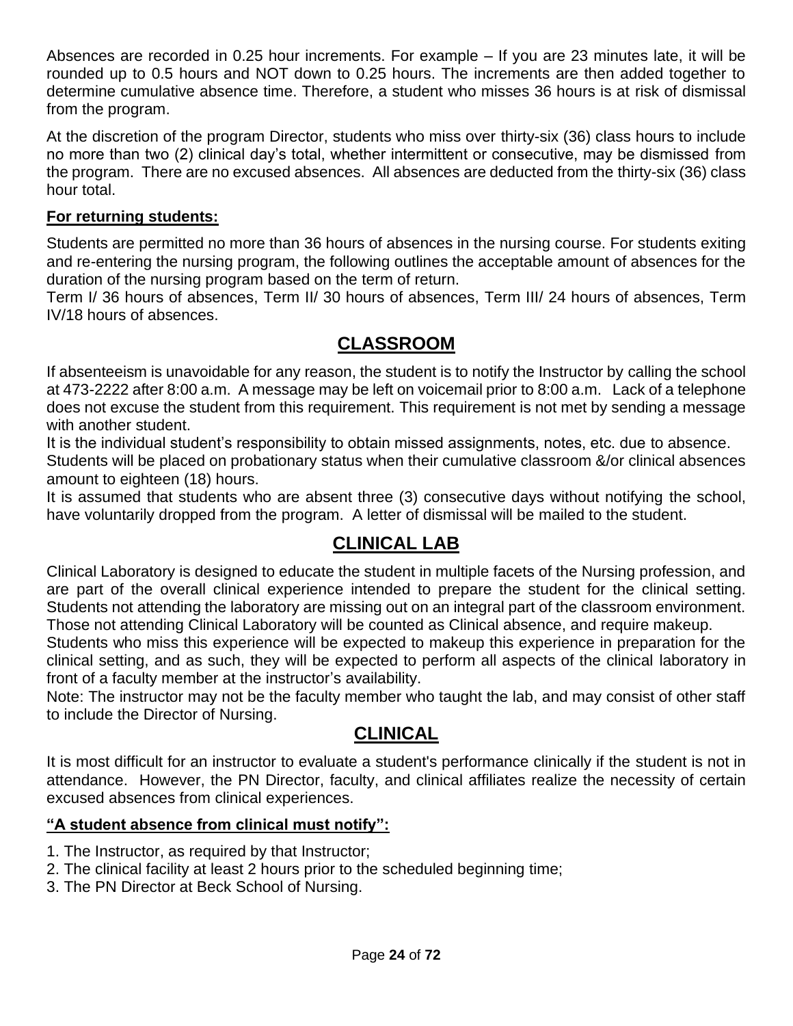Absences are recorded in 0.25 hour increments. For example – If you are 23 minutes late, it will be rounded up to 0.5 hours and NOT down to 0.25 hours. The increments are then added together to determine cumulative absence time. Therefore, a student who misses 36 hours is at risk of dismissal from the program.

At the discretion of the program Director, students who miss over thirty-six (36) class hours to include no more than two (2) clinical day's total, whether intermittent or consecutive, may be dismissed from the program. There are no excused absences. All absences are deducted from the thirty-six (36) class hour total.

#### **For returning students:**

Students are permitted no more than 36 hours of absences in the nursing course. For students exiting and re-entering the nursing program, the following outlines the acceptable amount of absences for the duration of the nursing program based on the term of return.

Term I/ 36 hours of absences, Term II/ 30 hours of absences, Term III/ 24 hours of absences, Term IV/18 hours of absences.

#### **CLASSROOM**

If absenteeism is unavoidable for any reason, the student is to notify the Instructor by calling the school at 473-2222 after 8:00 a.m. A message may be left on voicemail prior to 8:00 a.m. Lack of a telephone does not excuse the student from this requirement. This requirement is not met by sending a message with another student.

It is the individual student's responsibility to obtain missed assignments, notes, etc. due to absence. Students will be placed on probationary status when their cumulative classroom &/or clinical absences amount to eighteen (18) hours.

It is assumed that students who are absent three (3) consecutive days without notifying the school, have voluntarily dropped from the program. A letter of dismissal will be mailed to the student.

#### **CLINICAL LAB**

Clinical Laboratory is designed to educate the student in multiple facets of the Nursing profession, and are part of the overall clinical experience intended to prepare the student for the clinical setting. Students not attending the laboratory are missing out on an integral part of the classroom environment. Those not attending Clinical Laboratory will be counted as Clinical absence, and require makeup.

Students who miss this experience will be expected to makeup this experience in preparation for the clinical setting, and as such, they will be expected to perform all aspects of the clinical laboratory in front of a faculty member at the instructor's availability.

Note: The instructor may not be the faculty member who taught the lab, and may consist of other staff to include the Director of Nursing.

#### **CLINICAL**

It is most difficult for an instructor to evaluate a student's performance clinically if the student is not in attendance. However, the PN Director, faculty, and clinical affiliates realize the necessity of certain excused absences from clinical experiences.

#### **"A student absence from clinical must notify":**

- 1. The Instructor, as required by that Instructor;
- 2. The clinical facility at least 2 hours prior to the scheduled beginning time;
- 3. The PN Director at Beck School of Nursing.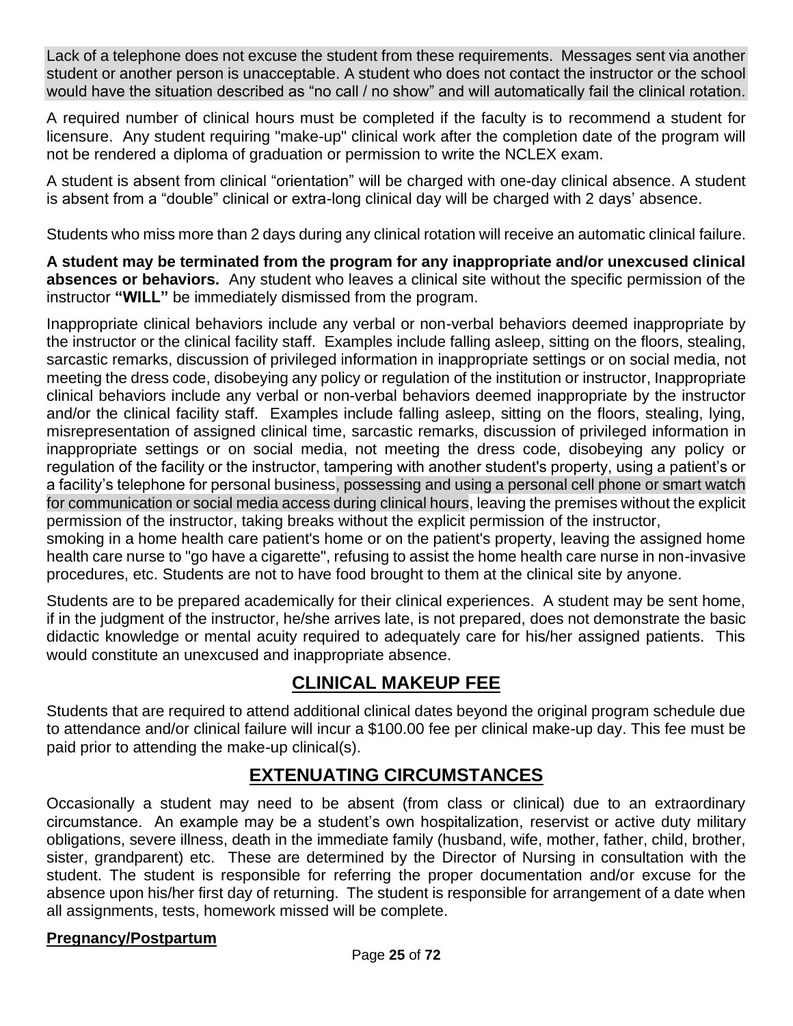Lack of a telephone does not excuse the student from these requirements. Messages sent via another student or another person is unacceptable. A student who does not contact the instructor or the school would have the situation described as "no call / no show" and will automatically fail the clinical rotation.

A required number of clinical hours must be completed if the faculty is to recommend a student for licensure. Any student requiring "make-up" clinical work after the completion date of the program will not be rendered a diploma of graduation or permission to write the NCLEX exam.

A student is absent from clinical "orientation" will be charged with one-day clinical absence. A student is absent from a "double" clinical or extra-long clinical day will be charged with 2 days' absence.

Students who miss more than 2 days during any clinical rotation will receive an automatic clinical failure.

**A student may be terminated from the program for any inappropriate and/or unexcused clinical absences or behaviors.** Any student who leaves a clinical site without the specific permission of the instructor **"WILL"** be immediately dismissed from the program.

Inappropriate clinical behaviors include any verbal or non-verbal behaviors deemed inappropriate by the instructor or the clinical facility staff. Examples include falling asleep, sitting on the floors, stealing, sarcastic remarks, discussion of privileged information in inappropriate settings or on social media, not meeting the dress code, disobeying any policy or regulation of the institution or instructor, Inappropriate clinical behaviors include any verbal or non-verbal behaviors deemed inappropriate by the instructor and/or the clinical facility staff. Examples include falling asleep, sitting on the floors, stealing, lying, misrepresentation of assigned clinical time, sarcastic remarks, discussion of privileged information in inappropriate settings or on social media, not meeting the dress code, disobeying any policy or regulation of the facility or the instructor, tampering with another student's property, using a patient's or a facility's telephone for personal business, possessing and using a personal cell phone or smart watch for communication or social media access during clinical hours, leaving the premises without the explicit permission of the instructor, taking breaks without the explicit permission of the instructor,

smoking in a home health care patient's home or on the patient's property, leaving the assigned home health care nurse to "go have a cigarette", refusing to assist the home health care nurse in non-invasive procedures, etc. Students are not to have food brought to them at the clinical site by anyone.

Students are to be prepared academically for their clinical experiences. A student may be sent home, if in the judgment of the instructor, he/she arrives late, is not prepared, does not demonstrate the basic didactic knowledge or mental acuity required to adequately care for his/her assigned patients. This would constitute an unexcused and inappropriate absence.

## **CLINICAL MAKEUP FEE**

Students that are required to attend additional clinical dates beyond the original program schedule due to attendance and/or clinical failure will incur a \$100.00 fee per clinical make-up day. This fee must be paid prior to attending the make-up clinical(s).

#### **EXTENUATING CIRCUMSTANCES**

Occasionally a student may need to be absent (from class or clinical) due to an extraordinary circumstance. An example may be a student's own hospitalization, reservist or active duty military obligations, severe illness, death in the immediate family (husband, wife, mother, father, child, brother, sister, grandparent) etc. These are determined by the Director of Nursing in consultation with the student. The student is responsible for referring the proper documentation and/or excuse for the absence upon his/her first day of returning. The student is responsible for arrangement of a date when all assignments, tests, homework missed will be complete.

#### **Pregnancy/Postpartum**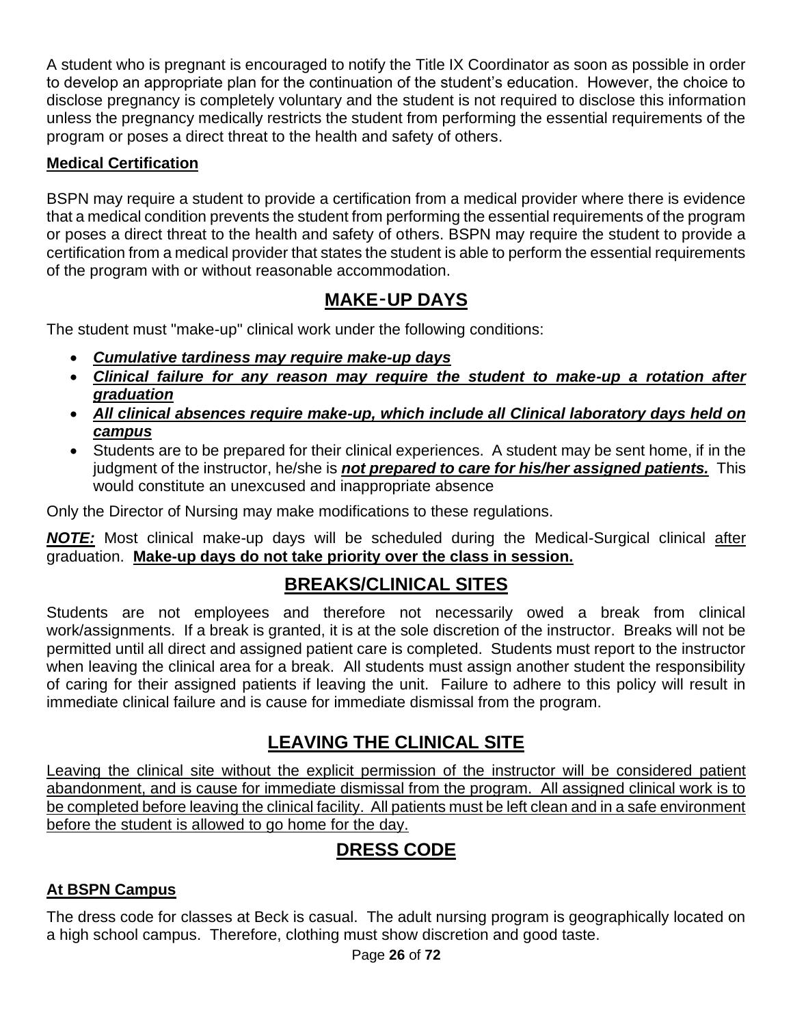A student who is pregnant is encouraged to notify the Title IX Coordinator as soon as possible in order to develop an appropriate plan for the continuation of the student's education. However, the choice to disclose pregnancy is completely voluntary and the student is not required to disclose this information unless the pregnancy medically restricts the student from performing the essential requirements of the program or poses a direct threat to the health and safety of others.

#### **Medical Certification**

BSPN may require a student to provide a certification from a medical provider where there is evidence that a medical condition prevents the student from performing the essential requirements of the program or poses a direct threat to the health and safety of others. BSPN may require the student to provide a certification from a medical provider that states the student is able to perform the essential requirements of the program with or without reasonable accommodation.

#### **MAKE**‑**UP DAYS**

The student must "make-up" clinical work under the following conditions:

- *Cumulative tardiness may require make-up days*
- *Clinical failure for any reason may require the student to make-up a rotation after graduation*
- *All clinical absences require make-up, which include all Clinical laboratory days held on campus*
- Students are to be prepared for their clinical experiences. A student may be sent home, if in the judgment of the instructor, he/she is *not prepared to care for his/her assigned patients.* This would constitute an unexcused and inappropriate absence

Only the Director of Nursing may make modifications to these regulations.

*NOTE:* Most clinical make-up days will be scheduled during the Medical-Surgical clinical after graduation. **Make-up days do not take priority over the class in session.**

## **BREAKS/CLINICAL SITES**

Students are not employees and therefore not necessarily owed a break from clinical work/assignments. If a break is granted, it is at the sole discretion of the instructor. Breaks will not be permitted until all direct and assigned patient care is completed. Students must report to the instructor when leaving the clinical area for a break. All students must assign another student the responsibility of caring for their assigned patients if leaving the unit. Failure to adhere to this policy will result in immediate clinical failure and is cause for immediate dismissal from the program.

## **LEAVING THE CLINICAL SITE**

Leaving the clinical site without the explicit permission of the instructor will be considered patient abandonment, and is cause for immediate dismissal from the program. All assigned clinical work is to be completed before leaving the clinical facility. All patients must be left clean and in a safe environment before the student is allowed to go home for the day.

## **DRESS CODE**

#### **At BSPN Campus**

The dress code for classes at Beck is casual. The adult nursing program is geographically located on a high school campus. Therefore, clothing must show discretion and good taste.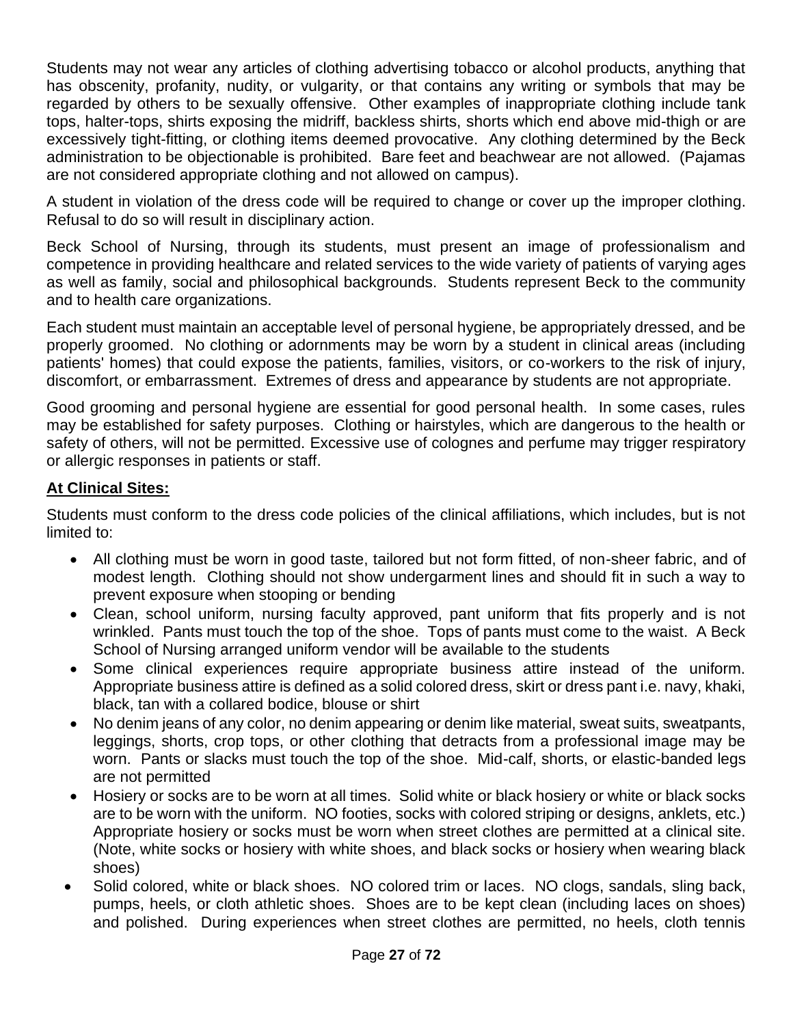Students may not wear any articles of clothing advertising tobacco or alcohol products, anything that has obscenity, profanity, nudity, or vulgarity, or that contains any writing or symbols that may be regarded by others to be sexually offensive. Other examples of inappropriate clothing include tank tops, halter-tops, shirts exposing the midriff, backless shirts, shorts which end above mid-thigh or are excessively tight-fitting, or clothing items deemed provocative. Any clothing determined by the Beck administration to be objectionable is prohibited. Bare feet and beachwear are not allowed. (Pajamas are not considered appropriate clothing and not allowed on campus).

A student in violation of the dress code will be required to change or cover up the improper clothing. Refusal to do so will result in disciplinary action.

Beck School of Nursing, through its students, must present an image of professionalism and competence in providing healthcare and related services to the wide variety of patients of varying ages as well as family, social and philosophical backgrounds. Students represent Beck to the community and to health care organizations.

Each student must maintain an acceptable level of personal hygiene, be appropriately dressed, and be properly groomed. No clothing or adornments may be worn by a student in clinical areas (including patients' homes) that could expose the patients, families, visitors, or co-workers to the risk of injury, discomfort, or embarrassment. Extremes of dress and appearance by students are not appropriate.

Good grooming and personal hygiene are essential for good personal health. In some cases, rules may be established for safety purposes. Clothing or hairstyles, which are dangerous to the health or safety of others, will not be permitted. Excessive use of colognes and perfume may trigger respiratory or allergic responses in patients or staff.

#### **At Clinical Sites:**

Students must conform to the dress code policies of the clinical affiliations, which includes, but is not limited to:

- All clothing must be worn in good taste, tailored but not form fitted, of non-sheer fabric, and of modest length. Clothing should not show undergarment lines and should fit in such a way to prevent exposure when stooping or bending
- Clean, school uniform, nursing faculty approved, pant uniform that fits properly and is not wrinkled. Pants must touch the top of the shoe. Tops of pants must come to the waist. A Beck School of Nursing arranged uniform vendor will be available to the students
- Some clinical experiences require appropriate business attire instead of the uniform. Appropriate business attire is defined as a solid colored dress, skirt or dress pant i.e. navy, khaki, black, tan with a collared bodice, blouse or shirt
- No denim jeans of any color, no denim appearing or denim like material, sweat suits, sweatpants, leggings, shorts, crop tops, or other clothing that detracts from a professional image may be worn. Pants or slacks must touch the top of the shoe. Mid-calf, shorts, or elastic-banded legs are not permitted
- Hosiery or socks are to be worn at all times. Solid white or black hosiery or white or black socks are to be worn with the uniform. NO footies, socks with colored striping or designs, anklets, etc.) Appropriate hosiery or socks must be worn when street clothes are permitted at a clinical site. (Note, white socks or hosiery with white shoes, and black socks or hosiery when wearing black shoes)
- Solid colored, white or black shoes. NO colored trim or laces. NO clogs, sandals, sling back, pumps, heels, or cloth athletic shoes. Shoes are to be kept clean (including laces on shoes) and polished. During experiences when street clothes are permitted, no heels, cloth tennis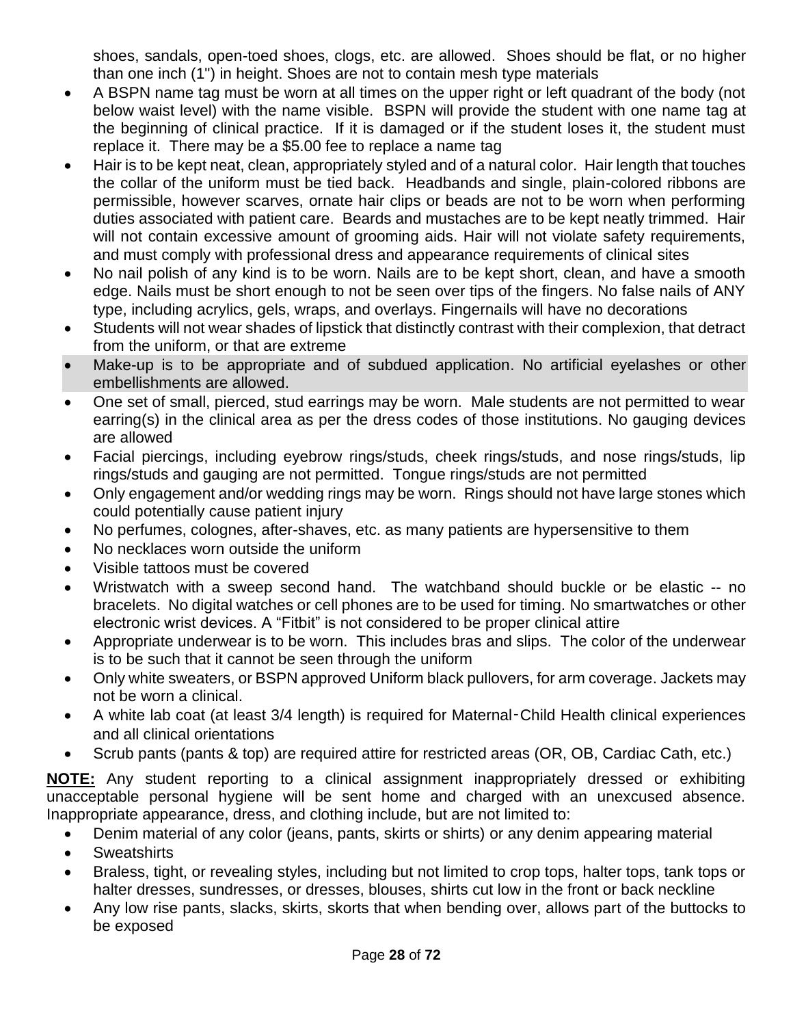shoes, sandals, open-toed shoes, clogs, etc. are allowed. Shoes should be flat, or no higher than one inch (1") in height. Shoes are not to contain mesh type materials

- A BSPN name tag must be worn at all times on the upper right or left quadrant of the body (not below waist level) with the name visible. BSPN will provide the student with one name tag at the beginning of clinical practice. If it is damaged or if the student loses it, the student must replace it. There may be a \$5.00 fee to replace a name tag
- Hair is to be kept neat, clean, appropriately styled and of a natural color. Hair length that touches the collar of the uniform must be tied back. Headbands and single, plain-colored ribbons are permissible, however scarves, ornate hair clips or beads are not to be worn when performing duties associated with patient care. Beards and mustaches are to be kept neatly trimmed. Hair will not contain excessive amount of grooming aids. Hair will not violate safety requirements, and must comply with professional dress and appearance requirements of clinical sites
- No nail polish of any kind is to be worn. Nails are to be kept short, clean, and have a smooth edge. Nails must be short enough to not be seen over tips of the fingers. No false nails of ANY type, including acrylics, gels, wraps, and overlays. Fingernails will have no decorations
- Students will not wear shades of lipstick that distinctly contrast with their complexion, that detract from the uniform, or that are extreme
- Make-up is to be appropriate and of subdued application. No artificial eyelashes or other embellishments are allowed.
- One set of small, pierced, stud earrings may be worn. Male students are not permitted to wear earring(s) in the clinical area as per the dress codes of those institutions. No gauging devices are allowed
- Facial piercings, including eyebrow rings/studs, cheek rings/studs, and nose rings/studs, lip rings/studs and gauging are not permitted. Tongue rings/studs are not permitted
- Only engagement and/or wedding rings may be worn. Rings should not have large stones which could potentially cause patient injury
- No perfumes, colognes, after-shaves, etc. as many patients are hypersensitive to them
- No necklaces worn outside the uniform
- Visible tattoos must be covered
- Wristwatch with a sweep second hand. The watchband should buckle or be elastic -- no bracelets. No digital watches or cell phones are to be used for timing. No smartwatches or other electronic wrist devices. A "Fitbit" is not considered to be proper clinical attire
- Appropriate underwear is to be worn. This includes bras and slips. The color of the underwear is to be such that it cannot be seen through the uniform
- Only white sweaters, or BSPN approved Uniform black pullovers, for arm coverage. Jackets may not be worn a clinical.
- A white lab coat (at least 3/4 length) is required for Maternal‑Child Health clinical experiences and all clinical orientations
- Scrub pants (pants & top) are required attire for restricted areas (OR, OB, Cardiac Cath, etc.)

**NOTE:** Any student reporting to a clinical assignment inappropriately dressed or exhibiting unacceptable personal hygiene will be sent home and charged with an unexcused absence. Inappropriate appearance, dress, and clothing include, but are not limited to:

- Denim material of any color (jeans, pants, skirts or shirts) or any denim appearing material
- Sweatshirts
- Braless, tight, or revealing styles, including but not limited to crop tops, halter tops, tank tops or halter dresses, sundresses, or dresses, blouses, shirts cut low in the front or back neckline
- Any low rise pants, slacks, skirts, skorts that when bending over, allows part of the buttocks to be exposed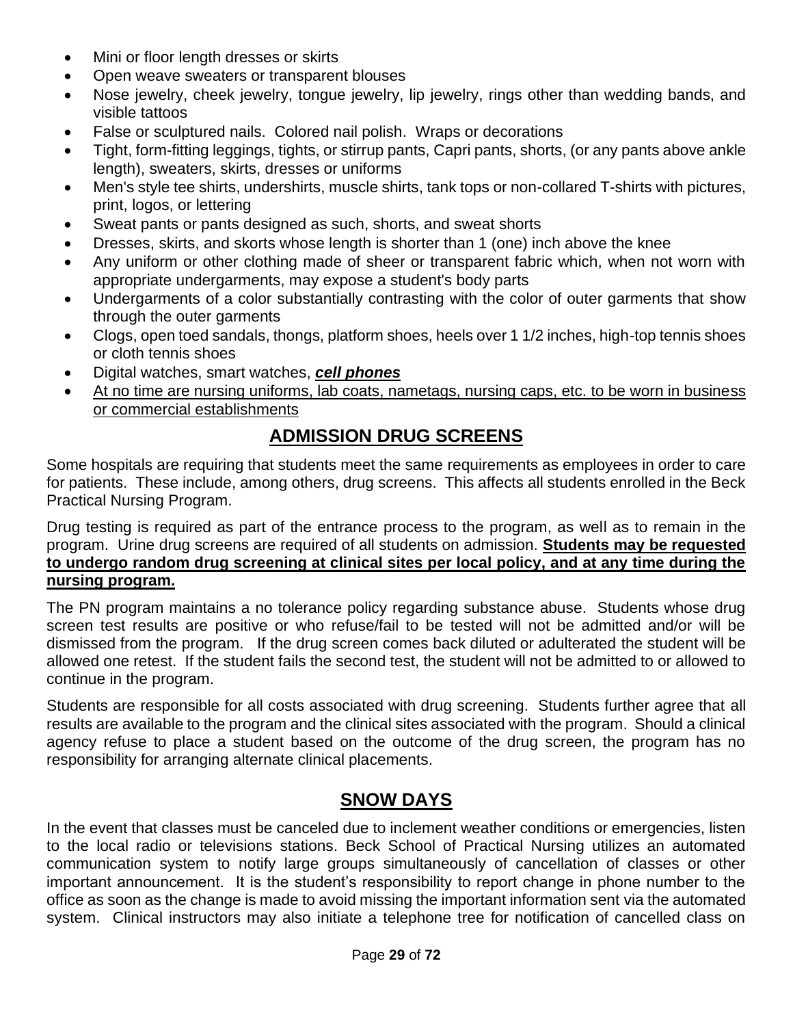- Mini or floor length dresses or skirts
- Open weave sweaters or transparent blouses
- Nose jewelry, cheek jewelry, tongue jewelry, lip jewelry, rings other than wedding bands, and visible tattoos
- False or sculptured nails. Colored nail polish. Wraps or decorations
- Tight, form-fitting leggings, tights, or stirrup pants, Capri pants, shorts, (or any pants above ankle length), sweaters, skirts, dresses or uniforms
- Men's style tee shirts, undershirts, muscle shirts, tank tops or non-collared T-shirts with pictures, print, logos, or lettering
- Sweat pants or pants designed as such, shorts, and sweat shorts
- Dresses, skirts, and skorts whose length is shorter than 1 (one) inch above the knee
- Any uniform or other clothing made of sheer or transparent fabric which, when not worn with appropriate undergarments, may expose a student's body parts
- Undergarments of a color substantially contrasting with the color of outer garments that show through the outer garments
- Clogs, open toed sandals, thongs, platform shoes, heels over 1 1/2 inches, high-top tennis shoes or cloth tennis shoes
- Digital watches, smart watches, *cell phones*
- At no time are nursing uniforms, lab coats, nametags, nursing caps, etc. to be worn in business or commercial establishments

## **ADMISSION DRUG SCREENS**

Some hospitals are requiring that students meet the same requirements as employees in order to care for patients. These include, among others, drug screens. This affects all students enrolled in the Beck Practical Nursing Program.

Drug testing is required as part of the entrance process to the program, as well as to remain in the program. Urine drug screens are required of all students on admission. **Students may be requested to undergo random drug screening at clinical sites per local policy, and at any time during the nursing program.**

The PN program maintains a no tolerance policy regarding substance abuse. Students whose drug screen test results are positive or who refuse/fail to be tested will not be admitted and/or will be dismissed from the program. If the drug screen comes back diluted or adulterated the student will be allowed one retest. If the student fails the second test, the student will not be admitted to or allowed to continue in the program.

Students are responsible for all costs associated with drug screening. Students further agree that all results are available to the program and the clinical sites associated with the program. Should a clinical agency refuse to place a student based on the outcome of the drug screen, the program has no responsibility for arranging alternate clinical placements.

#### **SNOW DAYS**

In the event that classes must be canceled due to inclement weather conditions or emergencies, listen to the local radio or televisions stations. Beck School of Practical Nursing utilizes an automated communication system to notify large groups simultaneously of cancellation of classes or other important announcement. It is the student's responsibility to report change in phone number to the office as soon as the change is made to avoid missing the important information sent via the automated system. Clinical instructors may also initiate a telephone tree for notification of cancelled class on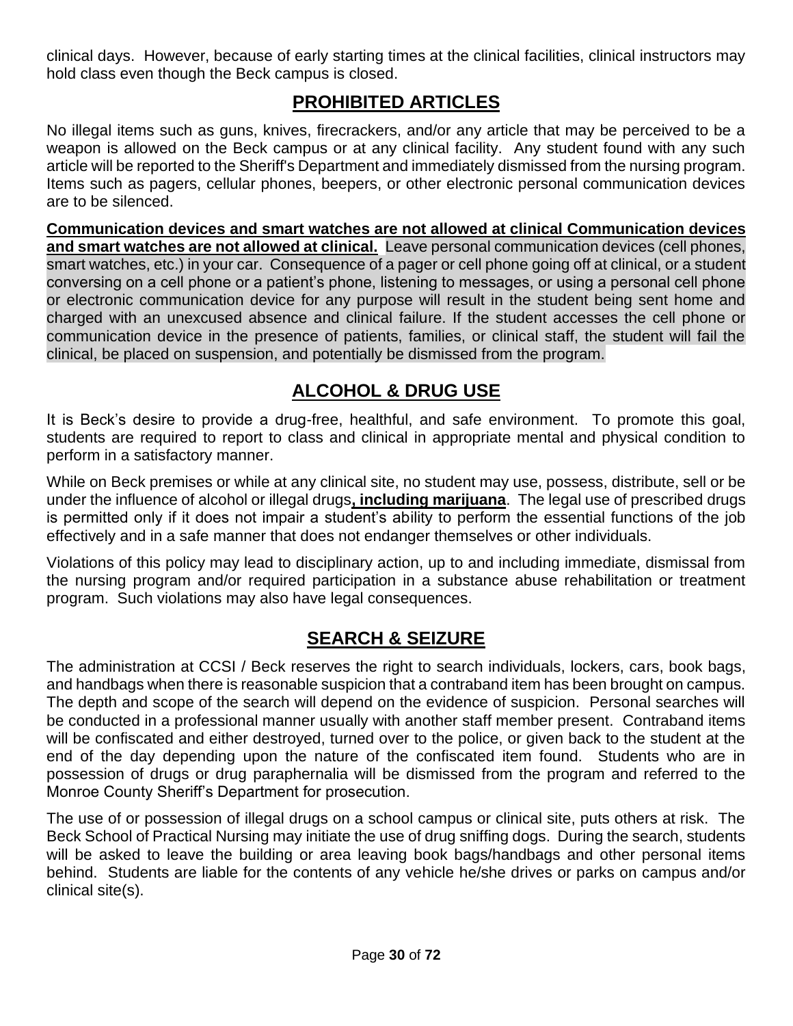clinical days. However, because of early starting times at the clinical facilities, clinical instructors may hold class even though the Beck campus is closed.

## **PROHIBITED ARTICLES**

No illegal items such as guns, knives, firecrackers, and/or any article that may be perceived to be a weapon is allowed on the Beck campus or at any clinical facility. Any student found with any such article will be reported to the Sheriff's Department and immediately dismissed from the nursing program. Items such as pagers, cellular phones, beepers, or other electronic personal communication devices are to be silenced.

**Communication devices and smart watches are not allowed at clinical Communication devices and smart watches are not allowed at clinical.** Leave personal communication devices (cell phones, smart watches, etc.) in your car. Consequence of a pager or cell phone going off at clinical, or a student conversing on a cell phone or a patient's phone, listening to messages, or using a personal cell phone or electronic communication device for any purpose will result in the student being sent home and charged with an unexcused absence and clinical failure. If the student accesses the cell phone or communication device in the presence of patients, families, or clinical staff, the student will fail the clinical, be placed on suspension, and potentially be dismissed from the program.

## **ALCOHOL & DRUG USE**

It is Beck's desire to provide a drug-free, healthful, and safe environment. To promote this goal, students are required to report to class and clinical in appropriate mental and physical condition to perform in a satisfactory manner.

While on Beck premises or while at any clinical site, no student may use, possess, distribute, sell or be under the influence of alcohol or illegal drugs**, including marijuana**. The legal use of prescribed drugs is permitted only if it does not impair a student's ability to perform the essential functions of the job effectively and in a safe manner that does not endanger themselves or other individuals.

Violations of this policy may lead to disciplinary action, up to and including immediate, dismissal from the nursing program and/or required participation in a substance abuse rehabilitation or treatment program. Such violations may also have legal consequences.

#### **SEARCH & SEIZURE**

The administration at CCSI / Beck reserves the right to search individuals, lockers, cars, book bags, and handbags when there is reasonable suspicion that a contraband item has been brought on campus. The depth and scope of the search will depend on the evidence of suspicion. Personal searches will be conducted in a professional manner usually with another staff member present. Contraband items will be confiscated and either destroyed, turned over to the police, or given back to the student at the end of the day depending upon the nature of the confiscated item found. Students who are in possession of drugs or drug paraphernalia will be dismissed from the program and referred to the Monroe County Sheriff's Department for prosecution.

The use of or possession of illegal drugs on a school campus or clinical site, puts others at risk. The Beck School of Practical Nursing may initiate the use of drug sniffing dogs. During the search, students will be asked to leave the building or area leaving book bags/handbags and other personal items behind. Students are liable for the contents of any vehicle he/she drives or parks on campus and/or clinical site(s).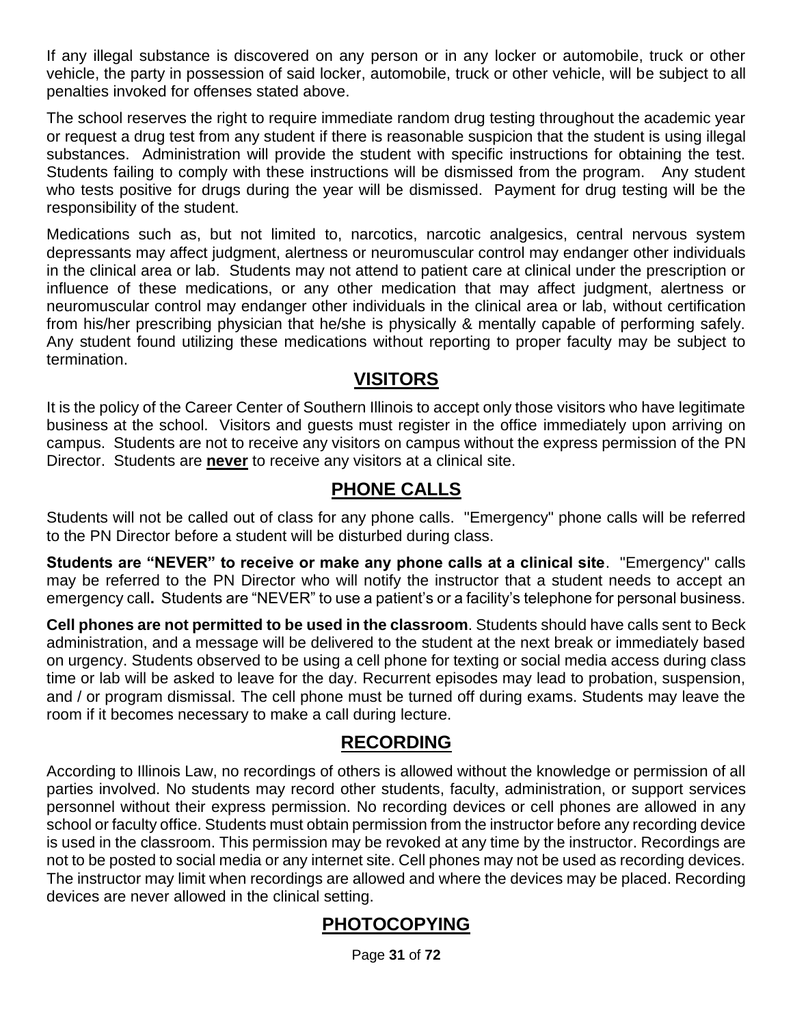If any illegal substance is discovered on any person or in any locker or automobile, truck or other vehicle, the party in possession of said locker, automobile, truck or other vehicle, will be subject to all penalties invoked for offenses stated above.

The school reserves the right to require immediate random drug testing throughout the academic year or request a drug test from any student if there is reasonable suspicion that the student is using illegal substances. Administration will provide the student with specific instructions for obtaining the test. Students failing to comply with these instructions will be dismissed from the program. Any student who tests positive for drugs during the year will be dismissed. Payment for drug testing will be the responsibility of the student.

Medications such as, but not limited to, narcotics, narcotic analgesics, central nervous system depressants may affect judgment, alertness or neuromuscular control may endanger other individuals in the clinical area or lab. Students may not attend to patient care at clinical under the prescription or influence of these medications, or any other medication that may affect judgment, alertness or neuromuscular control may endanger other individuals in the clinical area or lab, without certification from his/her prescribing physician that he/she is physically & mentally capable of performing safely. Any student found utilizing these medications without reporting to proper faculty may be subject to termination.

#### **VISITORS**

It is the policy of the Career Center of Southern Illinois to accept only those visitors who have legitimate business at the school. Visitors and guests must register in the office immediately upon arriving on campus. Students are not to receive any visitors on campus without the express permission of the PN Director. Students are **never** to receive any visitors at a clinical site.

#### **PHONE CALLS**

Students will not be called out of class for any phone calls. "Emergency" phone calls will be referred to the PN Director before a student will be disturbed during class.

**Students are "NEVER" to receive or make any phone calls at a clinical site**. "Emergency" calls may be referred to the PN Director who will notify the instructor that a student needs to accept an emergency call**.** Students are "NEVER" to use a patient's or a facility's telephone for personal business.

**Cell phones are not permitted to be used in the classroom**. Students should have calls sent to Beck administration, and a message will be delivered to the student at the next break or immediately based on urgency. Students observed to be using a cell phone for texting or social media access during class time or lab will be asked to leave for the day. Recurrent episodes may lead to probation, suspension, and / or program dismissal. The cell phone must be turned off during exams. Students may leave the room if it becomes necessary to make a call during lecture.

#### **RECORDING**

According to Illinois Law, no recordings of others is allowed without the knowledge or permission of all parties involved. No students may record other students, faculty, administration, or support services personnel without their express permission. No recording devices or cell phones are allowed in any school or faculty office. Students must obtain permission from the instructor before any recording device is used in the classroom. This permission may be revoked at any time by the instructor. Recordings are not to be posted to social media or any internet site. Cell phones may not be used as recording devices. The instructor may limit when recordings are allowed and where the devices may be placed. Recording devices are never allowed in the clinical setting.

## **PHOTOCOPYING**

Page **31** of **72**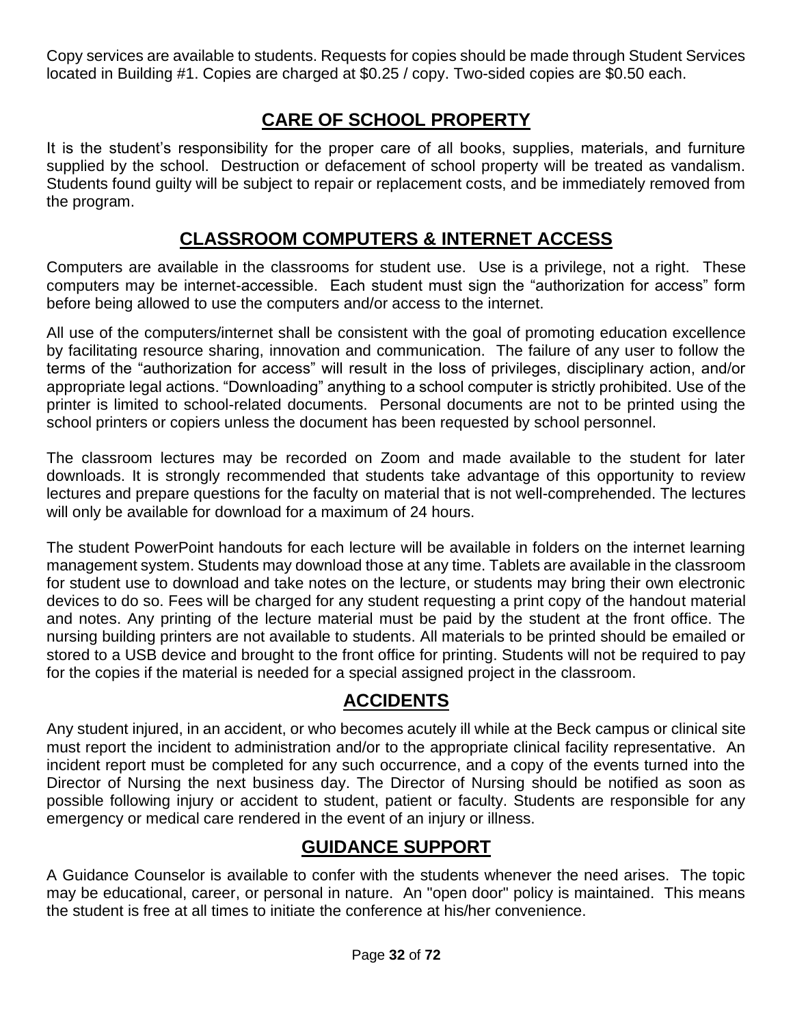Copy services are available to students. Requests for copies should be made through Student Services located in Building #1. Copies are charged at \$0.25 / copy. Two-sided copies are \$0.50 each.

## **CARE OF SCHOOL PROPERTY**

It is the student's responsibility for the proper care of all books, supplies, materials, and furniture supplied by the school. Destruction or defacement of school property will be treated as vandalism. Students found guilty will be subject to repair or replacement costs, and be immediately removed from the program.

#### **CLASSROOM COMPUTERS & INTERNET ACCESS**

Computers are available in the classrooms for student use. Use is a privilege, not a right. These computers may be internet-accessible. Each student must sign the "authorization for access" form before being allowed to use the computers and/or access to the internet.

All use of the computers/internet shall be consistent with the goal of promoting education excellence by facilitating resource sharing, innovation and communication. The failure of any user to follow the terms of the "authorization for access" will result in the loss of privileges, disciplinary action, and/or appropriate legal actions. "Downloading" anything to a school computer is strictly prohibited. Use of the printer is limited to school-related documents. Personal documents are not to be printed using the school printers or copiers unless the document has been requested by school personnel.

The classroom lectures may be recorded on Zoom and made available to the student for later downloads. It is strongly recommended that students take advantage of this opportunity to review lectures and prepare questions for the faculty on material that is not well-comprehended. The lectures will only be available for download for a maximum of 24 hours.

The student PowerPoint handouts for each lecture will be available in folders on the internet learning management system. Students may download those at any time. Tablets are available in the classroom for student use to download and take notes on the lecture, or students may bring their own electronic devices to do so. Fees will be charged for any student requesting a print copy of the handout material and notes. Any printing of the lecture material must be paid by the student at the front office. The nursing building printers are not available to students. All materials to be printed should be emailed or stored to a USB device and brought to the front office for printing. Students will not be required to pay for the copies if the material is needed for a special assigned project in the classroom.

#### **ACCIDENTS**

Any student injured, in an accident, or who becomes acutely ill while at the Beck campus or clinical site must report the incident to administration and/or to the appropriate clinical facility representative. An incident report must be completed for any such occurrence, and a copy of the events turned into the Director of Nursing the next business day. The Director of Nursing should be notified as soon as possible following injury or accident to student, patient or faculty. Students are responsible for any emergency or medical care rendered in the event of an injury or illness.

## **GUIDANCE SUPPORT**

A Guidance Counselor is available to confer with the students whenever the need arises. The topic may be educational, career, or personal in nature. An "open door" policy is maintained. This means the student is free at all times to initiate the conference at his/her convenience.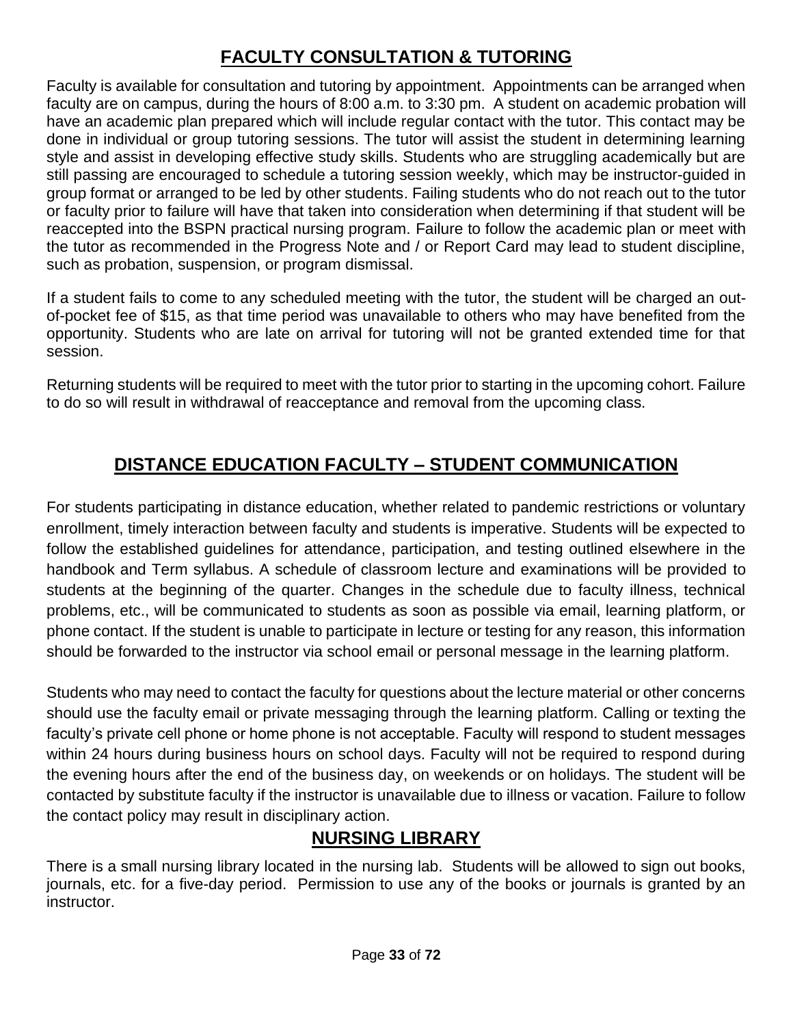## **FACULTY CONSULTATION & TUTORING**

Faculty is available for consultation and tutoring by appointment. Appointments can be arranged when faculty are on campus, during the hours of 8:00 a.m. to 3:30 pm. A student on academic probation will have an academic plan prepared which will include regular contact with the tutor. This contact may be done in individual or group tutoring sessions. The tutor will assist the student in determining learning style and assist in developing effective study skills. Students who are struggling academically but are still passing are encouraged to schedule a tutoring session weekly, which may be instructor-guided in group format or arranged to be led by other students. Failing students who do not reach out to the tutor or faculty prior to failure will have that taken into consideration when determining if that student will be reaccepted into the BSPN practical nursing program. Failure to follow the academic plan or meet with the tutor as recommended in the Progress Note and / or Report Card may lead to student discipline, such as probation, suspension, or program dismissal.

If a student fails to come to any scheduled meeting with the tutor, the student will be charged an outof-pocket fee of \$15, as that time period was unavailable to others who may have benefited from the opportunity. Students who are late on arrival for tutoring will not be granted extended time for that session.

Returning students will be required to meet with the tutor prior to starting in the upcoming cohort. Failure to do so will result in withdrawal of reacceptance and removal from the upcoming class.

## **DISTANCE EDUCATION FACULTY – STUDENT COMMUNICATION**

For students participating in distance education, whether related to pandemic restrictions or voluntary enrollment, timely interaction between faculty and students is imperative. Students will be expected to follow the established guidelines for attendance, participation, and testing outlined elsewhere in the handbook and Term syllabus. A schedule of classroom lecture and examinations will be provided to students at the beginning of the quarter. Changes in the schedule due to faculty illness, technical problems, etc., will be communicated to students as soon as possible via email, learning platform, or phone contact. If the student is unable to participate in lecture or testing for any reason, this information should be forwarded to the instructor via school email or personal message in the learning platform.

Students who may need to contact the faculty for questions about the lecture material or other concerns should use the faculty email or private messaging through the learning platform. Calling or texting the faculty's private cell phone or home phone is not acceptable. Faculty will respond to student messages within 24 hours during business hours on school days. Faculty will not be required to respond during the evening hours after the end of the business day, on weekends or on holidays. The student will be contacted by substitute faculty if the instructor is unavailable due to illness or vacation. Failure to follow the contact policy may result in disciplinary action.

## **NURSING LIBRARY**

There is a small nursing library located in the nursing lab. Students will be allowed to sign out books, journals, etc. for a five-day period. Permission to use any of the books or journals is granted by an instructor.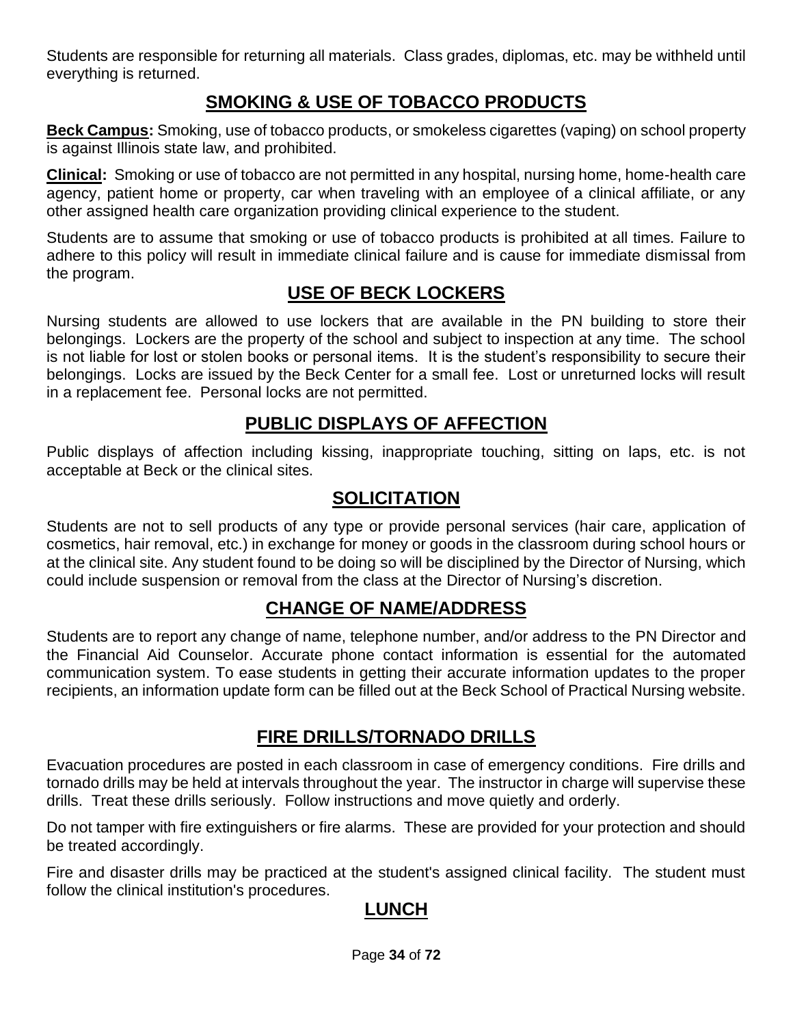Students are responsible for returning all materials. Class grades, diplomas, etc. may be withheld until everything is returned.

## **SMOKING & USE OF TOBACCO PRODUCTS**

**Beck Campus:** Smoking, use of tobacco products, or smokeless cigarettes (vaping) on school property is against Illinois state law, and prohibited.

**Clinical:** Smoking or use of tobacco are not permitted in any hospital, nursing home, home-health care agency, patient home or property, car when traveling with an employee of a clinical affiliate, or any other assigned health care organization providing clinical experience to the student.

Students are to assume that smoking or use of tobacco products is prohibited at all times. Failure to adhere to this policy will result in immediate clinical failure and is cause for immediate dismissal from the program.

## **USE OF BECK LOCKERS**

Nursing students are allowed to use lockers that are available in the PN building to store their belongings. Lockers are the property of the school and subject to inspection at any time. The school is not liable for lost or stolen books or personal items. It is the student's responsibility to secure their belongings. Locks are issued by the Beck Center for a small fee. Lost or unreturned locks will result in a replacement fee. Personal locks are not permitted.

#### **PUBLIC DISPLAYS OF AFFECTION**

Public displays of affection including kissing, inappropriate touching, sitting on laps, etc. is not acceptable at Beck or the clinical sites.

#### **SOLICITATION**

Students are not to sell products of any type or provide personal services (hair care, application of cosmetics, hair removal, etc.) in exchange for money or goods in the classroom during school hours or at the clinical site. Any student found to be doing so will be disciplined by the Director of Nursing, which could include suspension or removal from the class at the Director of Nursing's discretion.

#### **CHANGE OF NAME/ADDRESS**

Students are to report any change of name, telephone number, and/or address to the PN Director and the Financial Aid Counselor. Accurate phone contact information is essential for the automated communication system. To ease students in getting their accurate information updates to the proper recipients, an information update form can be filled out at the Beck School of Practical Nursing website.

#### **FIRE DRILLS/TORNADO DRILLS**

Evacuation procedures are posted in each classroom in case of emergency conditions. Fire drills and tornado drills may be held at intervals throughout the year. The instructor in charge will supervise these drills. Treat these drills seriously. Follow instructions and move quietly and orderly.

Do not tamper with fire extinguishers or fire alarms. These are provided for your protection and should be treated accordingly.

Fire and disaster drills may be practiced at the student's assigned clinical facility. The student must follow the clinical institution's procedures.

#### **LUNCH**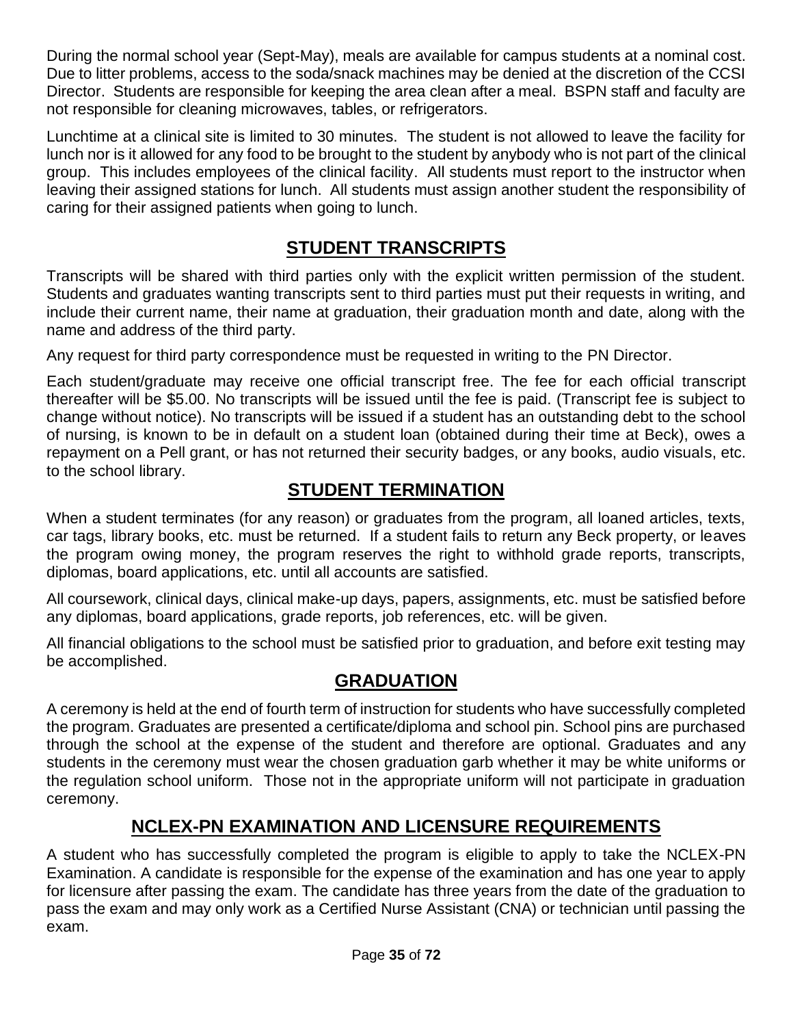During the normal school year (Sept-May), meals are available for campus students at a nominal cost. Due to litter problems, access to the soda/snack machines may be denied at the discretion of the CCSI Director. Students are responsible for keeping the area clean after a meal. BSPN staff and faculty are not responsible for cleaning microwaves, tables, or refrigerators.

Lunchtime at a clinical site is limited to 30 minutes. The student is not allowed to leave the facility for lunch nor is it allowed for any food to be brought to the student by anybody who is not part of the clinical group. This includes employees of the clinical facility. All students must report to the instructor when leaving their assigned stations for lunch. All students must assign another student the responsibility of caring for their assigned patients when going to lunch.

#### **STUDENT TRANSCRIPTS**

Transcripts will be shared with third parties only with the explicit written permission of the student. Students and graduates wanting transcripts sent to third parties must put their requests in writing, and include their current name, their name at graduation, their graduation month and date, along with the name and address of the third party.

Any request for third party correspondence must be requested in writing to the PN Director.

Each student/graduate may receive one official transcript free. The fee for each official transcript thereafter will be \$5.00. No transcripts will be issued until the fee is paid. (Transcript fee is subject to change without notice). No transcripts will be issued if a student has an outstanding debt to the school of nursing, is known to be in default on a student loan (obtained during their time at Beck), owes a repayment on a Pell grant, or has not returned their security badges, or any books, audio visuals, etc. to the school library.

#### **STUDENT TERMINATION**

When a student terminates (for any reason) or graduates from the program, all loaned articles, texts, car tags, library books, etc. must be returned. If a student fails to return any Beck property, or leaves the program owing money, the program reserves the right to withhold grade reports, transcripts, diplomas, board applications, etc. until all accounts are satisfied.

All coursework, clinical days, clinical make-up days, papers, assignments, etc. must be satisfied before any diplomas, board applications, grade reports, job references, etc. will be given.

All financial obligations to the school must be satisfied prior to graduation, and before exit testing may be accomplished.

#### **GRADUATION**

A ceremony is held at the end of fourth term of instruction for students who have successfully completed the program. Graduates are presented a certificate/diploma and school pin. School pins are purchased through the school at the expense of the student and therefore are optional. Graduates and any students in the ceremony must wear the chosen graduation garb whether it may be white uniforms or the regulation school uniform. Those not in the appropriate uniform will not participate in graduation ceremony.

## **NCLEX-PN EXAMINATION AND LICENSURE REQUIREMENTS**

A student who has successfully completed the program is eligible to apply to take the NCLEX-PN Examination. A candidate is responsible for the expense of the examination and has one year to apply for licensure after passing the exam. The candidate has three years from the date of the graduation to pass the exam and may only work as a Certified Nurse Assistant (CNA) or technician until passing the exam.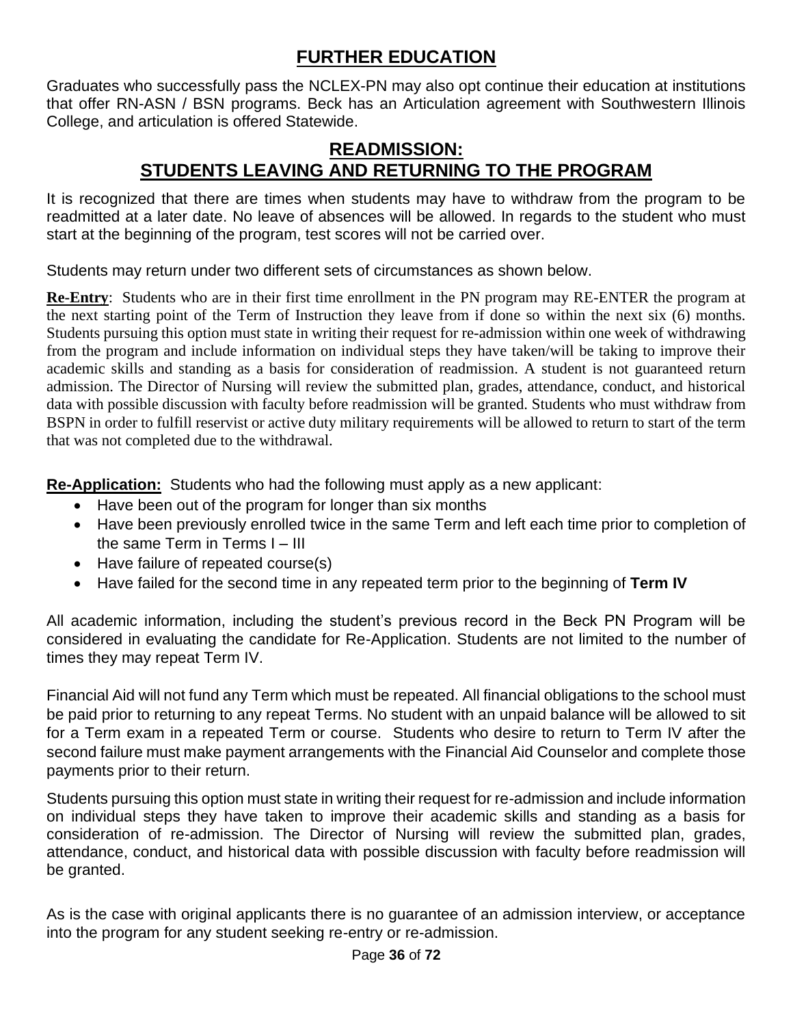## **FURTHER EDUCATION**

Graduates who successfully pass the NCLEX-PN may also opt continue their education at institutions that offer RN-ASN / BSN programs. Beck has an Articulation agreement with Southwestern Illinois College, and articulation is offered Statewide.

#### **READMISSION: STUDENTS LEAVING AND RETURNING TO THE PROGRAM**

It is recognized that there are times when students may have to withdraw from the program to be readmitted at a later date. No leave of absences will be allowed. In regards to the student who must start at the beginning of the program, test scores will not be carried over.

Students may return under two different sets of circumstances as shown below.

**Re-Entry**: Students who are in their first time enrollment in the PN program may RE-ENTER the program at the next starting point of the Term of Instruction they leave from if done so within the next six (6) months. Students pursuing this option must state in writing their request for re-admission within one week of withdrawing from the program and include information on individual steps they have taken/will be taking to improve their academic skills and standing as a basis for consideration of readmission. A student is not guaranteed return admission. The Director of Nursing will review the submitted plan, grades, attendance, conduct, and historical data with possible discussion with faculty before readmission will be granted. Students who must withdraw from BSPN in order to fulfill reservist or active duty military requirements will be allowed to return to start of the term that was not completed due to the withdrawal.

**Re-Application:** Students who had the following must apply as a new applicant:

- Have been out of the program for longer than six months
- Have been previously enrolled twice in the same Term and left each time prior to completion of the same Term in Terms I – III
- Have failure of repeated course(s)
- Have failed for the second time in any repeated term prior to the beginning of **Term IV**

All academic information, including the student's previous record in the Beck PN Program will be considered in evaluating the candidate for Re-Application. Students are not limited to the number of times they may repeat Term IV.

Financial Aid will not fund any Term which must be repeated. All financial obligations to the school must be paid prior to returning to any repeat Terms. No student with an unpaid balance will be allowed to sit for a Term exam in a repeated Term or course. Students who desire to return to Term IV after the second failure must make payment arrangements with the Financial Aid Counselor and complete those payments prior to their return.

Students pursuing this option must state in writing their request for re-admission and include information on individual steps they have taken to improve their academic skills and standing as a basis for consideration of re-admission. The Director of Nursing will review the submitted plan, grades, attendance, conduct, and historical data with possible discussion with faculty before readmission will be granted.

As is the case with original applicants there is no guarantee of an admission interview, or acceptance into the program for any student seeking re-entry or re-admission.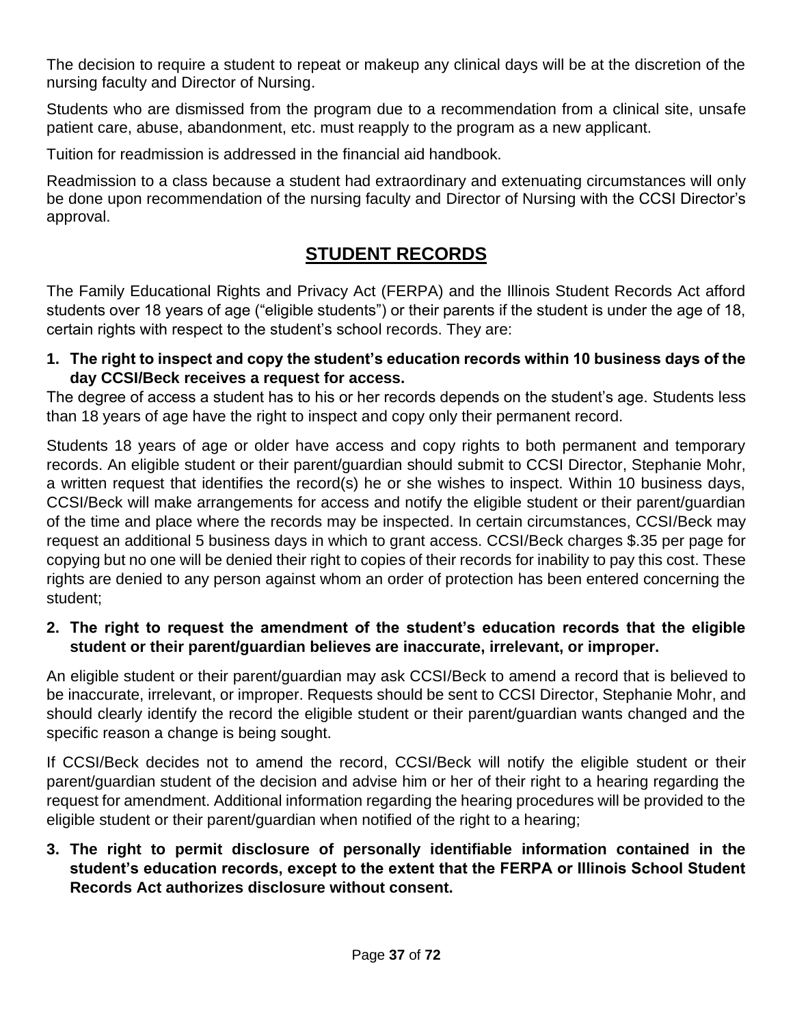The decision to require a student to repeat or makeup any clinical days will be at the discretion of the nursing faculty and Director of Nursing.

Students who are dismissed from the program due to a recommendation from a clinical site, unsafe patient care, abuse, abandonment, etc. must reapply to the program as a new applicant.

Tuition for readmission is addressed in the financial aid handbook.

Readmission to a class because a student had extraordinary and extenuating circumstances will only be done upon recommendation of the nursing faculty and Director of Nursing with the CCSI Director's approval.

## **STUDENT RECORDS**

The Family Educational Rights and Privacy Act (FERPA) and the Illinois Student Records Act afford students over 18 years of age ("eligible students") or their parents if the student is under the age of 18, certain rights with respect to the student's school records. They are:

**1. The right to inspect and copy the student's education records within 10 business days of the day CCSI/Beck receives a request for access.**

The degree of access a student has to his or her records depends on the student's age. Students less than 18 years of age have the right to inspect and copy only their permanent record.

Students 18 years of age or older have access and copy rights to both permanent and temporary records. An eligible student or their parent/guardian should submit to CCSI Director, Stephanie Mohr, a written request that identifies the record(s) he or she wishes to inspect. Within 10 business days, CCSI/Beck will make arrangements for access and notify the eligible student or their parent/guardian of the time and place where the records may be inspected. In certain circumstances, CCSI/Beck may request an additional 5 business days in which to grant access. CCSI/Beck charges \$.35 per page for copying but no one will be denied their right to copies of their records for inability to pay this cost. These rights are denied to any person against whom an order of protection has been entered concerning the student;

#### **2. The right to request the amendment of the student's education records that the eligible student or their parent/guardian believes are inaccurate, irrelevant, or improper.**

An eligible student or their parent/guardian may ask CCSI/Beck to amend a record that is believed to be inaccurate, irrelevant, or improper. Requests should be sent to CCSI Director, Stephanie Mohr, and should clearly identify the record the eligible student or their parent/guardian wants changed and the specific reason a change is being sought.

If CCSI/Beck decides not to amend the record, CCSI/Beck will notify the eligible student or their parent/guardian student of the decision and advise him or her of their right to a hearing regarding the request for amendment. Additional information regarding the hearing procedures will be provided to the eligible student or their parent/guardian when notified of the right to a hearing;

#### **3. The right to permit disclosure of personally identifiable information contained in the student's education records, except to the extent that the FERPA or Illinois School Student Records Act authorizes disclosure without consent.**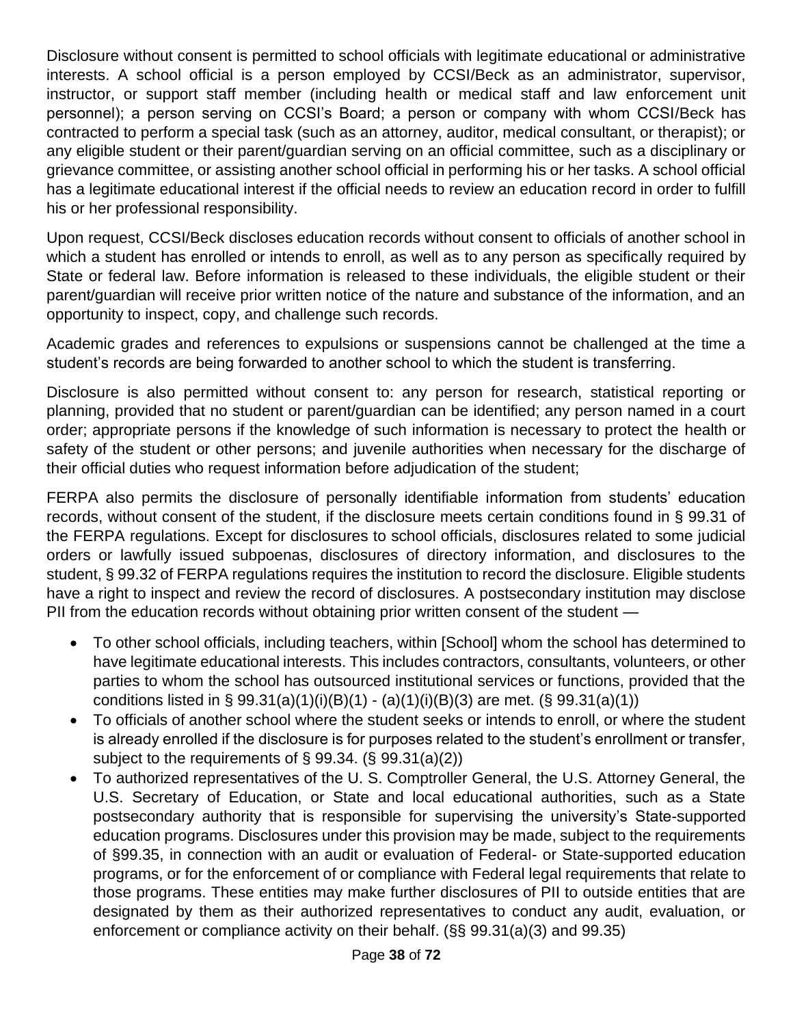Disclosure without consent is permitted to school officials with legitimate educational or administrative interests. A school official is a person employed by CCSI/Beck as an administrator, supervisor, instructor, or support staff member (including health or medical staff and law enforcement unit personnel); a person serving on CCSI's Board; a person or company with whom CCSI/Beck has contracted to perform a special task (such as an attorney, auditor, medical consultant, or therapist); or any eligible student or their parent/guardian serving on an official committee, such as a disciplinary or grievance committee, or assisting another school official in performing his or her tasks. A school official has a legitimate educational interest if the official needs to review an education record in order to fulfill his or her professional responsibility.

Upon request, CCSI/Beck discloses education records without consent to officials of another school in which a student has enrolled or intends to enroll, as well as to any person as specifically required by State or federal law. Before information is released to these individuals, the eligible student or their parent/guardian will receive prior written notice of the nature and substance of the information, and an opportunity to inspect, copy, and challenge such records.

Academic grades and references to expulsions or suspensions cannot be challenged at the time a student's records are being forwarded to another school to which the student is transferring.

Disclosure is also permitted without consent to: any person for research, statistical reporting or planning, provided that no student or parent/guardian can be identified; any person named in a court order; appropriate persons if the knowledge of such information is necessary to protect the health or safety of the student or other persons; and juvenile authorities when necessary for the discharge of their official duties who request information before adjudication of the student;

FERPA also permits the disclosure of personally identifiable information from students' education records, without consent of the student, if the disclosure meets certain conditions found in § 99.31 of the FERPA regulations. Except for disclosures to school officials, disclosures related to some judicial orders or lawfully issued subpoenas, disclosures of directory information, and disclosures to the student, § 99.32 of FERPA regulations requires the institution to record the disclosure. Eligible students have a right to inspect and review the record of disclosures. A postsecondary institution may disclose PII from the education records without obtaining prior written consent of the student —

- To other school officials, including teachers, within [School] whom the school has determined to have legitimate educational interests. This includes contractors, consultants, volunteers, or other parties to whom the school has outsourced institutional services or functions, provided that the conditions listed in § 99.31(a)(1)(i)(B)(1) - (a)(1)(i)(B)(3) are met. (§ 99.31(a)(1))
- To officials of another school where the student seeks or intends to enroll, or where the student is already enrolled if the disclosure is for purposes related to the student's enrollment or transfer, subject to the requirements of § 99.34. (§ 99.31(a)(2))
- To authorized representatives of the U. S. Comptroller General, the U.S. Attorney General, the U.S. Secretary of Education, or State and local educational authorities, such as a State postsecondary authority that is responsible for supervising the university's State-supported education programs. Disclosures under this provision may be made, subject to the requirements of §99.35, in connection with an audit or evaluation of Federal- or State-supported education programs, or for the enforcement of or compliance with Federal legal requirements that relate to those programs. These entities may make further disclosures of PII to outside entities that are designated by them as their authorized representatives to conduct any audit, evaluation, or enforcement or compliance activity on their behalf. (§§ 99.31(a)(3) and 99.35)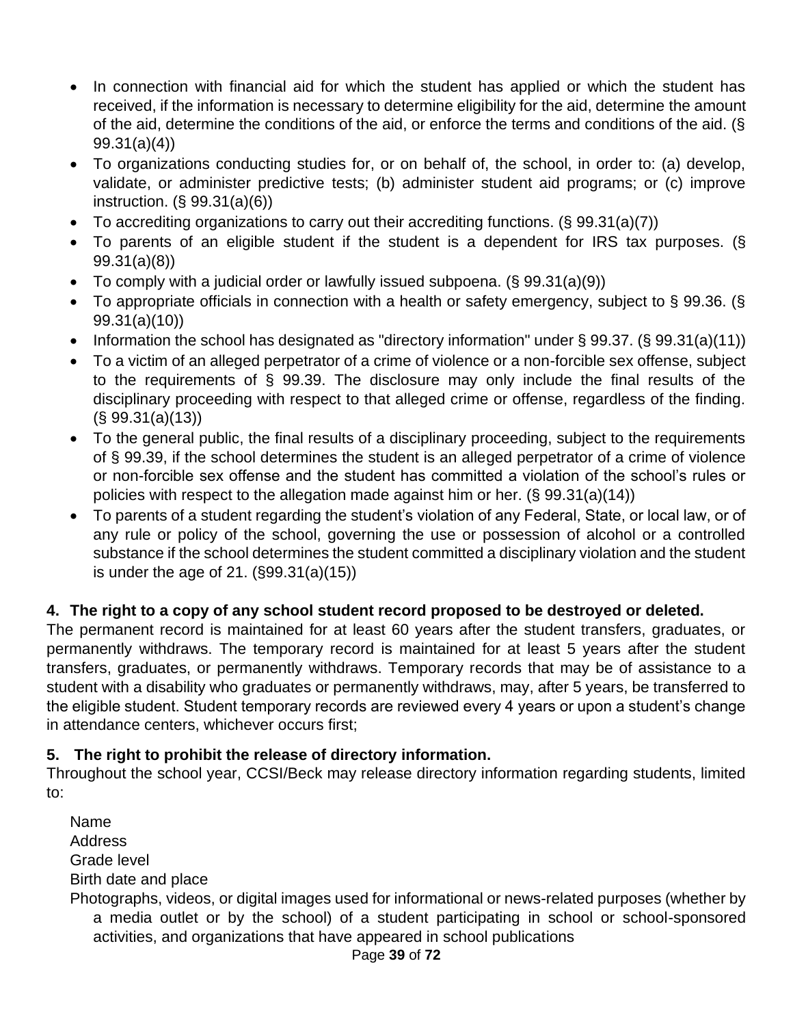- In connection with financial aid for which the student has applied or which the student has received, if the information is necessary to determine eligibility for the aid, determine the amount of the aid, determine the conditions of the aid, or enforce the terms and conditions of the aid. (§ 99.31(a)(4))
- To organizations conducting studies for, or on behalf of, the school, in order to: (a) develop, validate, or administer predictive tests; (b) administer student aid programs; or (c) improve instruction. (§ 99.31(a)(6))
- To accrediting organizations to carry out their accrediting functions. (§ 99.31(a)(7))
- To parents of an eligible student if the student is a dependent for IRS tax purposes. (§ 99.31(a)(8))
- To comply with a judicial order or lawfully issued subpoena. (§ 99.31(a)(9))
- To appropriate officials in connection with a health or safety emergency, subject to § 99.36. (§ 99.31(a)(10))
- Information the school has designated as "directory information" under § 99.37. (§ 99.31(a)(11))
- To a victim of an alleged perpetrator of a crime of violence or a non-forcible sex offense, subject to the requirements of § 99.39. The disclosure may only include the final results of the disciplinary proceeding with respect to that alleged crime or offense, regardless of the finding.  $(S\ 99.31(a)(13))$
- To the general public, the final results of a disciplinary proceeding, subject to the requirements of § 99.39, if the school determines the student is an alleged perpetrator of a crime of violence or non-forcible sex offense and the student has committed a violation of the school's rules or policies with respect to the allegation made against him or her. (§ 99.31(a)(14))
- To parents of a student regarding the student's violation of any Federal, State, or local law, or of any rule or policy of the school, governing the use or possession of alcohol or a controlled substance if the school determines the student committed a disciplinary violation and the student is under the age of 21. (§99.31(a)(15))

#### **4. The right to a copy of any school student record proposed to be destroyed or deleted.**

The permanent record is maintained for at least 60 years after the student transfers, graduates, or permanently withdraws. The temporary record is maintained for at least 5 years after the student transfers, graduates, or permanently withdraws. Temporary records that may be of assistance to a student with a disability who graduates or permanently withdraws, may, after 5 years, be transferred to the eligible student. Student temporary records are reviewed every 4 years or upon a student's change in attendance centers, whichever occurs first;

#### **5. The right to prohibit the release of directory information.**

Throughout the school year, CCSI/Beck may release directory information regarding students, limited to:

Name **Address** Grade level Birth date and place Photographs, videos, or digital images used for informational or news-related purposes (whether by a media outlet or by the school) of a student participating in school or school-sponsored activities, and organizations that have appeared in school publications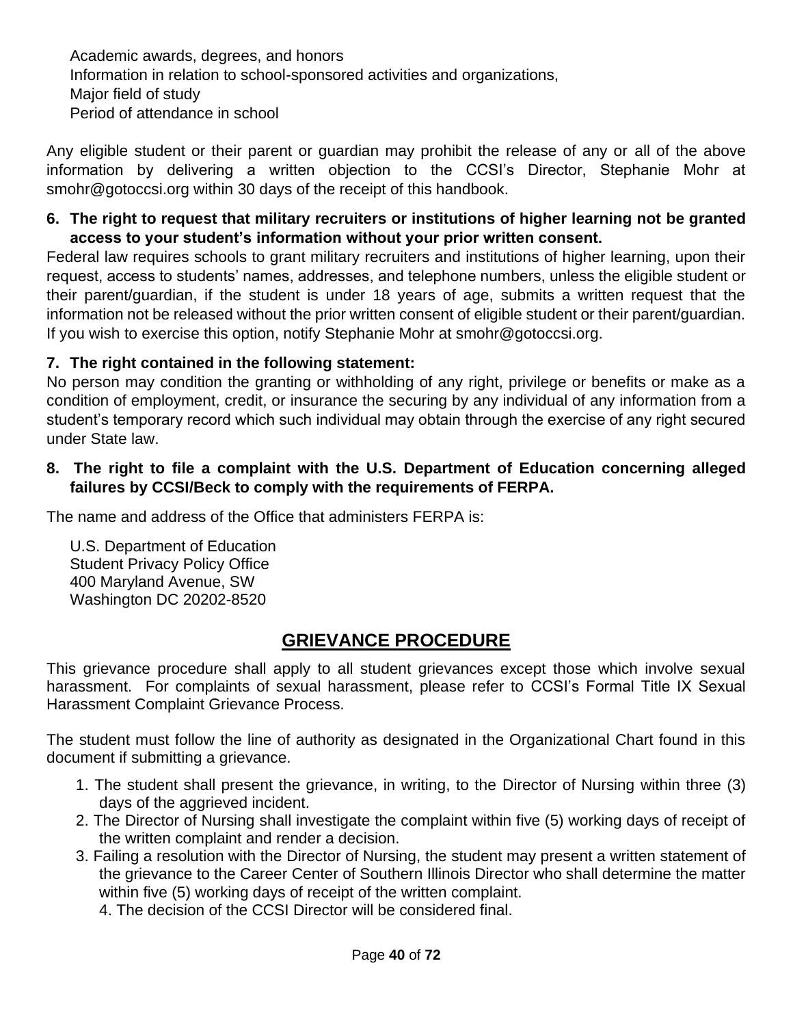Academic awards, degrees, and honors Information in relation to school-sponsored activities and organizations, Major field of study Period of attendance in school

Any eligible student or their parent or guardian may prohibit the release of any or all of the above information by delivering a written objection to the CCSI's Director, Stephanie Mohr at smohr@gotoccsi.org within 30 days of the receipt of this handbook.

#### **6. The right to request that military recruiters or institutions of higher learning not be granted access to your student's information without your prior written consent.**

Federal law requires schools to grant military recruiters and institutions of higher learning, upon their request, access to students' names, addresses, and telephone numbers, unless the eligible student or their parent/guardian, if the student is under 18 years of age, submits a written request that the information not be released without the prior written consent of eligible student or their parent/guardian. If you wish to exercise this option, notify Stephanie Mohr at smohr@gotoccsi.org.

#### **7. The right contained in the following statement:**

No person may condition the granting or withholding of any right, privilege or benefits or make as a condition of employment, credit, or insurance the securing by any individual of any information from a student's temporary record which such individual may obtain through the exercise of any right secured under State law.

#### **8. The right to file a complaint with the U.S. Department of Education concerning alleged failures by CCSI/Beck to comply with the requirements of FERPA.**

The name and address of the Office that administers FERPA is:

U.S. Department of Education Student Privacy Policy Office 400 Maryland Avenue, SW Washington DC 20202-8520

## **GRIEVANCE PROCEDURE**

This grievance procedure shall apply to all student grievances except those which involve sexual harassment. For complaints of sexual harassment, please refer to CCSI's Formal Title IX Sexual Harassment Complaint Grievance Process.

The student must follow the line of authority as designated in the Organizational Chart found in this document if submitting a grievance.

- 1. The student shall present the grievance, in writing, to the Director of Nursing within three (3) days of the aggrieved incident.
- 2. The Director of Nursing shall investigate the complaint within five (5) working days of receipt of the written complaint and render a decision.
- 3. Failing a resolution with the Director of Nursing, the student may present a written statement of the grievance to the Career Center of Southern Illinois Director who shall determine the matter within five (5) working days of receipt of the written complaint.

4. The decision of the CCSI Director will be considered final.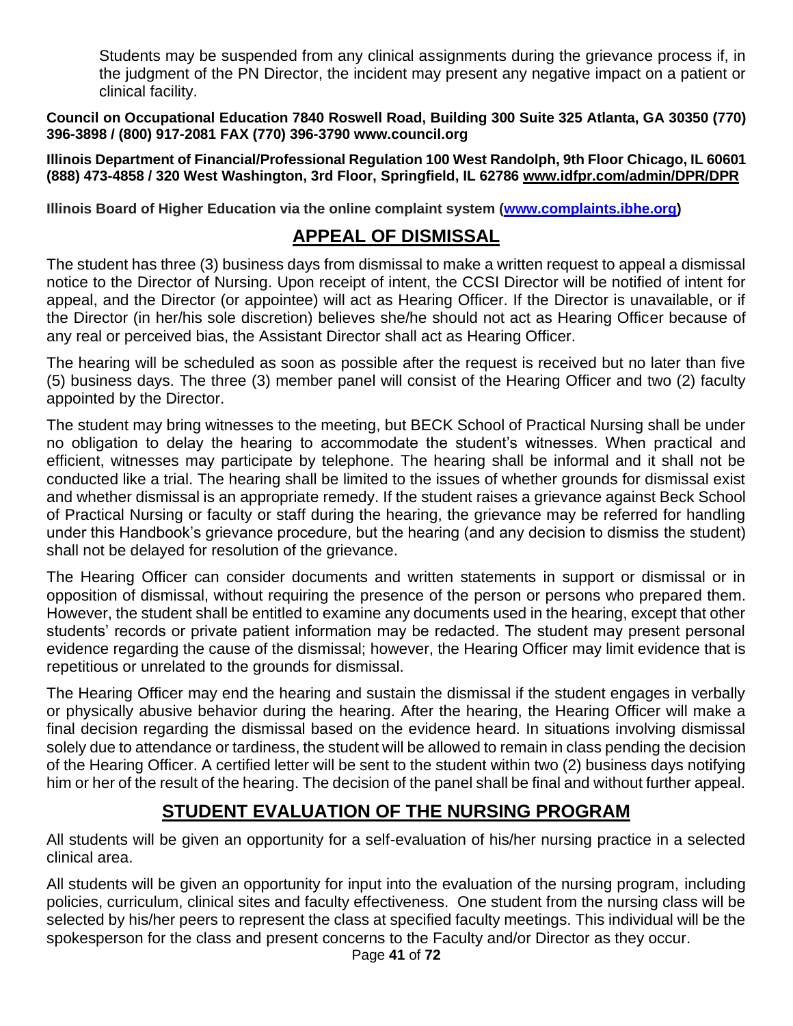Students may be suspended from any clinical assignments during the grievance process if, in the judgment of the PN Director, the incident may present any negative impact on a patient or clinical facility.

**Council on Occupational Education 7840 Roswell Road, Building 300 Suite 325 Atlanta, GA 30350 (770) 396-3898 / (800) 917-2081 FAX (770) 396-3790 www.council.org**

**Illinois Department of Financial/Professional Regulation 100 West Randolph, 9th Floor Chicago, IL 60601 (888) 473-4858 / 320 West Washington, 3rd Floor, Springfield, IL 62786 [www.idfpr.com/admin/DPR/DPR](http://www.idfpr.com/admin/DPR/DPR)**

**Illinois Board of Higher Education via the online complaint system [\(www.complaints.ibhe.org\)](http://www.complaints.ibhe.org/)**

## **APPEAL OF DISMISSAL**

The student has three (3) business days from dismissal to make a written request to appeal a dismissal notice to the Director of Nursing. Upon receipt of intent, the CCSI Director will be notified of intent for appeal, and the Director (or appointee) will act as Hearing Officer. If the Director is unavailable, or if the Director (in her/his sole discretion) believes she/he should not act as Hearing Officer because of any real or perceived bias, the Assistant Director shall act as Hearing Officer.

The hearing will be scheduled as soon as possible after the request is received but no later than five (5) business days. The three (3) member panel will consist of the Hearing Officer and two (2) faculty appointed by the Director.

The student may bring witnesses to the meeting, but BECK School of Practical Nursing shall be under no obligation to delay the hearing to accommodate the student's witnesses. When practical and efficient, witnesses may participate by telephone. The hearing shall be informal and it shall not be conducted like a trial. The hearing shall be limited to the issues of whether grounds for dismissal exist and whether dismissal is an appropriate remedy. If the student raises a grievance against Beck School of Practical Nursing or faculty or staff during the hearing, the grievance may be referred for handling under this Handbook's grievance procedure, but the hearing (and any decision to dismiss the student) shall not be delayed for resolution of the grievance.

The Hearing Officer can consider documents and written statements in support or dismissal or in opposition of dismissal, without requiring the presence of the person or persons who prepared them. However, the student shall be entitled to examine any documents used in the hearing, except that other students' records or private patient information may be redacted. The student may present personal evidence regarding the cause of the dismissal; however, the Hearing Officer may limit evidence that is repetitious or unrelated to the grounds for dismissal.

The Hearing Officer may end the hearing and sustain the dismissal if the student engages in verbally or physically abusive behavior during the hearing. After the hearing, the Hearing Officer will make a final decision regarding the dismissal based on the evidence heard. In situations involving dismissal solely due to attendance or tardiness, the student will be allowed to remain in class pending the decision of the Hearing Officer. A certified letter will be sent to the student within two (2) business days notifying him or her of the result of the hearing. The decision of the panel shall be final and without further appeal.

## **STUDENT EVALUATION OF THE NURSING PROGRAM**

All students will be given an opportunity for a self-evaluation of his/her nursing practice in a selected clinical area.

All students will be given an opportunity for input into the evaluation of the nursing program, including policies, curriculum, clinical sites and faculty effectiveness. One student from the nursing class will be selected by his/her peers to represent the class at specified faculty meetings. This individual will be the spokesperson for the class and present concerns to the Faculty and/or Director as they occur.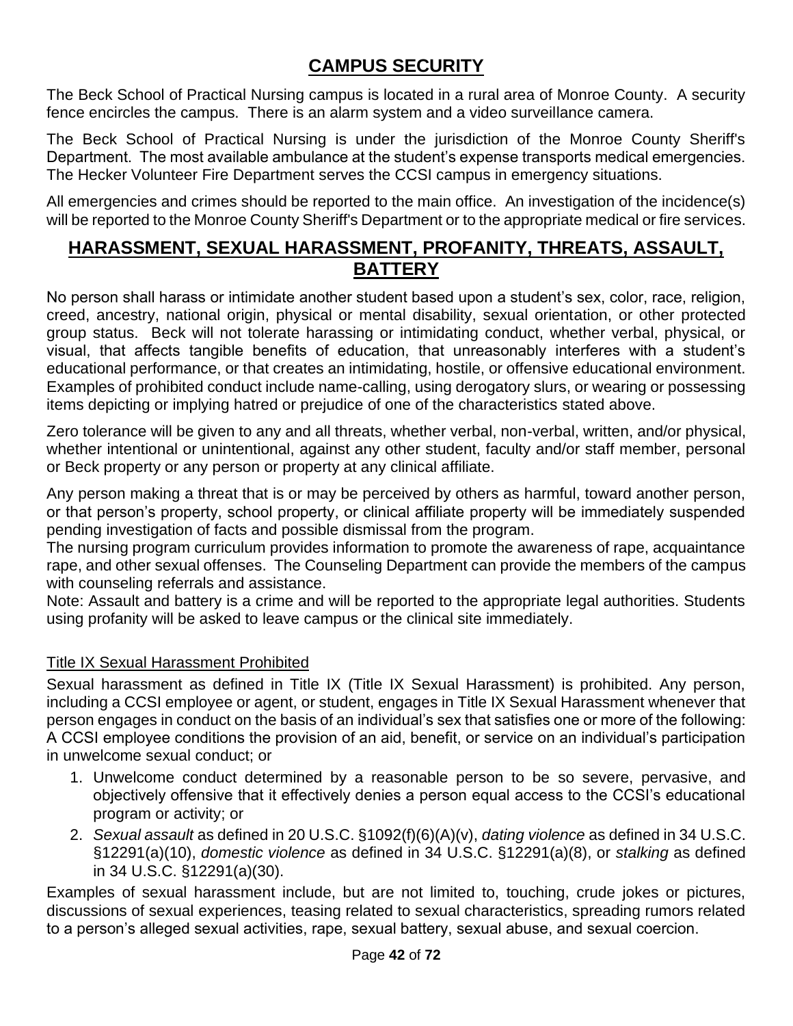## **CAMPUS SECURITY**

The Beck School of Practical Nursing campus is located in a rural area of Monroe County. A security fence encircles the campus. There is an alarm system and a video surveillance camera.

The Beck School of Practical Nursing is under the jurisdiction of the Monroe County Sheriff's Department. The most available ambulance at the student's expense transports medical emergencies. The Hecker Volunteer Fire Department serves the CCSI campus in emergency situations.

All emergencies and crimes should be reported to the main office. An investigation of the incidence(s) will be reported to the Monroe County Sheriff's Department or to the appropriate medical or fire services.

## **HARASSMENT, SEXUAL HARASSMENT, PROFANITY, THREATS, ASSAULT, BATTERY**

No person shall harass or intimidate another student based upon a student's sex, color, race, religion, creed, ancestry, national origin, physical or mental disability, sexual orientation, or other protected group status. Beck will not tolerate harassing or intimidating conduct, whether verbal, physical, or visual, that affects tangible benefits of education, that unreasonably interferes with a student's educational performance, or that creates an intimidating, hostile, or offensive educational environment. Examples of prohibited conduct include name-calling, using derogatory slurs, or wearing or possessing items depicting or implying hatred or prejudice of one of the characteristics stated above.

Zero tolerance will be given to any and all threats, whether verbal, non-verbal, written, and/or physical, whether intentional or unintentional, against any other student, faculty and/or staff member, personal or Beck property or any person or property at any clinical affiliate.

Any person making a threat that is or may be perceived by others as harmful, toward another person, or that person's property, school property, or clinical affiliate property will be immediately suspended pending investigation of facts and possible dismissal from the program.

The nursing program curriculum provides information to promote the awareness of rape, acquaintance rape, and other sexual offenses. The Counseling Department can provide the members of the campus with counseling referrals and assistance.

Note: Assault and battery is a crime and will be reported to the appropriate legal authorities. Students using profanity will be asked to leave campus or the clinical site immediately.

#### Title IX Sexual Harassment Prohibited

Sexual harassment as defined in Title IX (Title IX Sexual Harassment) is prohibited. Any person, including a CCSI employee or agent, or student, engages in Title IX Sexual Harassment whenever that person engages in conduct on the basis of an individual's sex that satisfies one or more of the following: A CCSI employee conditions the provision of an aid, benefit, or service on an individual's participation in unwelcome sexual conduct; or

- 1. Unwelcome conduct determined by a reasonable person to be so severe, pervasive, and objectively offensive that it effectively denies a person equal access to the CCSI's educational program or activity; or
- 2. *Sexual assault* as defined in 20 U.S.C. §1092(f)(6)(A)(v), *dating violence* as defined in 34 U.S.C. §12291(a)(10), *domestic violence* as defined in 34 U.S.C. §12291(a)(8), or *stalking* as defined in 34 U.S.C. §12291(a)(30).

Examples of sexual harassment include, but are not limited to, touching, crude jokes or pictures, discussions of sexual experiences, teasing related to sexual characteristics, spreading rumors related to a person's alleged sexual activities, rape, sexual battery, sexual abuse, and sexual coercion.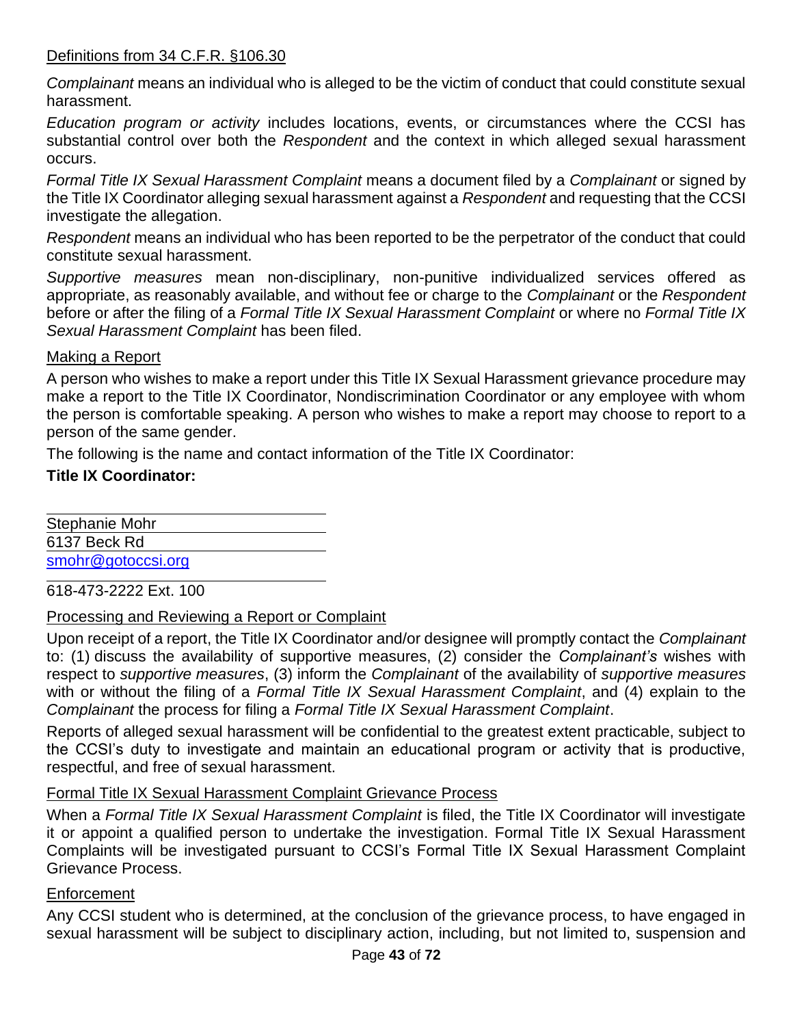#### Definitions from 34 C.F.R. §106.30

*Complainant* means an individual who is alleged to be the victim of conduct that could constitute sexual harassment.

*Education program or activity* includes locations, events, or circumstances where the CCSI has substantial control over both the *Respondent* and the context in which alleged sexual harassment occurs.

*Formal Title IX Sexual Harassment Complaint* means a document filed by a *Complainant* or signed by the Title IX Coordinator alleging sexual harassment against a *Respondent* and requesting that the CCSI investigate the allegation.

*Respondent* means an individual who has been reported to be the perpetrator of the conduct that could constitute sexual harassment.

*Supportive measures* mean non-disciplinary, non-punitive individualized services offered as appropriate, as reasonably available, and without fee or charge to the *Complainant* or the *Respondent* before or after the filing of a *Formal Title IX Sexual Harassment Complaint* or where no *Formal Title IX Sexual Harassment Complaint* has been filed.

#### Making a Report

A person who wishes to make a report under this Title IX Sexual Harassment grievance procedure may make a report to the Title IX Coordinator, Nondiscrimination Coordinator or any employee with whom the person is comfortable speaking. A person who wishes to make a report may choose to report to a person of the same gender.

The following is the name and contact information of the Title IX Coordinator:

#### **Title IX Coordinator:**

Stephanie Mohr 6137 Beck Rd [smohr@gotoccsi.org](mailto:smohr@gotoccsi.org)

618-473-2222 Ext. 100

#### Processing and Reviewing a Report or Complaint

Upon receipt of a report, the Title IX Coordinator and/or designee will promptly contact the *Complainant* to: (1) discuss the availability of supportive measures, (2) consider the *Complainant's* wishes with respect to *supportive measures*, (3) inform the *Complainant* of the availability of *supportive measures* with or without the filing of a *Formal Title IX Sexual Harassment Complaint*, and (4) explain to the *Complainant* the process for filing a *Formal Title IX Sexual Harassment Complaint*.

Reports of alleged sexual harassment will be confidential to the greatest extent practicable, subject to the CCSI's duty to investigate and maintain an educational program or activity that is productive, respectful, and free of sexual harassment.

#### Formal Title IX Sexual Harassment Complaint Grievance Process

When a *Formal Title IX Sexual Harassment Complaint* is filed, the Title IX Coordinator will investigate it or appoint a qualified person to undertake the investigation. Formal Title IX Sexual Harassment Complaints will be investigated pursuant to CCSI's Formal Title IX Sexual Harassment Complaint Grievance Process.

#### Enforcement

Any CCSI student who is determined, at the conclusion of the grievance process, to have engaged in sexual harassment will be subject to disciplinary action, including, but not limited to, suspension and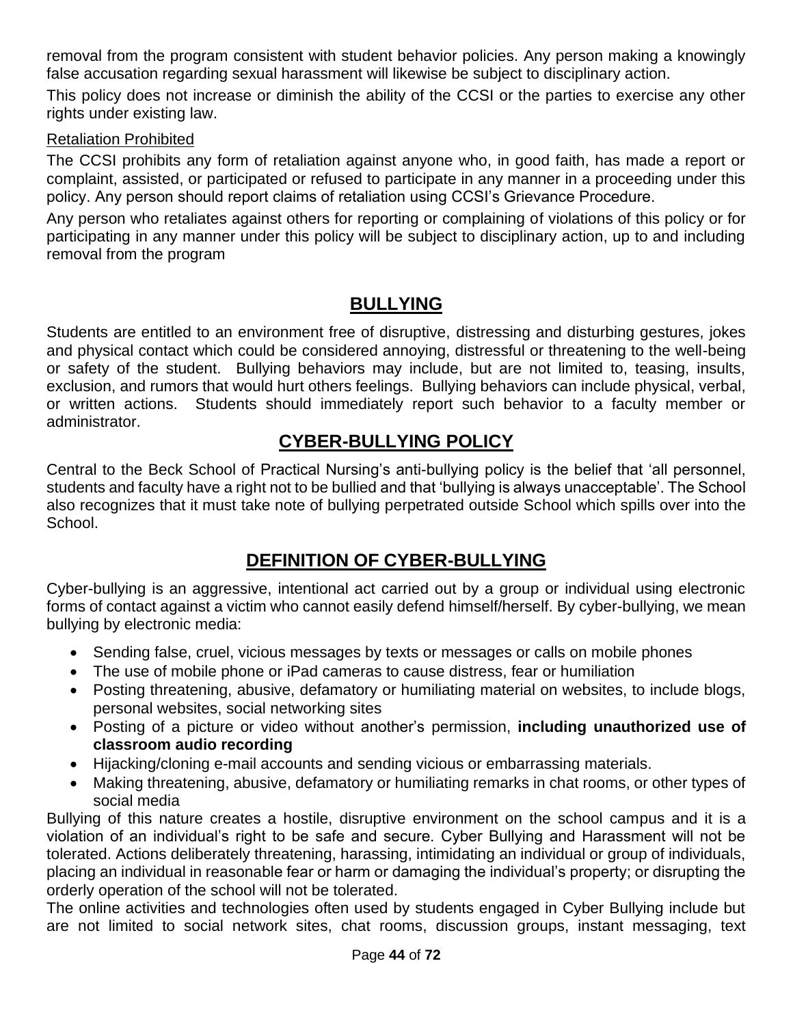removal from the program consistent with student behavior policies. Any person making a knowingly false accusation regarding sexual harassment will likewise be subject to disciplinary action.

This policy does not increase or diminish the ability of the CCSI or the parties to exercise any other rights under existing law.

#### Retaliation Prohibited

The CCSI prohibits any form of retaliation against anyone who, in good faith, has made a report or complaint, assisted, or participated or refused to participate in any manner in a proceeding under this policy. Any person should report claims of retaliation using CCSI's Grievance Procedure.

Any person who retaliates against others for reporting or complaining of violations of this policy or for participating in any manner under this policy will be subject to disciplinary action, up to and including removal from the program

## **BULLYING**

Students are entitled to an environment free of disruptive, distressing and disturbing gestures, jokes and physical contact which could be considered annoying, distressful or threatening to the well-being or safety of the student. Bullying behaviors may include, but are not limited to, teasing, insults, exclusion, and rumors that would hurt others feelings. Bullying behaviors can include physical, verbal, or written actions. Students should immediately report such behavior to a faculty member or administrator.

## **CYBER-BULLYING POLICY**

Central to the Beck School of Practical Nursing's anti-bullying policy is the belief that 'all personnel, students and faculty have a right not to be bullied and that 'bullying is always unacceptable'. The School also recognizes that it must take note of bullying perpetrated outside School which spills over into the School.

## **DEFINITION OF CYBER-BULLYING**

Cyber-bullying is an aggressive, intentional act carried out by a group or individual using electronic forms of contact against a victim who cannot easily defend himself/herself. By cyber-bullying, we mean bullying by electronic media:

- Sending false, cruel, vicious messages by texts or messages or calls on mobile phones
- The use of mobile phone or iPad cameras to cause distress, fear or humiliation
- Posting threatening, abusive, defamatory or humiliating material on websites, to include blogs, personal websites, social networking sites
- Posting of a picture or video without another's permission, **including unauthorized use of classroom audio recording**
- Hijacking/cloning e-mail accounts and sending vicious or embarrassing materials.
- Making threatening, abusive, defamatory or humiliating remarks in chat rooms, or other types of social media

Bullying of this nature creates a hostile, disruptive environment on the school campus and it is a violation of an individual's right to be safe and secure. Cyber Bullying and Harassment will not be tolerated. Actions deliberately threatening, harassing, intimidating an individual or group of individuals, placing an individual in reasonable fear or harm or damaging the individual's property; or disrupting the orderly operation of the school will not be tolerated.

The online activities and technologies often used by students engaged in Cyber Bullying include but are not limited to social network sites, chat rooms, discussion groups, instant messaging, text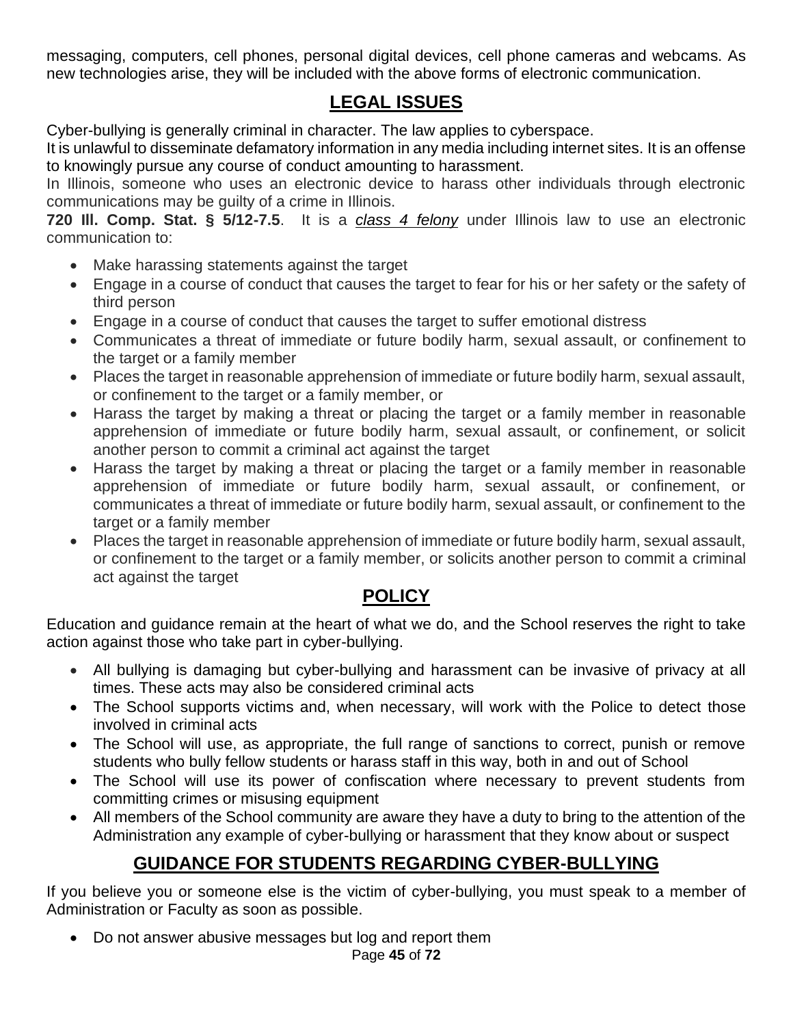messaging, computers, cell phones, personal digital devices, cell phone cameras and webcams. As new technologies arise, they will be included with the above forms of electronic communication.

## **LEGAL ISSUES**

Cyber-bullying is generally criminal in character. The law applies to cyberspace.

It is unlawful to disseminate defamatory information in any media including internet sites. It is an offense to knowingly pursue any course of conduct amounting to harassment.

In Illinois, someone who uses an electronic device to harass other individuals through electronic communications may be guilty of a crime in Illinois.

**720 Ill. Comp. Stat. § 5/12-7.5**. It is a *[class 4 felony](http://www.criminaldefenselawyer.com/resources/criminal-defense/felony-offense/illinois-felony-class.htm)* under Illinois law to use an electronic communication to:

- Make harassing statements against the target
- Engage in a course of conduct that causes the target to fear for his or her safety or the safety of third person
- Engage in a course of conduct that causes the target to suffer emotional distress
- Communicates a threat of immediate or future bodily harm, sexual assault, or confinement to the target or a family member
- Places the target in reasonable apprehension of immediate or future bodily harm, sexual assault, or confinement to the target or a family member, or
- Harass the target by making a threat or placing the target or a family member in reasonable apprehension of immediate or future bodily harm, sexual assault, or confinement, or solicit another person to commit a criminal act against the target
- Harass the target by making a threat or placing the target or a family member in reasonable apprehension of immediate or future bodily harm, sexual assault, or confinement, or communicates a threat of immediate or future bodily harm, sexual assault, or confinement to the target or a family member
- Places the target in reasonable apprehension of immediate or future bodily harm, sexual assault, or confinement to the target or a family member, or solicits another person to commit a criminal act against the target

## **POLICY**

Education and guidance remain at the heart of what we do, and the School reserves the right to take action against those who take part in cyber-bullying.

- All bullying is damaging but cyber-bullying and harassment can be invasive of privacy at all times. These acts may also be considered criminal acts
- The School supports victims and, when necessary, will work with the Police to detect those involved in criminal acts
- The School will use, as appropriate, the full range of sanctions to correct, punish or remove students who bully fellow students or harass staff in this way, both in and out of School
- The School will use its power of confiscation where necessary to prevent students from committing crimes or misusing equipment
- All members of the School community are aware they have a duty to bring to the attention of the Administration any example of cyber-bullying or harassment that they know about or suspect

## **GUIDANCE FOR STUDENTS REGARDING CYBER-BULLYING**

If you believe you or someone else is the victim of cyber-bullying, you must speak to a member of Administration or Faculty as soon as possible.

• Do not answer abusive messages but log and report them

Page **45** of **72**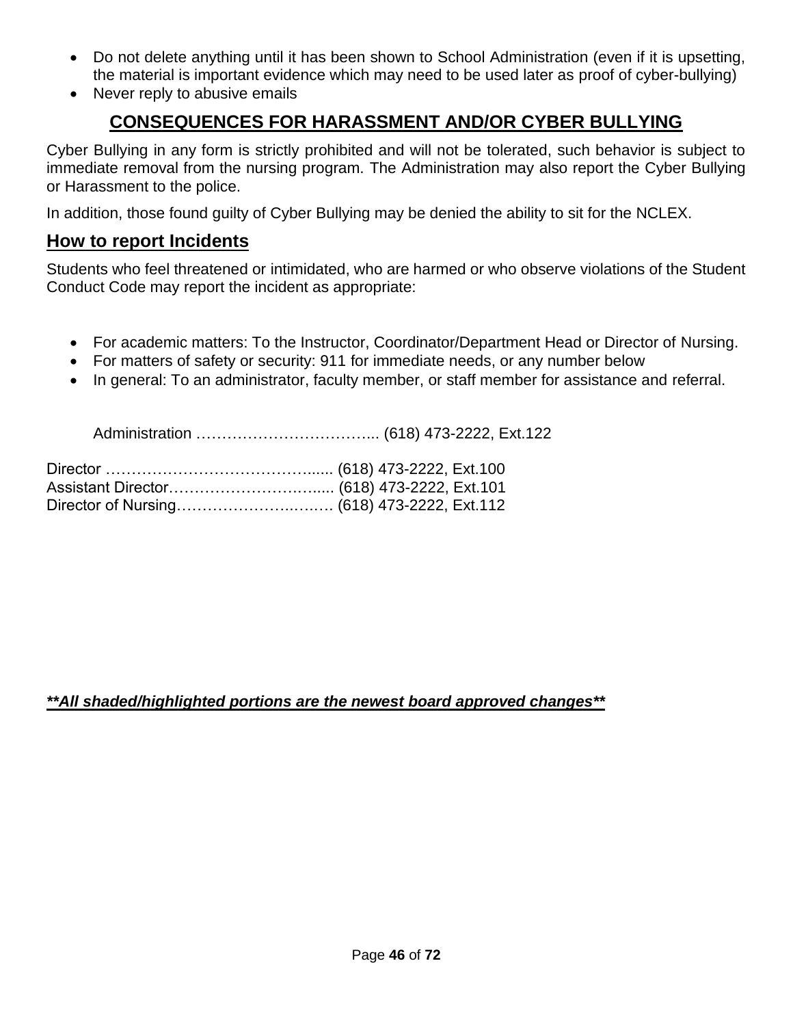- Do not delete anything until it has been shown to School Administration (even if it is upsetting, the material is important evidence which may need to be used later as proof of cyber-bullying)
- Never reply to abusive emails

## **CONSEQUENCES FOR HARASSMENT AND/OR CYBER BULLYING**

Cyber Bullying in any form is strictly prohibited and will not be tolerated, such behavior is subject to immediate removal from the nursing program. The Administration may also report the Cyber Bullying or Harassment to the police.

In addition, those found guilty of Cyber Bullying may be denied the ability to sit for the NCLEX.

#### **How to report Incidents**

Students who feel threatened or intimidated, who are harmed or who observe violations of the Student Conduct Code may report the incident as appropriate:

- For academic matters: To the Instructor, Coordinator/Department Head or Director of Nursing.
- For matters of safety or security: 911 for immediate needs, or any number below
- In general: To an administrator, faculty member, or staff member for assistance and referral.

Administration ……………………………... (618) 473-2222, Ext.122

#### *\*\*All shaded/highlighted portions are the newest board approved changes\*\**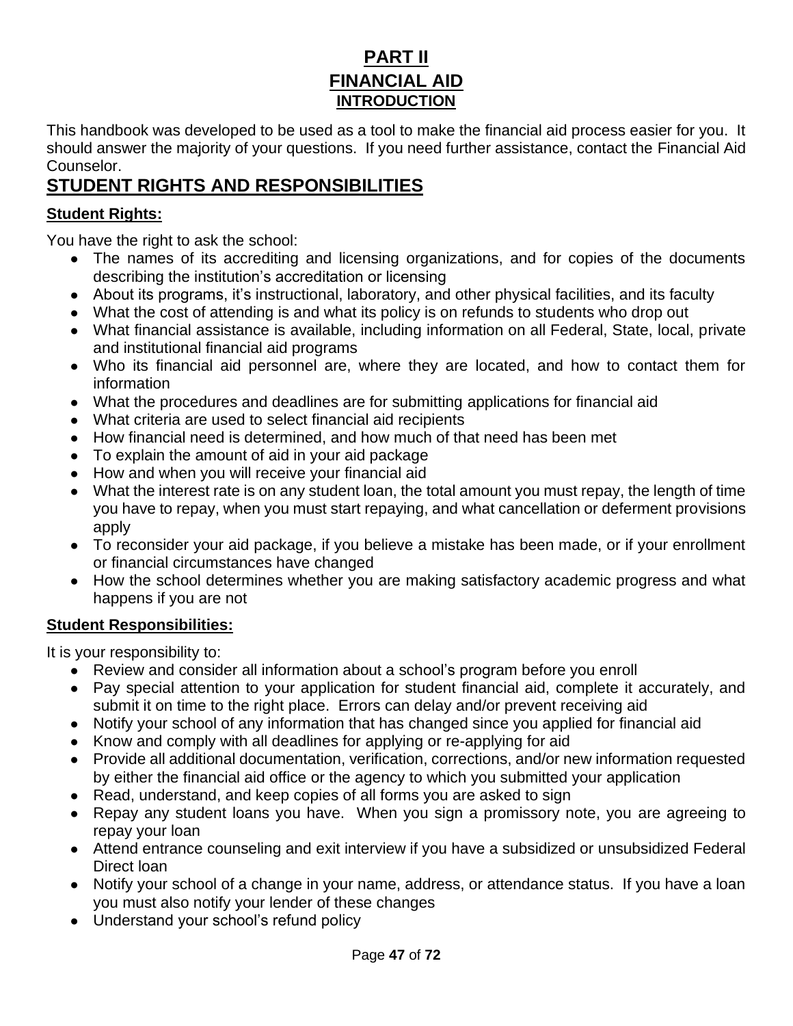## **PART II FINANCIAL AID INTRODUCTION**

This handbook was developed to be used as a tool to make the financial aid process easier for you. It should answer the majority of your questions. If you need further assistance, contact the Financial Aid Counselor.

## **STUDENT RIGHTS AND RESPONSIBILITIES**

#### **Student Rights:**

You have the right to ask the school:

- The names of its accrediting and licensing organizations, and for copies of the documents describing the institution's accreditation or licensing
- About its programs, it's instructional, laboratory, and other physical facilities, and its faculty
- What the cost of attending is and what its policy is on refunds to students who drop out
- What financial assistance is available, including information on all Federal, State, local, private and institutional financial aid programs
- Who its financial aid personnel are, where they are located, and how to contact them for information
- What the procedures and deadlines are for submitting applications for financial aid
- What criteria are used to select financial aid recipients
- How financial need is determined, and how much of that need has been met
- To explain the amount of aid in your aid package
- How and when you will receive your financial aid
- What the interest rate is on any student loan, the total amount you must repay, the length of time you have to repay, when you must start repaying, and what cancellation or deferment provisions apply
- To reconsider your aid package, if you believe a mistake has been made, or if your enrollment or financial circumstances have changed
- How the school determines whether you are making satisfactory academic progress and what happens if you are not

#### **Student Responsibilities:**

It is your responsibility to:

- Review and consider all information about a school's program before you enroll
- Pay special attention to your application for student financial aid, complete it accurately, and submit it on time to the right place. Errors can delay and/or prevent receiving aid
- Notify your school of any information that has changed since you applied for financial aid
- Know and comply with all deadlines for applying or re-applying for aid
- Provide all additional documentation, verification, corrections, and/or new information requested by either the financial aid office or the agency to which you submitted your application
- Read, understand, and keep copies of all forms you are asked to sign
- Repay any student loans you have. When you sign a promissory note, you are agreeing to repay your loan
- Attend entrance counseling and exit interview if you have a subsidized or unsubsidized Federal Direct loan
- Notify your school of a change in your name, address, or attendance status. If you have a loan you must also notify your lender of these changes
- Understand your school's refund policy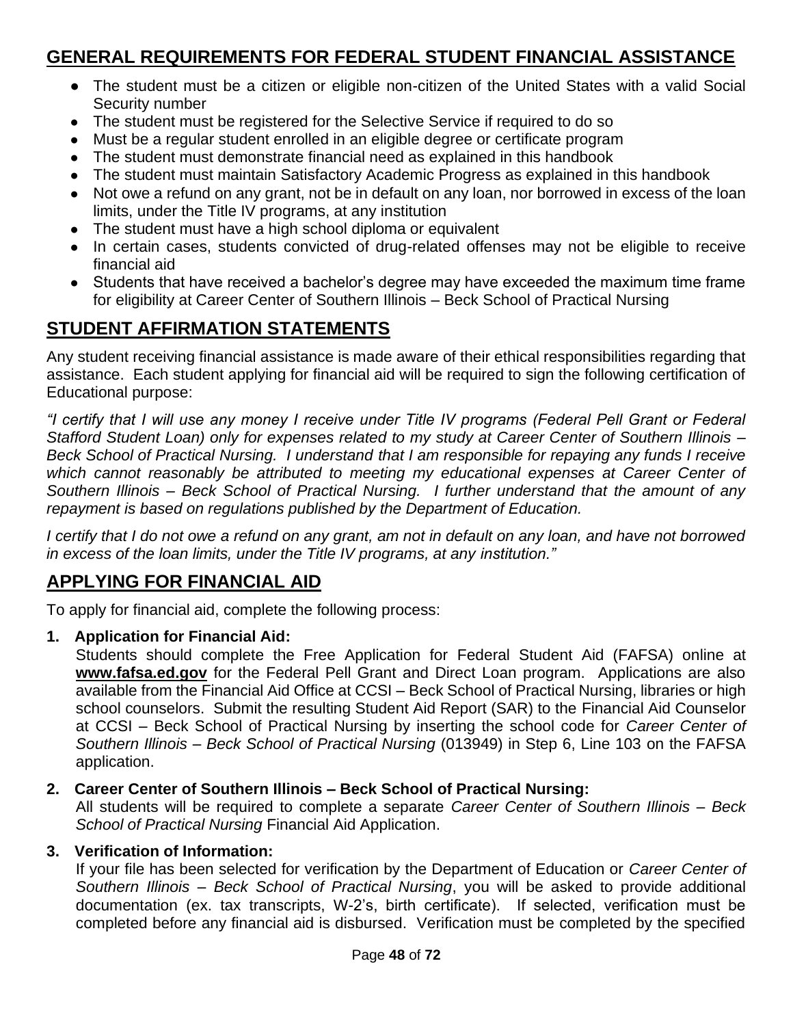## **GENERAL REQUIREMENTS FOR FEDERAL STUDENT FINANCIAL ASSISTANCE**

- The student must be a citizen or eligible non-citizen of the United States with a valid Social Security number
- The student must be registered for the Selective Service if required to do so
- Must be a regular student enrolled in an eligible degree or certificate program
- The student must demonstrate financial need as explained in this handbook
- The student must maintain Satisfactory Academic Progress as explained in this handbook
- Not owe a refund on any grant, not be in default on any loan, nor borrowed in excess of the loan limits, under the Title IV programs, at any institution
- The student must have a high school diploma or equivalent
- In certain cases, students convicted of drug-related offenses may not be eligible to receive financial aid
- Students that have received a bachelor's degree may have exceeded the maximum time frame for eligibility at Career Center of Southern Illinois – Beck School of Practical Nursing

## **STUDENT AFFIRMATION STATEMENTS**

Any student receiving financial assistance is made aware of their ethical responsibilities regarding that assistance. Each student applying for financial aid will be required to sign the following certification of Educational purpose:

*"I certify that I will use any money I receive under Title IV programs (Federal Pell Grant or Federal Stafford Student Loan) only for expenses related to my study at Career Center of Southern Illinois – Beck School of Practical Nursing. I understand that I am responsible for repaying any funds I receive*  which cannot reasonably be attributed to meeting my educational expenses at Career Center of *Southern Illinois – Beck School of Practical Nursing. I further understand that the amount of any repayment is based on regulations published by the Department of Education.*

*I* certify that I do not owe a refund on any grant, am not in default on any loan, and have not borrowed *in excess of the loan limits, under the Title IV programs, at any institution."*

## **APPLYING FOR FINANCIAL AID**

To apply for financial aid, complete the following process:

**1. Application for Financial Aid:**

Students should complete the Free Application for Federal Student Aid (FAFSA) online a[t](http://www.fafsa.ed.gov/) **[www.fafsa.ed.gov](http://www.fafsa.ed.gov/)** for the Federal Pell Grant and Direct Loan program. Applications are also available from the Financial Aid Office at CCSI – Beck School of Practical Nursing, libraries or high school counselors. Submit the resulting Student Aid Report (SAR) to the Financial Aid Counselor at CCSI – Beck School of Practical Nursing by inserting the school code for *Career Center of Southern Illinois – Beck School of Practical Nursing* (013949) in Step 6, Line 103 on the FAFSA application.

#### **2. Career Center of Southern Illinois – Beck School of Practical Nursing:**

All students will be required to complete a separate *Career Center of Southern Illinois – Beck School of Practical Nursing* Financial Aid Application.

#### **3. Verification of Information:**

If your file has been selected for verification by the Department of Education or *Career Center of Southern Illinois – Beck School of Practical Nursing*, you will be asked to provide additional documentation (ex. tax transcripts, W-2's, birth certificate). If selected, verification must be completed before any financial aid is disbursed. Verification must be completed by the specified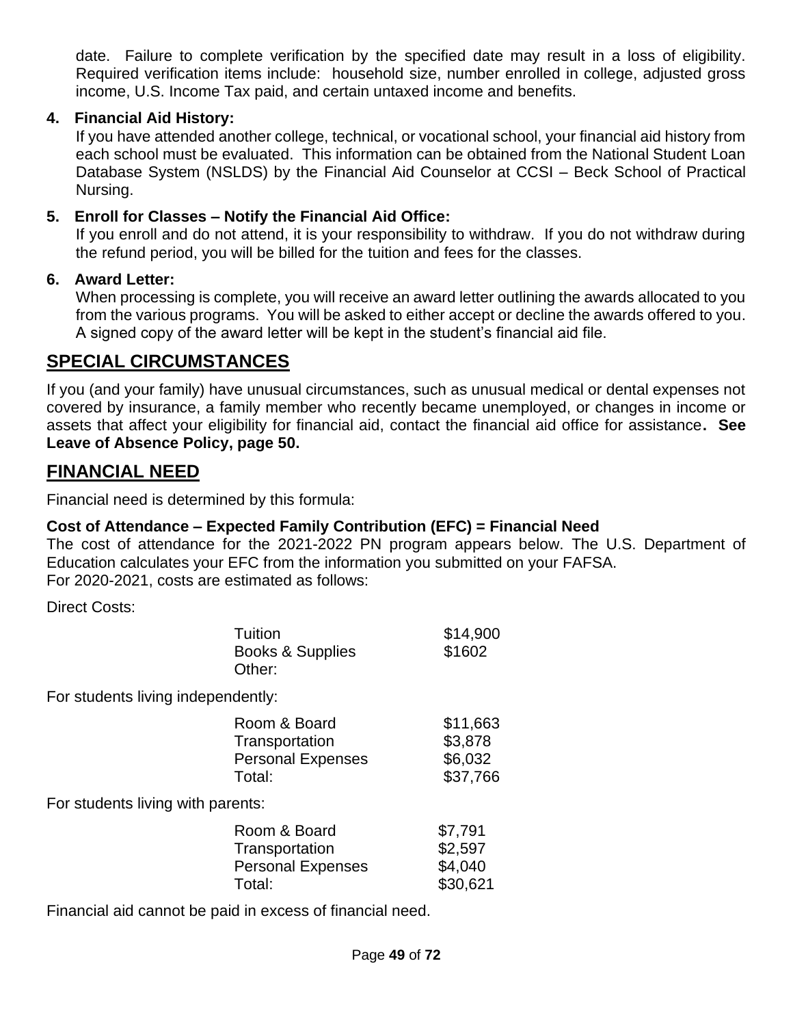date. Failure to complete verification by the specified date may result in a loss of eligibility. Required verification items include: household size, number enrolled in college, adjusted gross income, U.S. Income Tax paid, and certain untaxed income and benefits.

#### **4. Financial Aid History:**

If you have attended another college, technical, or vocational school, your financial aid history from each school must be evaluated. This information can be obtained from the National Student Loan Database System (NSLDS) by the Financial Aid Counselor at CCSI – Beck School of Practical Nursing.

#### **5. Enroll for Classes – Notify the Financial Aid Office:**

If you enroll and do not attend, it is your responsibility to withdraw. If you do not withdraw during the refund period, you will be billed for the tuition and fees for the classes.

#### **6. Award Letter:**

When processing is complete, you will receive an award letter outlining the awards allocated to you from the various programs. You will be asked to either accept or decline the awards offered to you. A signed copy of the award letter will be kept in the student's financial aid file.

## **SPECIAL CIRCUMSTANCES**

If you (and your family) have unusual circumstances, such as unusual medical or dental expenses not covered by insurance, a family member who recently became unemployed, or changes in income or assets that affect your eligibility for financial aid, contact the financial aid office for assistance**. See Leave of Absence Policy, page 50.**

## **FINANCIAL NEED**

Financial need is determined by this formula:

#### **Cost of Attendance – Expected Family Contribution (EFC) = Financial Need**

The cost of attendance for the 2021-2022 PN program appears below. The U.S. Department of Education calculates your EFC from the information you submitted on your FAFSA. For 2020-2021, costs are estimated as follows:

Direct Costs:

|                                    | Tuition<br>Books & Supplies<br>Other:                                | \$14,900<br>\$1602                         |
|------------------------------------|----------------------------------------------------------------------|--------------------------------------------|
| For students living independently: |                                                                      |                                            |
|                                    | Room & Board<br>Transportation<br><b>Personal Expenses</b><br>Total: | \$11,663<br>\$3,878<br>\$6,032<br>\$37,766 |
| For students living with parents:  |                                                                      |                                            |
|                                    | Room & Board<br>Transportation<br><b>Personal Expenses</b>           | \$7,791<br>\$2,597<br>\$4,040              |

Total: \$30,621

Financial aid cannot be paid in excess of financial need.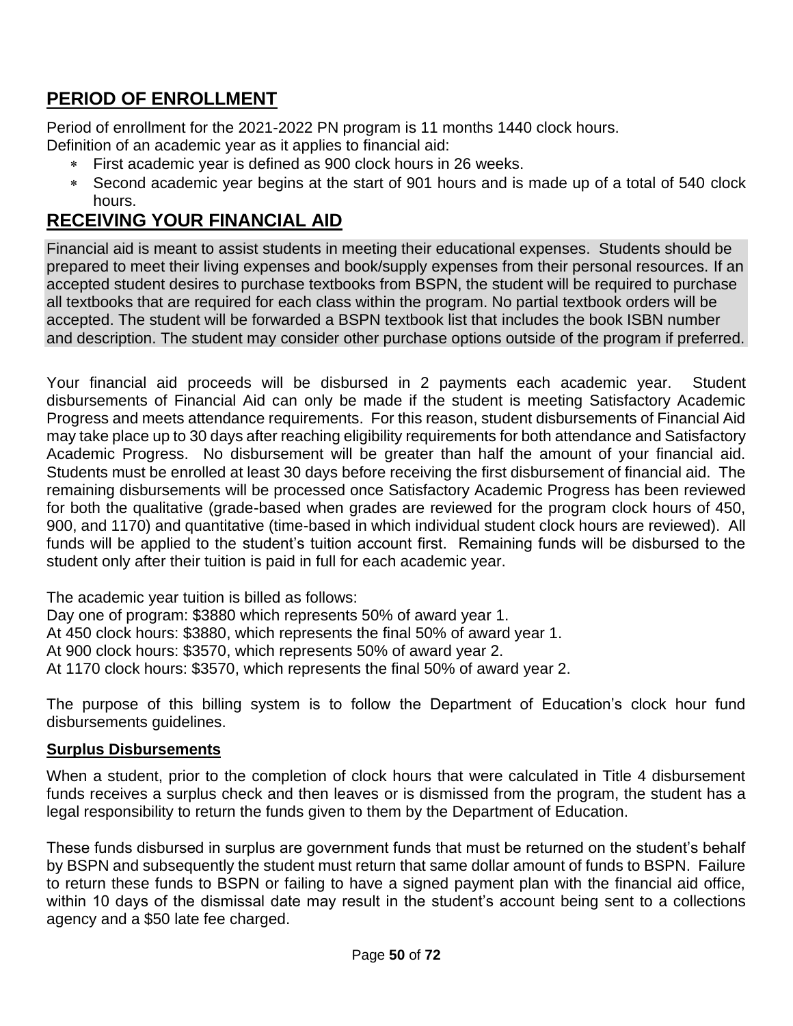## **PERIOD OF ENROLLMENT**

Period of enrollment for the 2021-2022 PN program is 11 months 1440 clock hours. Definition of an academic year as it applies to financial aid:

- First academic year is defined as 900 clock hours in 26 weeks.
- Second academic year begins at the start of 901 hours and is made up of a total of 540 clock hours.

## **RECEIVING YOUR FINANCIAL AID**

Financial aid is meant to assist students in meeting their educational expenses. Students should be prepared to meet their living expenses and book/supply expenses from their personal resources. If an accepted student desires to purchase textbooks from BSPN, the student will be required to purchase all textbooks that are required for each class within the program. No partial textbook orders will be accepted. The student will be forwarded a BSPN textbook list that includes the book ISBN number and description. The student may consider other purchase options outside of the program if preferred.

Your financial aid proceeds will be disbursed in 2 payments each academic year. Student disbursements of Financial Aid can only be made if the student is meeting Satisfactory Academic Progress and meets attendance requirements. For this reason, student disbursements of Financial Aid may take place up to 30 days after reaching eligibility requirements for both attendance and Satisfactory Academic Progress. No disbursement will be greater than half the amount of your financial aid. Students must be enrolled at least 30 days before receiving the first disbursement of financial aid. The remaining disbursements will be processed once Satisfactory Academic Progress has been reviewed for both the qualitative (grade-based when grades are reviewed for the program clock hours of 450, 900, and 1170) and quantitative (time-based in which individual student clock hours are reviewed). All funds will be applied to the student's tuition account first. Remaining funds will be disbursed to the student only after their tuition is paid in full for each academic year.

The academic year tuition is billed as follows:

Day one of program: \$3880 which represents 50% of award year 1.

At 450 clock hours: \$3880, which represents the final 50% of award year 1.

At 900 clock hours: \$3570, which represents 50% of award year 2.

At 1170 clock hours: \$3570, which represents the final 50% of award year 2.

The purpose of this billing system is to follow the Department of Education's clock hour fund disbursements guidelines.

#### **Surplus Disbursements**

When a student, prior to the completion of clock hours that were calculated in Title 4 disbursement funds receives a surplus check and then leaves or is dismissed from the program, the student has a legal responsibility to return the funds given to them by the Department of Education.

These funds disbursed in surplus are government funds that must be returned on the student's behalf by BSPN and subsequently the student must return that same dollar amount of funds to BSPN. Failure to return these funds to BSPN or failing to have a signed payment plan with the financial aid office, within 10 days of the dismissal date may result in the student's account being sent to a collections agency and a \$50 late fee charged.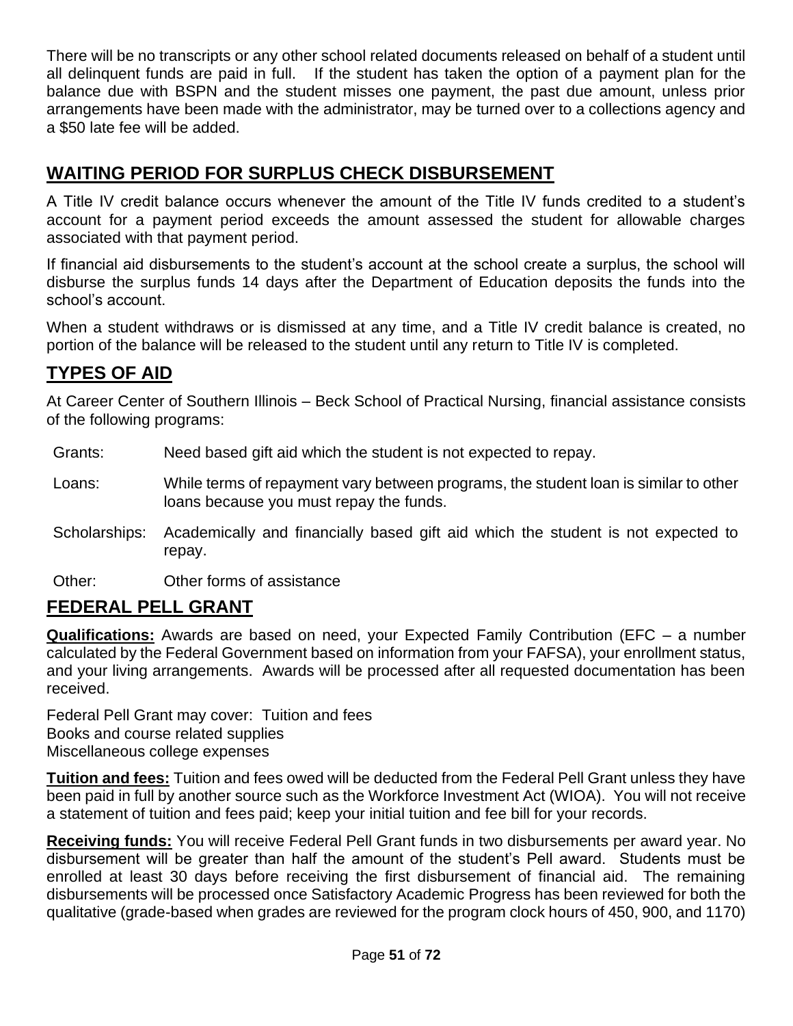There will be no transcripts or any other school related documents released on behalf of a student until all delinquent funds are paid in full. If the student has taken the option of a payment plan for the balance due with BSPN and the student misses one payment, the past due amount, unless prior arrangements have been made with the administrator, may be turned over to a collections agency and a \$50 late fee will be added.

## **WAITING PERIOD FOR SURPLUS CHECK DISBURSEMENT**

A Title IV credit balance occurs whenever the amount of the Title IV funds credited to a student's account for a payment period exceeds the amount assessed the student for allowable charges associated with that payment period.

If financial aid disbursements to the student's account at the school create a surplus, the school will disburse the surplus funds 14 days after the Department of Education deposits the funds into the school's account.

When a student withdraws or is dismissed at any time, and a Title IV credit balance is created, no portion of the balance will be released to the student until any return to Title IV is completed.

## **TYPES OF AID**

At Career Center of Southern Illinois – Beck School of Practical Nursing, financial assistance consists of the following programs:

- Grants: Need based gift aid which the student is not expected to repay.
- Loans: While terms of repayment vary between programs, the student loan is similar to other loans because you must repay the funds.
- Scholarships: Academically and financially based gift aid which the student is not expected to repay.
- Other: Other forms of assistance

## **FEDERAL PELL GRANT**

**Qualifications:** Awards are based on need, your Expected Family Contribution (EFC – a number calculated by the Federal Government based on information from your FAFSA), your enrollment status, and your living arrangements. Awards will be processed after all requested documentation has been received.

Federal Pell Grant may cover: Tuition and fees Books and course related supplies Miscellaneous college expenses

**Tuition and fees:** Tuition and fees owed will be deducted from the Federal Pell Grant unless they have been paid in full by another source such as the Workforce Investment Act (WIOA). You will not receive a statement of tuition and fees paid; keep your initial tuition and fee bill for your records.

**Receiving funds:** You will receive Federal Pell Grant funds in two disbursements per award year. No disbursement will be greater than half the amount of the student's Pell award. Students must be enrolled at least 30 days before receiving the first disbursement of financial aid. The remaining disbursements will be processed once Satisfactory Academic Progress has been reviewed for both the qualitative (grade-based when grades are reviewed for the program clock hours of 450, 900, and 1170)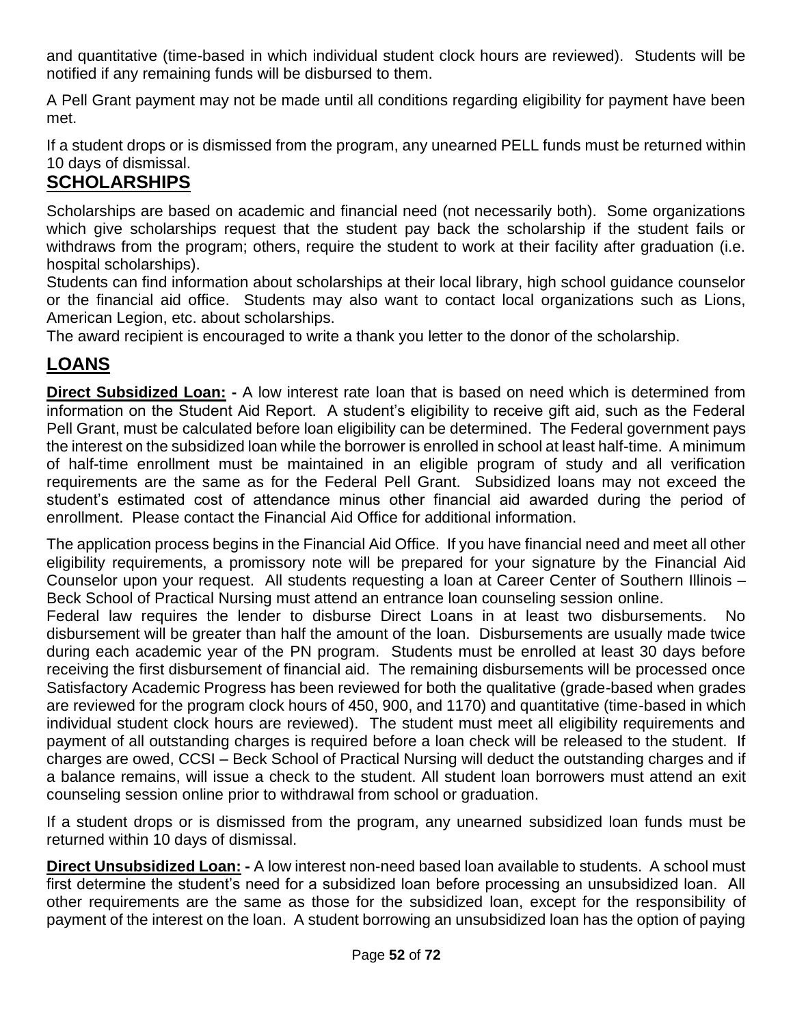and quantitative (time-based in which individual student clock hours are reviewed). Students will be notified if any remaining funds will be disbursed to them.

A Pell Grant payment may not be made until all conditions regarding eligibility for payment have been met.

If a student drops or is dismissed from the program, any unearned PELL funds must be returned within 10 days of dismissal.

## **SCHOLARSHIPS**

Scholarships are based on academic and financial need (not necessarily both). Some organizations which give scholarships request that the student pay back the scholarship if the student fails or withdraws from the program; others, require the student to work at their facility after graduation (i.e. hospital scholarships).

Students can find information about scholarships at their local library, high school guidance counselor or the financial aid office. Students may also want to contact local organizations such as Lions, American Legion, etc. about scholarships.

The award recipient is encouraged to write a thank you letter to the donor of the scholarship.

## **LOANS**

**Direct Subsidized Loan: -** A low interest rate loan that is based on need which is determined from information on the Student Aid Report. A student's eligibility to receive gift aid, such as the Federal Pell Grant, must be calculated before loan eligibility can be determined. The Federal government pays the interest on the subsidized loan while the borrower is enrolled in school at least half-time. A minimum of half-time enrollment must be maintained in an eligible program of study and all verification requirements are the same as for the Federal Pell Grant. Subsidized loans may not exceed the student's estimated cost of attendance minus other financial aid awarded during the period of enrollment. Please contact the Financial Aid Office for additional information.

The application process begins in the Financial Aid Office. If you have financial need and meet all other eligibility requirements, a promissory note will be prepared for your signature by the Financial Aid Counselor upon your request. All students requesting a loan at Career Center of Southern Illinois – Beck School of Practical Nursing must attend an entrance loan counseling session online.

Federal law requires the lender to disburse Direct Loans in at least two disbursements. No disbursement will be greater than half the amount of the loan. Disbursements are usually made twice during each academic year of the PN program. Students must be enrolled at least 30 days before receiving the first disbursement of financial aid. The remaining disbursements will be processed once Satisfactory Academic Progress has been reviewed for both the qualitative (grade-based when grades are reviewed for the program clock hours of 450, 900, and 1170) and quantitative (time-based in which individual student clock hours are reviewed). The student must meet all eligibility requirements and payment of all outstanding charges is required before a loan check will be released to the student. If charges are owed, CCSI – Beck School of Practical Nursing will deduct the outstanding charges and if a balance remains, will issue a check to the student. All student loan borrowers must attend an exit counseling session online prior to withdrawal from school or graduation.

If a student drops or is dismissed from the program, any unearned subsidized loan funds must be returned within 10 days of dismissal.

**Direct Unsubsidized Loan: -** A low interest non-need based loan available to students. A school must first determine the student's need for a subsidized loan before processing an unsubsidized loan. All other requirements are the same as those for the subsidized loan, except for the responsibility of payment of the interest on the loan. A student borrowing an unsubsidized loan has the option of paying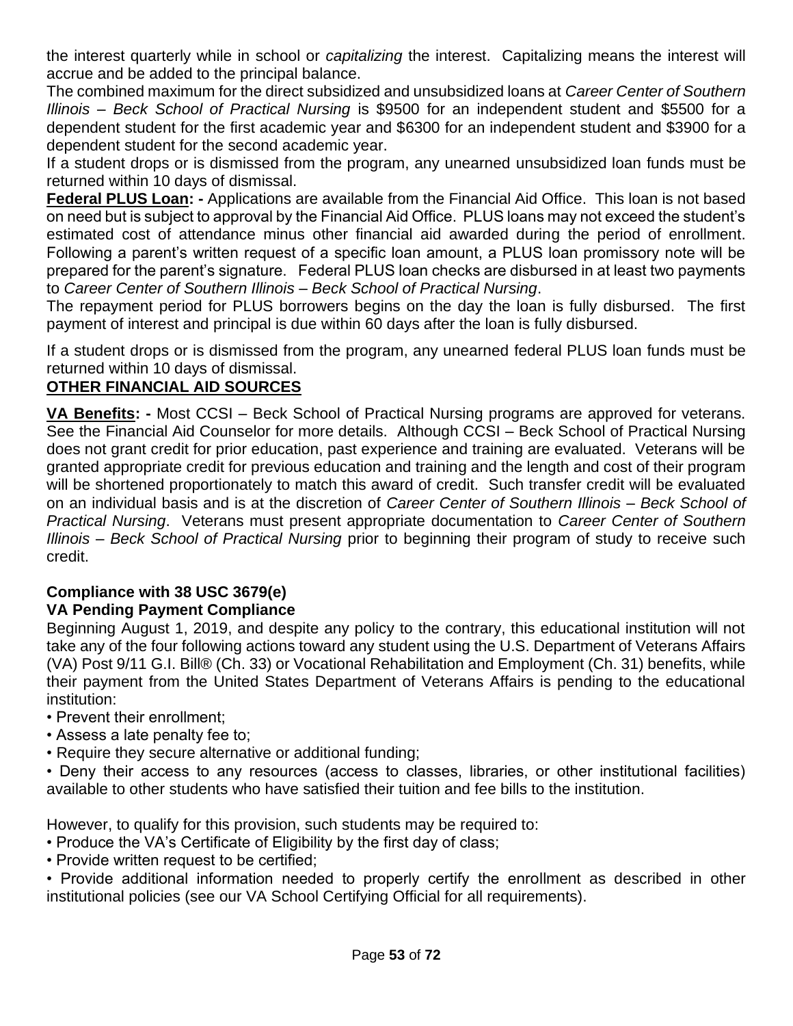the interest quarterly while in school or *capitalizing* the interest. Capitalizing means the interest will accrue and be added to the principal balance.

The combined maximum for the direct subsidized and unsubsidized loans at *Career Center of Southern Illinois – Beck School of Practical Nursing* is \$9500 for an independent student and \$5500 for a dependent student for the first academic year and \$6300 for an independent student and \$3900 for a dependent student for the second academic year.

If a student drops or is dismissed from the program, any unearned unsubsidized loan funds must be returned within 10 days of dismissal.

**Federal PLUS Loan: -** Applications are available from the Financial Aid Office. This loan is not based on need but is subject to approval by the Financial Aid Office. PLUS loans may not exceed the student's estimated cost of attendance minus other financial aid awarded during the period of enrollment. Following a parent's written request of a specific loan amount, a PLUS loan promissory note will be prepared for the parent's signature. Federal PLUS loan checks are disbursed in at least two payments to *Career Center of Southern Illinois – Beck School of Practical Nursing*.

The repayment period for PLUS borrowers begins on the day the loan is fully disbursed. The first payment of interest and principal is due within 60 days after the loan is fully disbursed.

If a student drops or is dismissed from the program, any unearned federal PLUS loan funds must be returned within 10 days of dismissal.

#### **OTHER FINANCIAL AID SOURCES**

**VA Benefits: -** Most CCSI – Beck School of Practical Nursing programs are approved for veterans. See the Financial Aid Counselor for more details. Although CCSI – Beck School of Practical Nursing does not grant credit for prior education, past experience and training are evaluated. Veterans will be granted appropriate credit for previous education and training and the length and cost of their program will be shortened proportionately to match this award of credit. Such transfer credit will be evaluated on an individual basis and is at the discretion of *Career Center of Southern Illinois – Beck School of Practical Nursing*. Veterans must present appropriate documentation to *Career Center of Southern Illinois – Beck School of Practical Nursing* prior to beginning their program of study to receive such credit.

## **Compliance with 38 USC 3679(e)**

#### **VA Pending Payment Compliance**

Beginning August 1, 2019, and despite any policy to the contrary, this educational institution will not take any of the four following actions toward any student using the U.S. Department of Veterans Affairs (VA) Post 9/11 G.I. Bill® (Ch. 33) or Vocational Rehabilitation and Employment (Ch. 31) benefits, while their payment from the United States Department of Veterans Affairs is pending to the educational institution:

- Prevent their enrollment;
- Assess a late penalty fee to;
- Require they secure alternative or additional funding;

• Deny their access to any resources (access to classes, libraries, or other institutional facilities) available to other students who have satisfied their tuition and fee bills to the institution.

However, to qualify for this provision, such students may be required to:

- Produce the VA's Certificate of Eligibility by the first day of class;
- Provide written request to be certified;

• Provide additional information needed to properly certify the enrollment as described in other institutional policies (see our VA School Certifying Official for all requirements).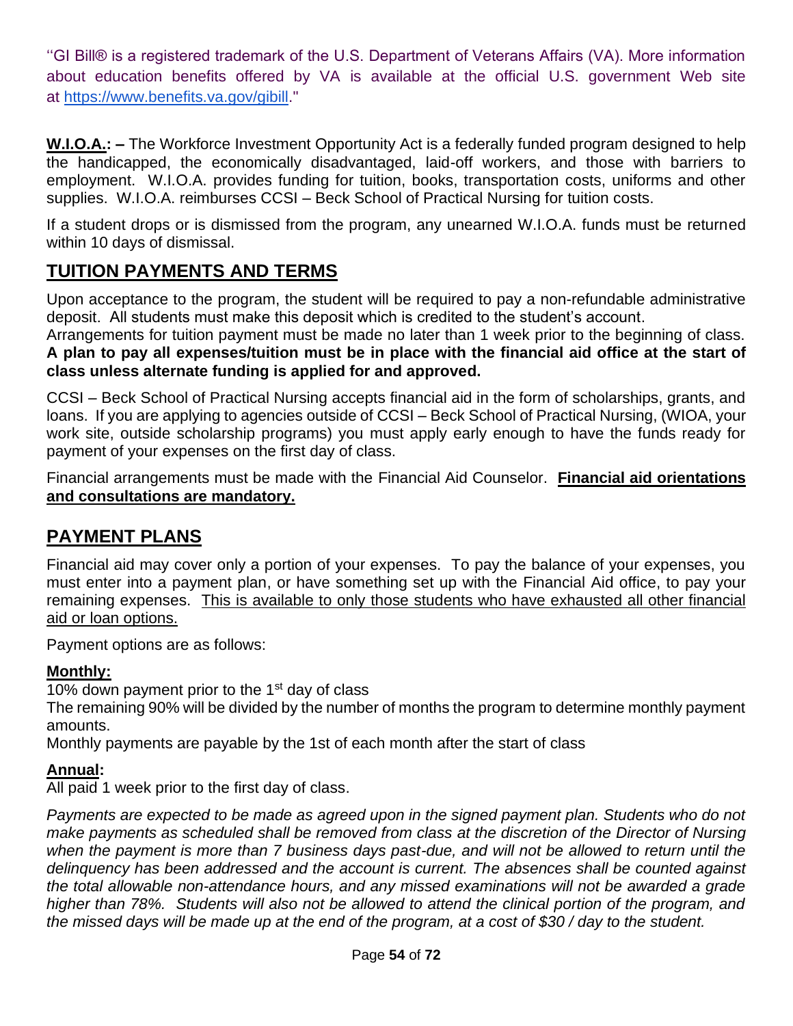''GI Bill® is a registered trademark of the U.S. Department of Veterans Affairs (VA). More information about education benefits offered by VA is available at the official U.S. government Web site at [https://www.benefits.va.gov/gibill.](https://www.benefits.va.gov/gibill)"

**W.I.O.A.: –** The Workforce Investment Opportunity Act is a federally funded program designed to help the handicapped, the economically disadvantaged, laid-off workers, and those with barriers to employment. W.I.O.A. provides funding for tuition, books, transportation costs, uniforms and other supplies. W.I.O.A. reimburses CCSI – Beck School of Practical Nursing for tuition costs.

If a student drops or is dismissed from the program, any unearned W.I.O.A. funds must be returned within 10 days of dismissal.

## **TUITION PAYMENTS AND TERMS**

Upon acceptance to the program, the student will be required to pay a non-refundable administrative deposit. All students must make this deposit which is credited to the student's account.

Arrangements for tuition payment must be made no later than 1 week prior to the beginning of class. **A plan to pay all expenses/tuition must be in place with the financial aid office at the start of class unless alternate funding is applied for and approved.**

CCSI – Beck School of Practical Nursing accepts financial aid in the form of scholarships, grants, and loans. If you are applying to agencies outside of CCSI – Beck School of Practical Nursing, (WIOA, your work site, outside scholarship programs) you must apply early enough to have the funds ready for payment of your expenses on the first day of class.

Financial arrangements must be made with the Financial Aid Counselor. **Financial aid orientations and consultations are mandatory.**

## **PAYMENT PLANS**

Financial aid may cover only a portion of your expenses. To pay the balance of your expenses, you must enter into a payment plan, or have something set up with the Financial Aid office, to pay your remaining expenses. This is available to only those students who have exhausted all other financial aid or loan options.

Payment options are as follows:

#### **Monthly:**

10% down payment prior to the  $1<sup>st</sup>$  day of class

The remaining 90% will be divided by the number of months the program to determine monthly payment amounts.

Monthly payments are payable by the 1st of each month after the start of class

#### **Annual:**

All paid 1 week prior to the first day of class.

*Payments are expected to be made as agreed upon in the signed payment plan. Students who do not make payments as scheduled shall be removed from class at the discretion of the Director of Nursing* when the payment is more than 7 business days past-due, and will not be allowed to return until the *delinquency has been addressed and the account is current. The absences shall be counted against the total allowable non-attendance hours, and any missed examinations will not be awarded a grade higher than 78%. Students will also not be allowed to attend the clinical portion of the program, and the missed days will be made up at the end of the program, at a cost of \$30 / day to the student.*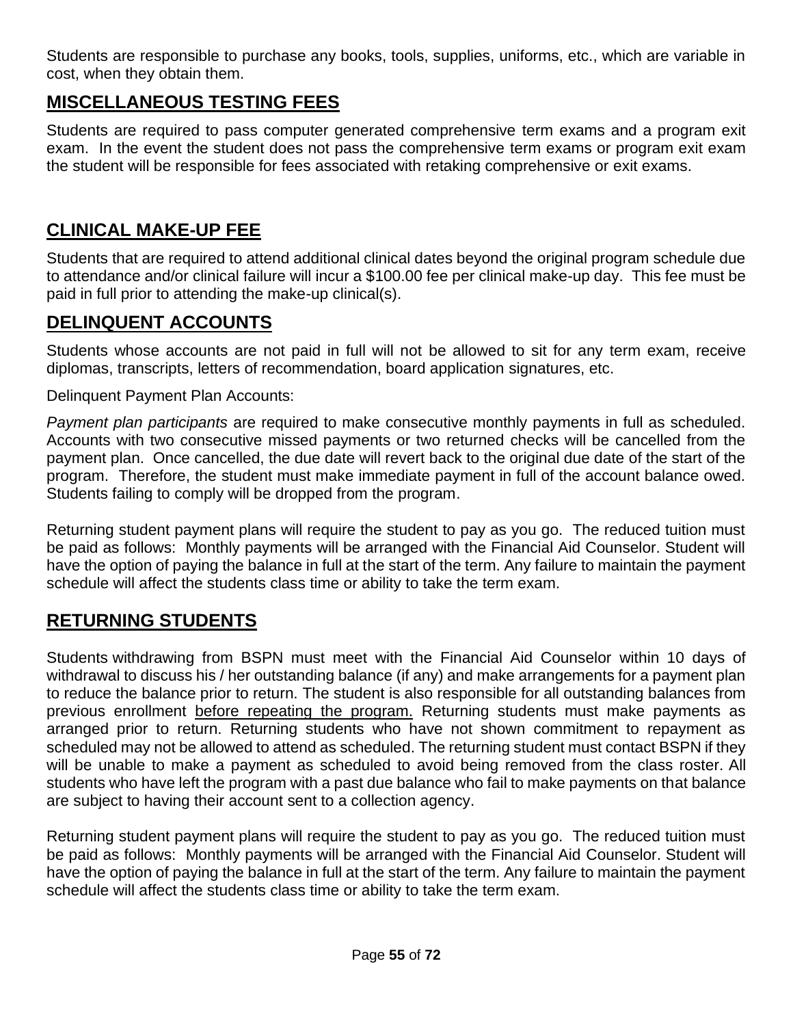Students are responsible to purchase any books, tools, supplies, uniforms, etc., which are variable in cost, when they obtain them.

## **MISCELLANEOUS TESTING FEES**

Students are required to pass computer generated comprehensive term exams and a program exit exam. In the event the student does not pass the comprehensive term exams or program exit exam the student will be responsible for fees associated with retaking comprehensive or exit exams.

## **CLINICAL MAKE-UP FEE**

Students that are required to attend additional clinical dates beyond the original program schedule due to attendance and/or clinical failure will incur a \$100.00 fee per clinical make-up day. This fee must be paid in full prior to attending the make-up clinical(s).

## **DELINQUENT ACCOUNTS**

Students whose accounts are not paid in full will not be allowed to sit for any term exam, receive diplomas, transcripts, letters of recommendation, board application signatures, etc.

Delinquent Payment Plan Accounts:

*Payment plan participants* are required to make consecutive monthly payments in full as scheduled. Accounts with two consecutive missed payments or two returned checks will be cancelled from the payment plan. Once cancelled, the due date will revert back to the original due date of the start of the program. Therefore, the student must make immediate payment in full of the account balance owed. Students failing to comply will be dropped from the program.

Returning student payment plans will require the student to pay as you go. The reduced tuition must be paid as follows: Monthly payments will be arranged with the Financial Aid Counselor. Student will have the option of paying the balance in full at the start of the term. Any failure to maintain the payment schedule will affect the students class time or ability to take the term exam.

## **RETURNING STUDENTS**

Students withdrawing from BSPN must meet with the Financial Aid Counselor within 10 days of withdrawal to discuss his / her outstanding balance (if any) and make arrangements for a payment plan to reduce the balance prior to return. The student is also responsible for all outstanding balances from previous enrollment before repeating the program. Returning students must make payments as arranged prior to return. Returning students who have not shown commitment to repayment as scheduled may not be allowed to attend as scheduled. The returning student must contact BSPN if they will be unable to make a payment as scheduled to avoid being removed from the class roster. All students who have left the program with a past due balance who fail to make payments on that balance are subject to having their account sent to a collection agency.

Returning student payment plans will require the student to pay as you go. The reduced tuition must be paid as follows: Monthly payments will be arranged with the Financial Aid Counselor. Student will have the option of paying the balance in full at the start of the term. Any failure to maintain the payment schedule will affect the students class time or ability to take the term exam.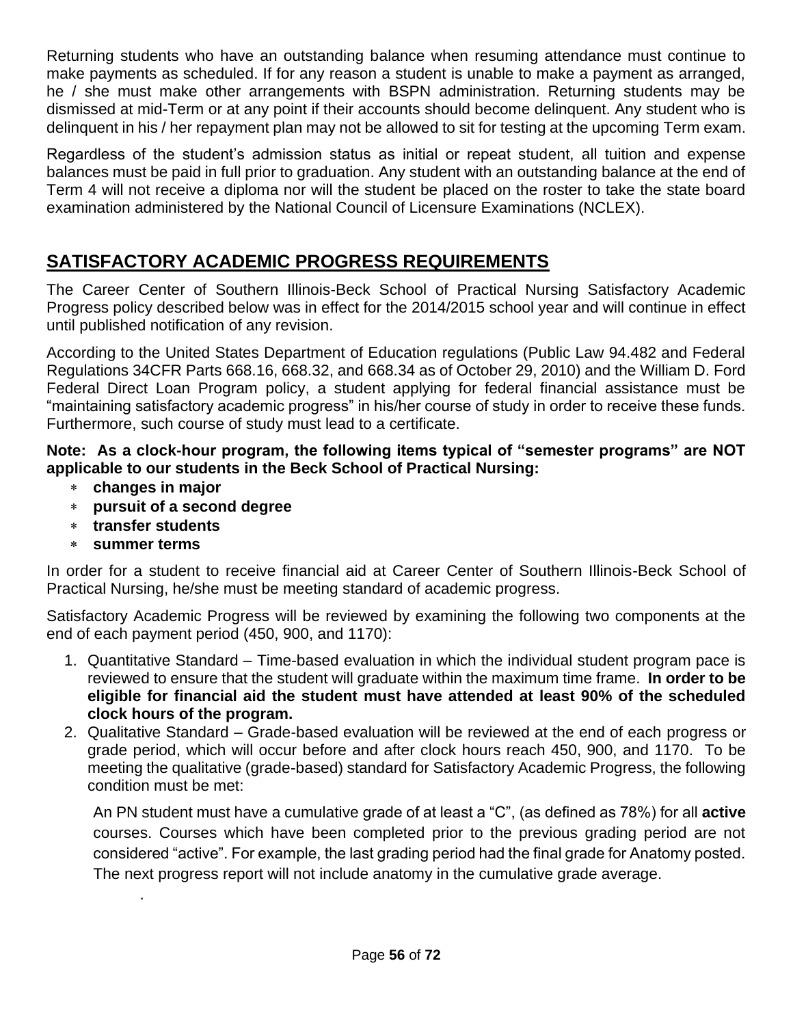Returning students who have an outstanding balance when resuming attendance must continue to make payments as scheduled. If for any reason a student is unable to make a payment as arranged, he / she must make other arrangements with BSPN administration. Returning students may be dismissed at mid-Term or at any point if their accounts should become delinquent. Any student who is delinquent in his / her repayment plan may not be allowed to sit for testing at the upcoming Term exam.

Regardless of the student's admission status as initial or repeat student, all tuition and expense balances must be paid in full prior to graduation. Any student with an outstanding balance at the end of Term 4 will not receive a diploma nor will the student be placed on the roster to take the state board examination administered by the National Council of Licensure Examinations (NCLEX).

## **SATISFACTORY ACADEMIC PROGRESS REQUIREMENTS**

The Career Center of Southern Illinois-Beck School of Practical Nursing Satisfactory Academic Progress policy described below was in effect for the 2014/2015 school year and will continue in effect until published notification of any revision.

According to the United States Department of Education regulations (Public Law 94.482 and Federal Regulations 34CFR Parts 668.16, 668.32, and 668.34 as of October 29, 2010) and the William D. Ford Federal Direct Loan Program policy, a student applying for federal financial assistance must be "maintaining satisfactory academic progress" in his/her course of study in order to receive these funds. Furthermore, such course of study must lead to a certificate.

#### **Note: As a clock-hour program, the following items typical of "semester programs" are NOT applicable to our students in the Beck School of Practical Nursing:**

- **changes in major**
- **pursuit of a second degree**
- **transfer students**
- **summer terms**

.

In order for a student to receive financial aid at Career Center of Southern Illinois-Beck School of Practical Nursing, he/she must be meeting standard of academic progress.

Satisfactory Academic Progress will be reviewed by examining the following two components at the end of each payment period (450, 900, and 1170):

- 1. Quantitative Standard Time-based evaluation in which the individual student program pace is reviewed to ensure that the student will graduate within the maximum time frame. **In order to be eligible for financial aid the student must have attended at least 90% of the scheduled clock hours of the program.**
- 2. Qualitative Standard Grade-based evaluation will be reviewed at the end of each progress or grade period, which will occur before and after clock hours reach 450, 900, and 1170. To be meeting the qualitative (grade-based) standard for Satisfactory Academic Progress, the following condition must be met:

An PN student must have a cumulative grade of at least a "C", (as defined as 78%) for all **active**  courses. Courses which have been completed prior to the previous grading period are not considered "active". For example, the last grading period had the final grade for Anatomy posted. The next progress report will not include anatomy in the cumulative grade average.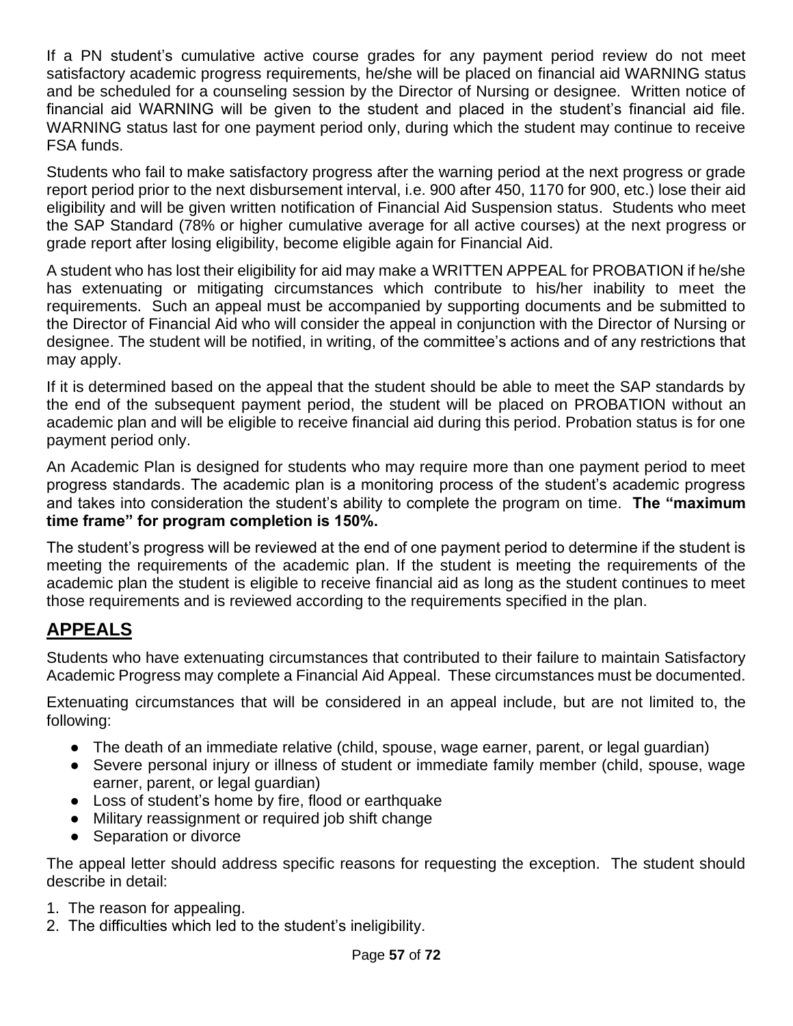If a PN student's cumulative active course grades for any payment period review do not meet satisfactory academic progress requirements, he/she will be placed on financial aid WARNING status and be scheduled for a counseling session by the Director of Nursing or designee. Written notice of financial aid WARNING will be given to the student and placed in the student's financial aid file. WARNING status last for one payment period only, during which the student may continue to receive FSA funds.

Students who fail to make satisfactory progress after the warning period at the next progress or grade report period prior to the next disbursement interval, i.e. 900 after 450, 1170 for 900, etc.) lose their aid eligibility and will be given written notification of Financial Aid Suspension status. Students who meet the SAP Standard (78% or higher cumulative average for all active courses) at the next progress or grade report after losing eligibility, become eligible again for Financial Aid.

A student who has lost their eligibility for aid may make a WRITTEN APPEAL for PROBATION if he/she has extenuating or mitigating circumstances which contribute to his/her inability to meet the requirements. Such an appeal must be accompanied by supporting documents and be submitted to the Director of Financial Aid who will consider the appeal in conjunction with the Director of Nursing or designee. The student will be notified, in writing, of the committee's actions and of any restrictions that may apply.

If it is determined based on the appeal that the student should be able to meet the SAP standards by the end of the subsequent payment period, the student will be placed on PROBATION without an academic plan and will be eligible to receive financial aid during this period. Probation status is for one payment period only.

An Academic Plan is designed for students who may require more than one payment period to meet progress standards. The academic plan is a monitoring process of the student's academic progress and takes into consideration the student's ability to complete the program on time. **The "maximum time frame" for program completion is 150%.**

The student's progress will be reviewed at the end of one payment period to determine if the student is meeting the requirements of the academic plan. If the student is meeting the requirements of the academic plan the student is eligible to receive financial aid as long as the student continues to meet those requirements and is reviewed according to the requirements specified in the plan.

## **APPEALS**

Students who have extenuating circumstances that contributed to their failure to maintain Satisfactory Academic Progress may complete a Financial Aid Appeal. These circumstances must be documented.

Extenuating circumstances that will be considered in an appeal include, but are not limited to, the following:

- The death of an immediate relative (child, spouse, wage earner, parent, or legal guardian)
- Severe personal injury or illness of student or immediate family member (child, spouse, wage earner, parent, or legal guardian)
- Loss of student's home by fire, flood or earthquake
- Military reassignment or required job shift change
- Separation or divorce

The appeal letter should address specific reasons for requesting the exception. The student should describe in detail:

- 1. The reason for appealing.
- 2. The difficulties which led to the student's ineligibility.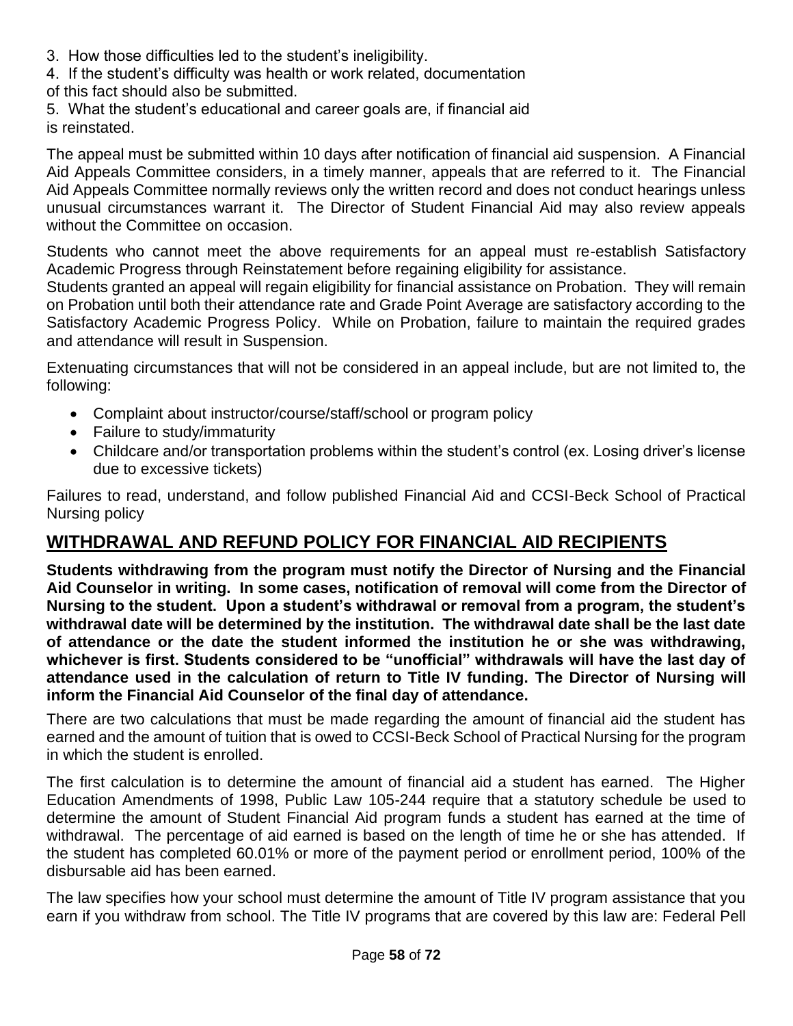- 3. How those difficulties led to the student's ineligibility.
- 4. If the student's difficulty was health or work related, documentation
- of this fact should also be submitted.
- 5. What the student's educational and career goals are, if financial aid is reinstated.

The appeal must be submitted within 10 days after notification of financial aid suspension. A Financial Aid Appeals Committee considers, in a timely manner, appeals that are referred to it. The Financial Aid Appeals Committee normally reviews only the written record and does not conduct hearings unless unusual circumstances warrant it. The Director of Student Financial Aid may also review appeals without the Committee on occasion.

Students who cannot meet the above requirements for an appeal must re-establish Satisfactory Academic Progress through Reinstatement before regaining eligibility for assistance.

Students granted an appeal will regain eligibility for financial assistance on Probation. They will remain on Probation until both their attendance rate and Grade Point Average are satisfactory according to the Satisfactory Academic Progress Policy. While on Probation, failure to maintain the required grades and attendance will result in Suspension.

Extenuating circumstances that will not be considered in an appeal include, but are not limited to, the following:

- Complaint about instructor/course/staff/school or program policy
- Failure to study/immaturity
- Childcare and/or transportation problems within the student's control (ex. Losing driver's license due to excessive tickets)

Failures to read, understand, and follow published Financial Aid and CCSI-Beck School of Practical Nursing policy

## **WITHDRAWAL AND REFUND POLICY FOR FINANCIAL AID RECIPIENTS**

**Students withdrawing from the program must notify the Director of Nursing and the Financial Aid Counselor in writing. In some cases, notification of removal will come from the Director of Nursing to the student. Upon a student's withdrawal or removal from a program, the student's withdrawal date will be determined by the institution. The withdrawal date shall be the last date of attendance or the date the student informed the institution he or she was withdrawing, whichever is first. Students considered to be "unofficial" withdrawals will have the last day of attendance used in the calculation of return to Title IV funding. The Director of Nursing will inform the Financial Aid Counselor of the final day of attendance.**

There are two calculations that must be made regarding the amount of financial aid the student has earned and the amount of tuition that is owed to CCSI-Beck School of Practical Nursing for the program in which the student is enrolled.

The first calculation is to determine the amount of financial aid a student has earned. The Higher Education Amendments of 1998, Public Law 105-244 require that a statutory schedule be used to determine the amount of Student Financial Aid program funds a student has earned at the time of withdrawal. The percentage of aid earned is based on the length of time he or she has attended. If the student has completed 60.01% or more of the payment period or enrollment period, 100% of the disbursable aid has been earned.

The law specifies how your school must determine the amount of Title IV program assistance that you earn if you withdraw from school. The Title IV programs that are covered by this law are: Federal Pell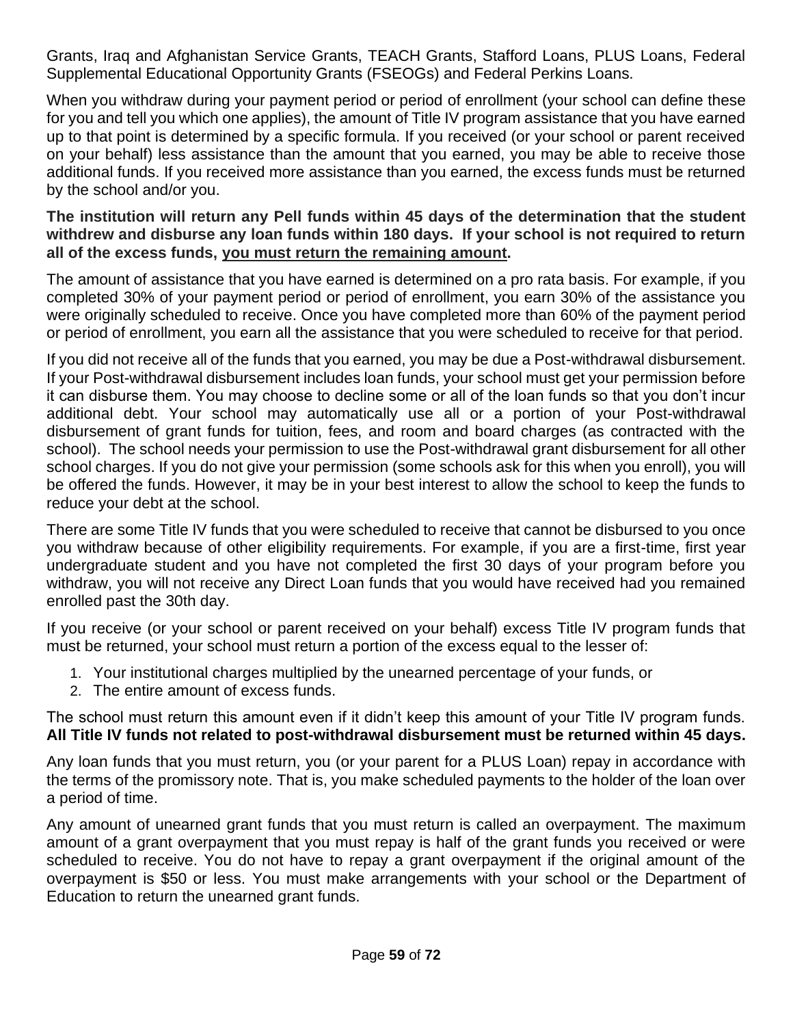Grants, Iraq and Afghanistan Service Grants, TEACH Grants, Stafford Loans, PLUS Loans, Federal Supplemental Educational Opportunity Grants (FSEOGs) and Federal Perkins Loans.

When you withdraw during your payment period or period of enrollment (your school can define these for you and tell you which one applies), the amount of Title IV program assistance that you have earned up to that point is determined by a specific formula. If you received (or your school or parent received on your behalf) less assistance than the amount that you earned, you may be able to receive those additional funds. If you received more assistance than you earned, the excess funds must be returned by the school and/or you.

#### **The institution will return any Pell funds within 45 days of the determination that the student withdrew and disburse any loan funds within 180 days. If your school is not required to return all of the excess funds, you must return the remaining amount.**

The amount of assistance that you have earned is determined on a pro rata basis. For example, if you completed 30% of your payment period or period of enrollment, you earn 30% of the assistance you were originally scheduled to receive. Once you have completed more than 60% of the payment period or period of enrollment, you earn all the assistance that you were scheduled to receive for that period.

If you did not receive all of the funds that you earned, you may be due a Post-withdrawal disbursement. If your Post-withdrawal disbursement includes loan funds, your school must get your permission before it can disburse them. You may choose to decline some or all of the loan funds so that you don't incur additional debt. Your school may automatically use all or a portion of your Post-withdrawal disbursement of grant funds for tuition, fees, and room and board charges (as contracted with the school). The school needs your permission to use the Post-withdrawal grant disbursement for all other school charges. If you do not give your permission (some schools ask for this when you enroll), you will be offered the funds. However, it may be in your best interest to allow the school to keep the funds to reduce your debt at the school.

There are some Title IV funds that you were scheduled to receive that cannot be disbursed to you once you withdraw because of other eligibility requirements. For example, if you are a first-time, first year undergraduate student and you have not completed the first 30 days of your program before you withdraw, you will not receive any Direct Loan funds that you would have received had you remained enrolled past the 30th day.

If you receive (or your school or parent received on your behalf) excess Title IV program funds that must be returned, your school must return a portion of the excess equal to the lesser of:

- 1. Your institutional charges multiplied by the unearned percentage of your funds, or
- 2. The entire amount of excess funds.

#### The school must return this amount even if it didn't keep this amount of your Title IV program funds. **All Title IV funds not related to post-withdrawal disbursement must be returned within 45 days.**

Any loan funds that you must return, you (or your parent for a PLUS Loan) repay in accordance with the terms of the promissory note. That is, you make scheduled payments to the holder of the loan over a period of time.

Any amount of unearned grant funds that you must return is called an overpayment. The maximum amount of a grant overpayment that you must repay is half of the grant funds you received or were scheduled to receive. You do not have to repay a grant overpayment if the original amount of the overpayment is \$50 or less. You must make arrangements with your school or the Department of Education to return the unearned grant funds.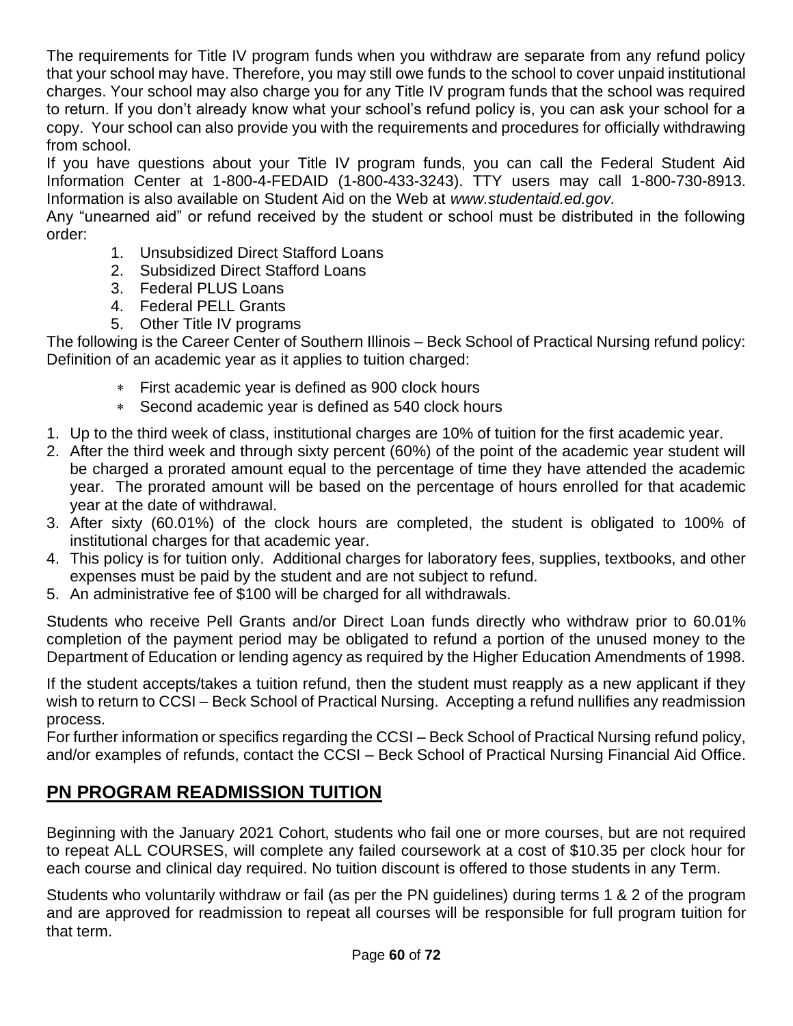The requirements for Title IV program funds when you withdraw are separate from any refund policy that your school may have. Therefore, you may still owe funds to the school to cover unpaid institutional charges. Your school may also charge you for any Title IV program funds that the school was required to return. If you don't already know what your school's refund policy is, you can ask your school for a copy. Your school can also provide you with the requirements and procedures for officially withdrawing from school.

If you have questions about your Title IV program funds, you can call the Federal Student Aid Information Center at 1-800-4-FEDAID (1-800-433-3243). TTY users may call 1-800-730-8913. Information is also available on Student Aid on the Web at *www.studentaid.ed.gov.*

Any "unearned aid" or refund received by the student or school must be distributed in the following order:

- 1. Unsubsidized Direct Stafford Loans
- 2. Subsidized Direct Stafford Loans
- 3. Federal PLUS Loans
- 4. Federal PELL Grants
- 5. Other Title IV programs

The following is the Career Center of Southern Illinois – Beck School of Practical Nursing refund policy: Definition of an academic year as it applies to tuition charged:

- First academic year is defined as 900 clock hours
- Second academic year is defined as 540 clock hours
- 1. Up to the third week of class, institutional charges are 10% of tuition for the first academic year.
- 2. After the third week and through sixty percent (60%) of the point of the academic year student will be charged a prorated amount equal to the percentage of time they have attended the academic year. The prorated amount will be based on the percentage of hours enrolled for that academic year at the date of withdrawal.
- 3. After sixty (60.01%) of the clock hours are completed, the student is obligated to 100% of institutional charges for that academic year.
- 4. This policy is for tuition only. Additional charges for laboratory fees, supplies, textbooks, and other expenses must be paid by the student and are not subject to refund.
- 5. An administrative fee of \$100 will be charged for all withdrawals.

Students who receive Pell Grants and/or Direct Loan funds directly who withdraw prior to 60.01% completion of the payment period may be obligated to refund a portion of the unused money to the Department of Education or lending agency as required by the Higher Education Amendments of 1998.

If the student accepts/takes a tuition refund, then the student must reapply as a new applicant if they wish to return to CCSI – Beck School of Practical Nursing. Accepting a refund nullifies any readmission process.

For further information or specifics regarding the CCSI – Beck School of Practical Nursing refund policy, and/or examples of refunds, contact the CCSI – Beck School of Practical Nursing Financial Aid Office.

## **PN PROGRAM READMISSION TUITION**

Beginning with the January 2021 Cohort, students who fail one or more courses, but are not required to repeat ALL COURSES, will complete any failed coursework at a cost of \$10.35 per clock hour for each course and clinical day required. No tuition discount is offered to those students in any Term.

Students who voluntarily withdraw or fail (as per the PN guidelines) during terms 1 & 2 of the program and are approved for readmission to repeat all courses will be responsible for full program tuition for that term.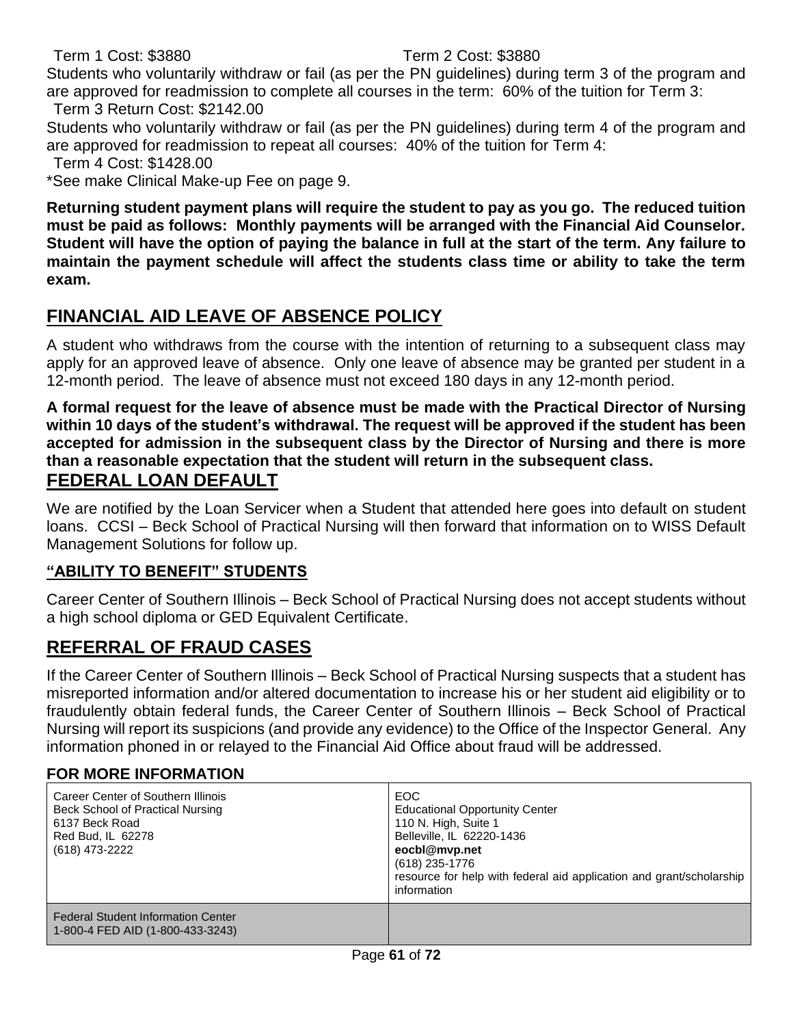Term 1 Cost: \$3880 Term 2 Cost: \$3880

Students who voluntarily withdraw or fail (as per the PN guidelines) during term 3 of the program and are approved for readmission to complete all courses in the term: 60% of the tuition for Term 3: Term 3 Return Cost: \$2142.00

Students who voluntarily withdraw or fail (as per the PN guidelines) during term 4 of the program and are approved for readmission to repeat all courses: 40% of the tuition for Term 4:

Term 4 Cost: \$1428.00

\*See make Clinical Make-up Fee on page 9.

**Returning student payment plans will require the student to pay as you go. The reduced tuition must be paid as follows: Monthly payments will be arranged with the Financial Aid Counselor. Student will have the option of paying the balance in full at the start of the term. Any failure to maintain the payment schedule will affect the students class time or ability to take the term exam.**

## **FINANCIAL AID LEAVE OF ABSENCE POLICY**

A student who withdraws from the course with the intention of returning to a subsequent class may apply for an approved leave of absence. Only one leave of absence may be granted per student in a 12-month period. The leave of absence must not exceed 180 days in any 12-month period.

**A formal request for the leave of absence must be made with the Practical Director of Nursing within 10 days of the student's withdrawal. The request will be approved if the student has been accepted for admission in the subsequent class by the Director of Nursing and there is more than a reasonable expectation that the student will return in the subsequent class. FEDERAL LOAN DEFAULT**

We are notified by the Loan Servicer when a Student that attended here goes into default on student loans. CCSI – Beck School of Practical Nursing will then forward that information on to WISS Default Management Solutions for follow up.

#### **"ABILITY TO BENEFIT" STUDENTS**

Career Center of Southern Illinois – Beck School of Practical Nursing does not accept students without a high school diploma or GED Equivalent Certificate.

## **REFERRAL OF FRAUD CASES**

If the Career Center of Southern Illinois – Beck School of Practical Nursing suspects that a student has misreported information and/or altered documentation to increase his or her student aid eligibility or to fraudulently obtain federal funds, the Career Center of Southern Illinois – Beck School of Practical Nursing will report its suspicions (and provide any evidence) to the Office of the Inspector General. Any information phoned in or relayed to the Financial Aid Office about fraud will be addressed.

#### **FOR MORE INFORMATION**

| Career Center of Southern Illinois<br>Beck School of Practical Nursing<br>6137 Beck Road<br>Red Bud, IL 62278<br>(618) 473-2222 | EOC.<br><b>Educational Opportunity Center</b><br>110 N. High, Suite 1<br>Belleville, IL 62220-1436<br>eocbl@mvp.net<br>(618) 235-1776<br>resource for help with federal aid application and grant/scholarship<br>information |
|---------------------------------------------------------------------------------------------------------------------------------|------------------------------------------------------------------------------------------------------------------------------------------------------------------------------------------------------------------------------|
| <b>Federal Student Information Center</b><br>1-800-4 FED AID (1-800-433-3243)                                                   |                                                                                                                                                                                                                              |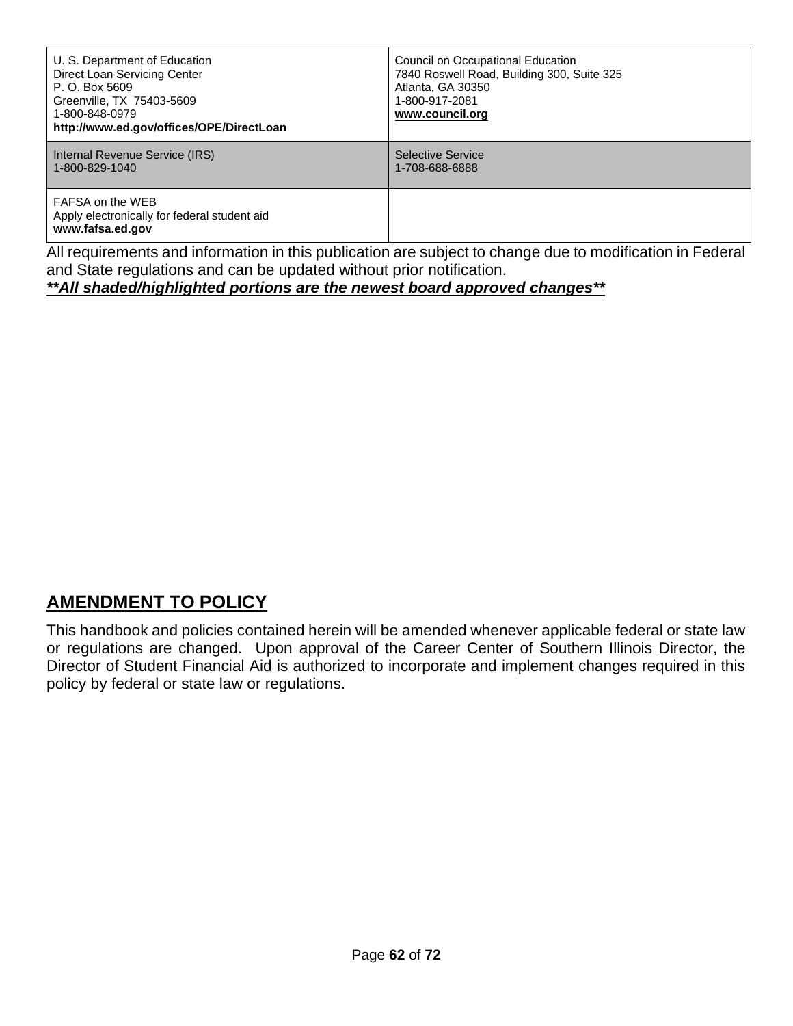| U. S. Department of Education<br>Direct Loan Servicing Center<br>P. O. Box 5609<br>Greenville, TX 75403-5609<br>1-800-848-0979<br>http://www.ed.gov/offices/OPE/DirectLoan | Council on Occupational Education<br>7840 Roswell Road, Building 300, Suite 325<br>Atlanta, GA 30350<br>1-800-917-2081<br>www.council.org |
|----------------------------------------------------------------------------------------------------------------------------------------------------------------------------|-------------------------------------------------------------------------------------------------------------------------------------------|
| Internal Revenue Service (IRS)<br>1-800-829-1040                                                                                                                           | Selective Service<br>1-708-688-6888                                                                                                       |
| FAFSA on the WEB<br>Apply electronically for federal student aid<br>www.fafsa.ed.gov                                                                                       |                                                                                                                                           |

All requirements and information in this publication are subject to change due to modification in Federal and State regulations and can be updated without prior notification.

*\*\*All shaded/highlighted portions are the newest board approved changes\*\**

## **AMENDMENT TO POLICY**

This handbook and policies contained herein will be amended whenever applicable federal or state law or regulations are changed. Upon approval of the Career Center of Southern Illinois Director, the Director of Student Financial Aid is authorized to incorporate and implement changes required in this policy by federal or state law or regulations.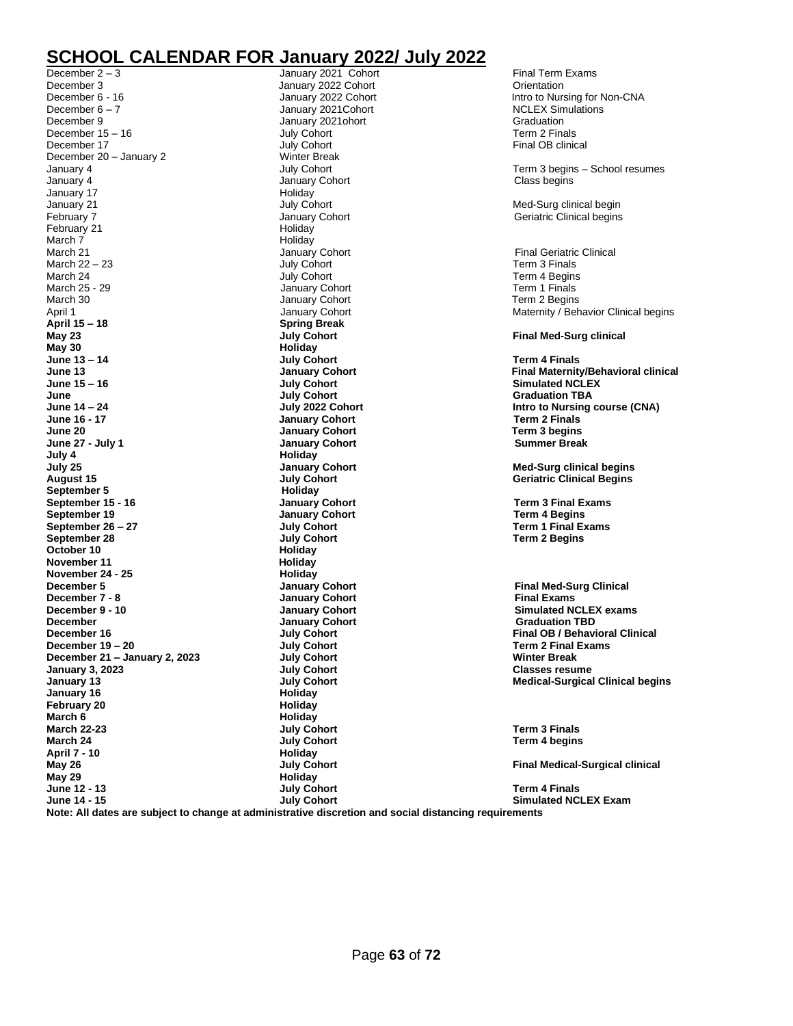## **SCHOOL CALENDAR FOR January 2022/ July 2022**

December 2 – 3 **January 2021 Cohort Final Term Exams** Final Term Exams December 3 **December 3** January 2022 Cohort **Constantion** December 6 - 16 **December 6 - 16** January 2022 Cohort **Intro to Nursing for Non-CNA**<br>December 6 - 7 January 2021 Cohort **International Studies** Simulations December 9 **January 2021ohort** Graduation Graduation December 15 – 16 July Cohort Term 2 Finals December 17 **December 17** July Cohort **Final OB clinical**<br>December 20 - January 2 **Minter Break** Winter Break December 20 – January 2 Winter Break University 4 University 4 University 2 University 2 University 2 University 2 University 2 University 2 University 2 University 2 University 2 University 2 University 2 University 2 Uni January 4 July Cohort Term 3 begins – School resumes January 4 **January Cohort** Class begins January Cohort Class begins Class begins<br>January 17 January 17 Holiday January 21 **July Cohort** Med-Surg clinical begin and the Unit Clinical Degine and Med-Surg clinical begins and D<br>
January Cohort Clinical begins and Degine and Degine and Degine and Degine Degine and Degine and Degine Degi February 21 **Holiday** March 7 Holiday March 21 **March 21 March 21** January Cohort **Final Geriatric Clinical**<br>March 22 – 23 **Final Geriatric Clinical** July Cohort **Final Geriatric Clinical** March 25 – 23 Term 3 Finals March  $22 - 23$ March 24 **March 24 July Cohort Term 4 Begins March 24 Term 4 Begins March 25 - 29 Term 1 Finals** March 30 **March 30** January Cohort **Term 2 Begins**<br>April 1 **January Cohort** Cohort Maternity / Beh **April 15 – 18 Spring Break May 30 Holiday June 13 – 14 July Cohort Term 4 Finals June July Cohort Graduation TBA June 14 – 24 July 2022 Cohort Intro to Nursing course (CNA) June 20 January Cohort Term 3 begins June 27 - July 1 January Cohort Summer Break July 4 Holiday July 25 January Cohort Med-Surg clinical begins September 5 September 15 - 16 January Cohort Term 3 Final Exams September 19 19**<br> **September 26 – 27 July Cohort September 26 – 27 July Cohort Term 1 Final Exams October 10 Holiday November 11 November 24 - 25 Holiday**<br> **December 5 Holiday**<br> **Constant American**<br> **Constant America December 5 Constanting Constanting Cohort Final Med-Surg Clinical Properties Account Constanting Constanting Constanting Constanting Constanting Constanting Constanting Constanting Constanting Constanting Constanting December 7 - 8 Consumer Search Advisors Search Advisors Search Advisors Search Advisors Search Advisors Search Advisors Search Advisors Search Advisors Search Advisors Search Advisors Search Advisors Search Advisors Sea December Consumerable Consumers Consumers Consumers Consumers Consumers Consumers Consumers Consumers Consumers Consumers Consumers Consumers Consumers Consumers Consumers Consumers Consumers Consumers Consumers Consume December 19 – 20 July Cohort Term 2 Final Exams December 21 – January 2, 2023 July Cohort**<br> **July Cohort January 3, 2023 January 3, 2023 July Cohort Classes resume January 13 July Cohort Medical-Surgical Clinical begins January 16 Holiday February 20 March 6 Holiday March 22-23 July Cohort Term 3 Finals April 7 - 10 Holiday May 26 July Cohort Final Medical-Surgical clinical** May 29 **Holiday**<br> **May 29 Holiday**<br> **Holiday May 29 Holiday June 12 - 13 July Cohort Term 4 Finals**

January 2021Cohort January Cohort **January Cohort Term 2 Finals August 15 July Cohort Geriatric Clinical Begins September 28 July Cohort Term 2 Begins March 24 July Cohort Term 4 begins**

Geriatric Clinical begins

Maternity / Behavior Clinical begins

**May 23 July Cohort Final Med-Surg clinical**

**June 13 January Cohort Final Maternity/Behavioral clinical**  $Similarly,$  Simulated NCLEX

**December 10 January Cohort Simulated NCLEX exams December 16 July Cohort Final OB / Behavioral Clinical**

**June 14 - 15 July Cohort Simulated NCLEX Exam**

**Note: All dates are subject to change at administrative discretion and social distancing requirements**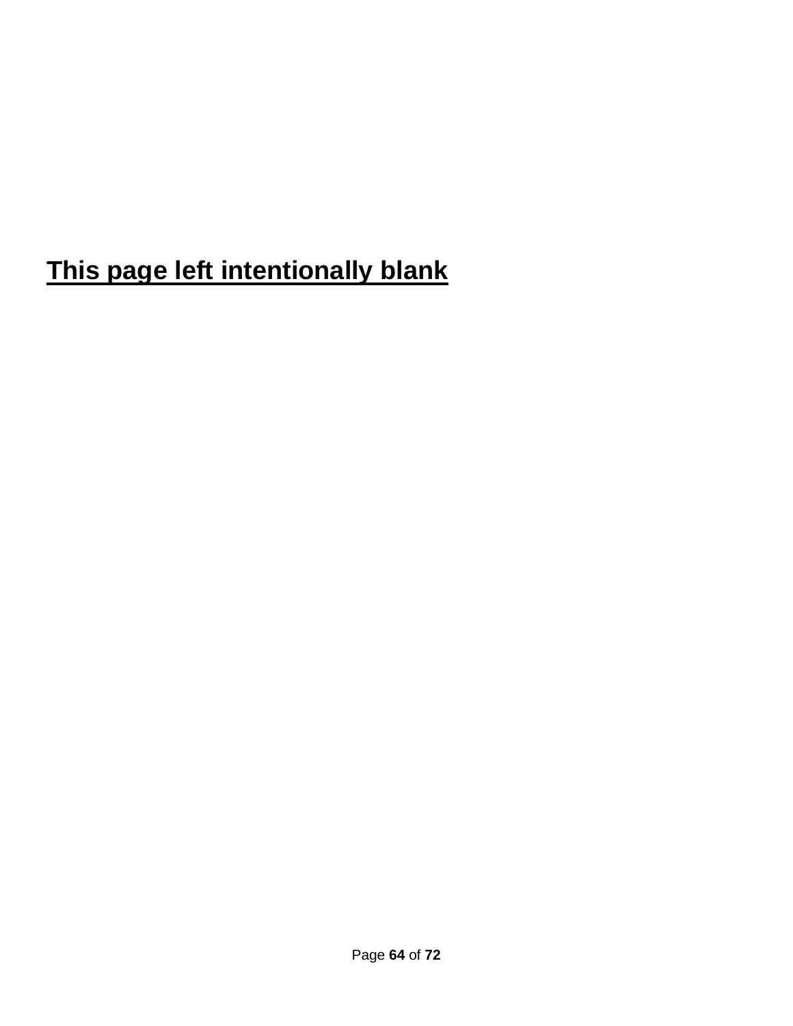# **This page left intentionally blank**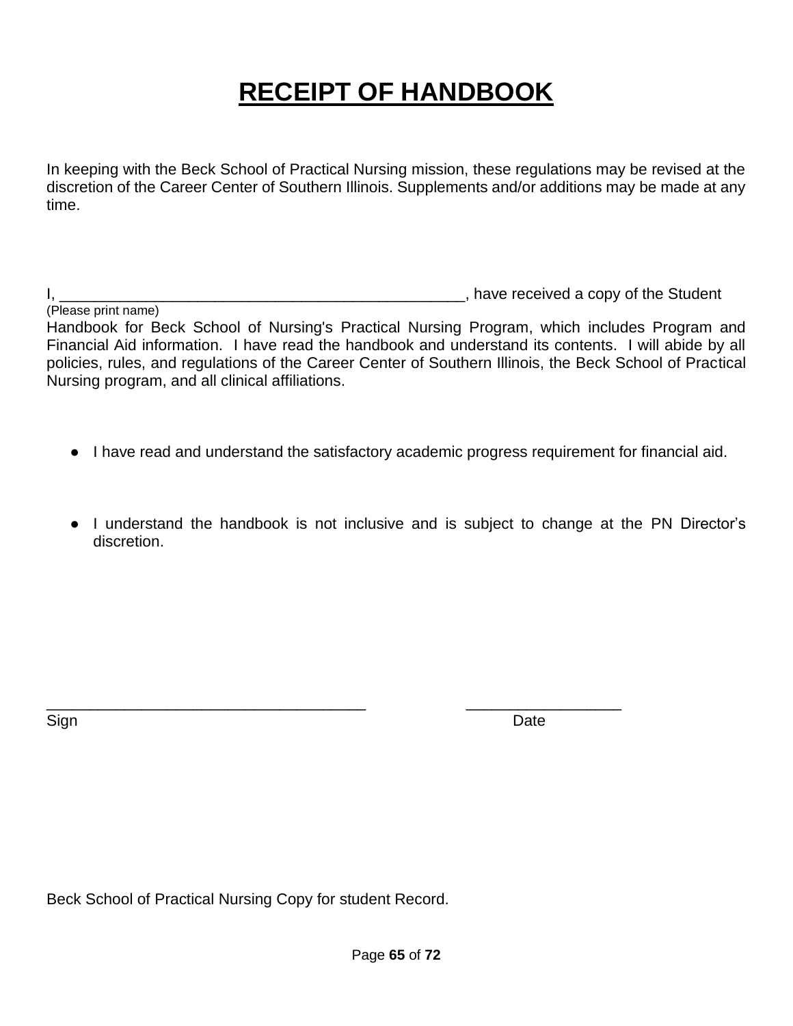# **RECEIPT OF HANDBOOK**

In keeping with the Beck School of Practical Nursing mission, these regulations may be revised at the discretion of the Career Center of Southern Illinois. Supplements and/or additions may be made at any time.

I, the student is a set of the Student in the Student student is a set of the Student in the Student in the Student

(Please print name) Handbook for Beck School of Nursing's Practical Nursing Program, which includes Program and Financial Aid information. I have read the handbook and understand its contents. I will abide by all policies, rules, and regulations of the Career Center of Southern Illinois, the Beck School of Practical Nursing program, and all clinical affiliations.

- I have read and understand the satisfactory academic progress requirement for financial aid.
- I understand the handbook is not inclusive and is subject to change at the PN Director's discretion.

\_\_\_\_\_\_\_\_\_\_\_\_\_\_\_\_\_\_\_\_\_\_\_\_\_\_\_\_\_\_\_\_\_\_\_\_\_ \_\_\_\_\_\_\_\_\_\_\_\_\_\_\_\_\_\_

Sign **Date** 

Beck School of Practical Nursing Copy for student Record.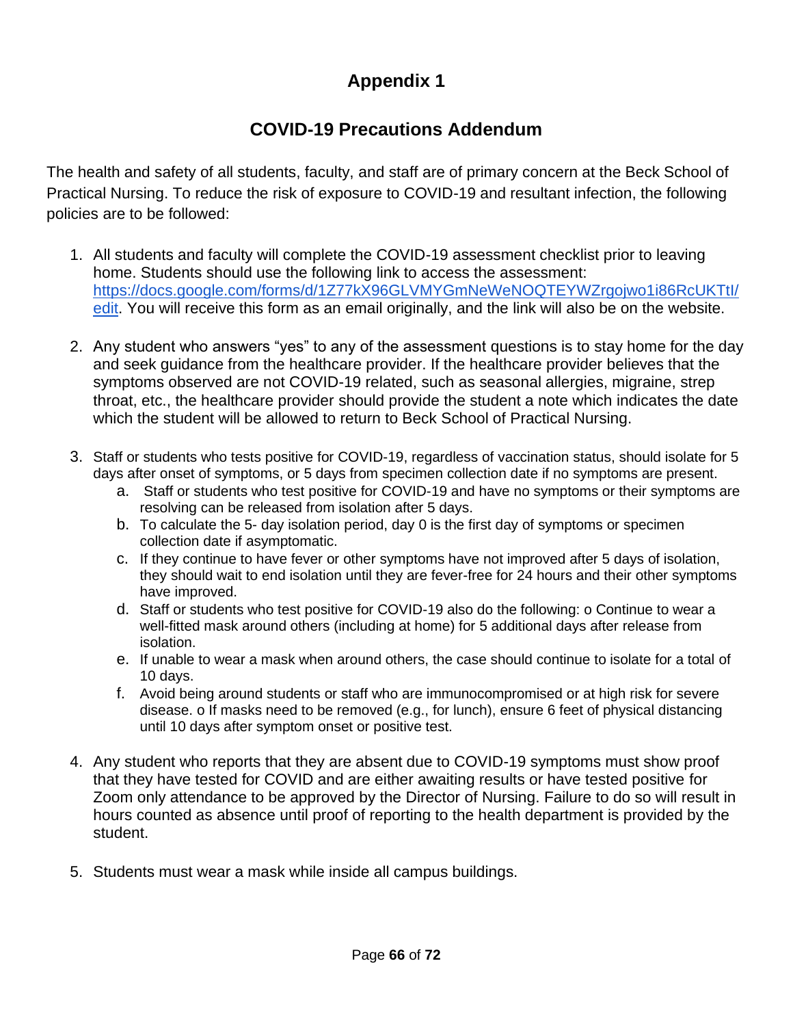## **Appendix 1**

## **COVID-19 Precautions Addendum**

The health and safety of all students, faculty, and staff are of primary concern at the Beck School of Practical Nursing. To reduce the risk of exposure to COVID-19 and resultant infection, the following policies are to be followed:

- 1. All students and faculty will complete the COVID-19 assessment checklist prior to leaving home. Students should use the following link to access the assessment: [https://docs.google.com/forms/d/1Z77kX96GLVMYGmNeWeNOQTEYWZrgojwo1i86RcUKTtI/](https://docs.google.com/forms/d/1Z77kX96GLVMYGmNeWeNOQTEYWZrgojwo1i86RcUKTtI/edit) [edit.](https://docs.google.com/forms/d/1Z77kX96GLVMYGmNeWeNOQTEYWZrgojwo1i86RcUKTtI/edit) You will receive this form as an email originally, and the link will also be on the website.
- 2. Any student who answers "yes" to any of the assessment questions is to stay home for the day and seek guidance from the healthcare provider. If the healthcare provider believes that the symptoms observed are not COVID-19 related, such as seasonal allergies, migraine, strep throat, etc., the healthcare provider should provide the student a note which indicates the date which the student will be allowed to return to Beck School of Practical Nursing.
- 3. Staff or students who tests positive for COVID-19, regardless of vaccination status, should isolate for 5 days after onset of symptoms, or 5 days from specimen collection date if no symptoms are present.
	- a. Staff or students who test positive for COVID-19 and have no symptoms or their symptoms are resolving can be released from isolation after 5 days.
	- b. To calculate the 5- day isolation period, day 0 is the first day of symptoms or specimen collection date if asymptomatic.
	- c. If they continue to have fever or other symptoms have not improved after 5 days of isolation, they should wait to end isolation until they are fever-free for 24 hours and their other symptoms have improved.
	- d. Staff or students who test positive for COVID-19 also do the following: o Continue to wear a well-fitted mask around others (including at home) for 5 additional days after release from isolation.
	- e. If unable to wear a mask when around others, the case should continue to isolate for a total of 10 days.
	- f. Avoid being around students or staff who are immunocompromised or at high risk for severe disease. o If masks need to be removed (e.g., for lunch), ensure 6 feet of physical distancing until 10 days after symptom onset or positive test.
- 4. Any student who reports that they are absent due to COVID-19 symptoms must show proof that they have tested for COVID and are either awaiting results or have tested positive for Zoom only attendance to be approved by the Director of Nursing. Failure to do so will result in hours counted as absence until proof of reporting to the health department is provided by the student.
- 5. Students must wear a mask while inside all campus buildings.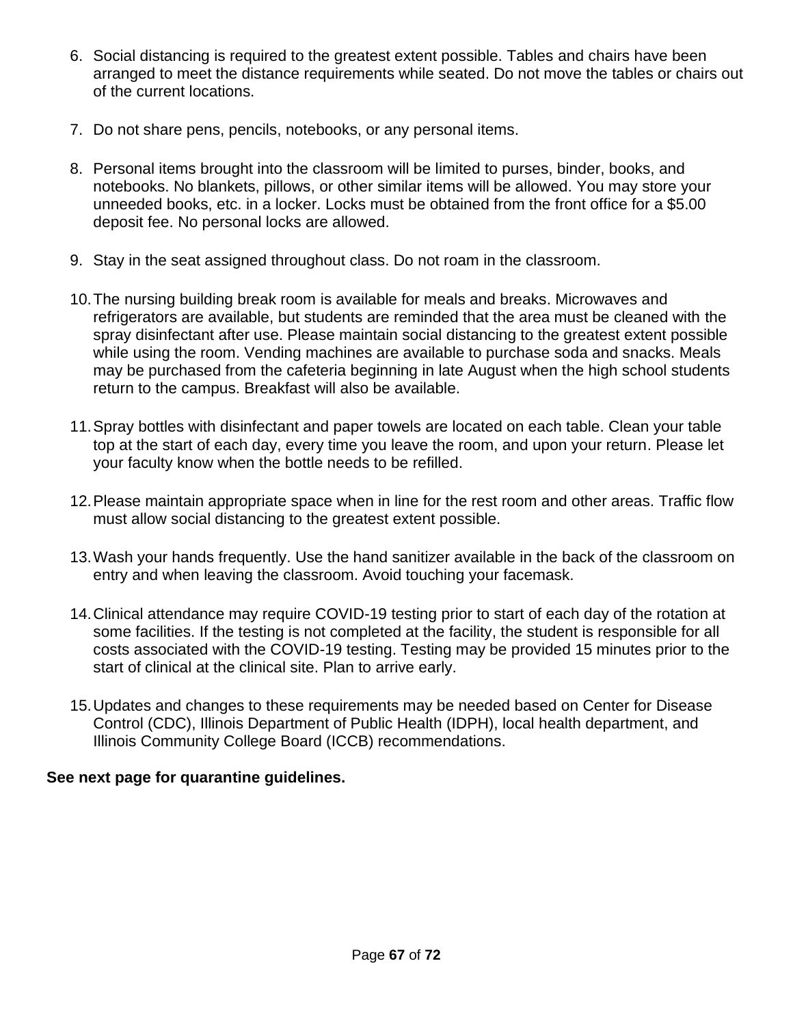- 6. Social distancing is required to the greatest extent possible. Tables and chairs have been arranged to meet the distance requirements while seated. Do not move the tables or chairs out of the current locations.
- 7. Do not share pens, pencils, notebooks, or any personal items.
- 8. Personal items brought into the classroom will be limited to purses, binder, books, and notebooks. No blankets, pillows, or other similar items will be allowed. You may store your unneeded books, etc. in a locker. Locks must be obtained from the front office for a \$5.00 deposit fee. No personal locks are allowed.
- 9. Stay in the seat assigned throughout class. Do not roam in the classroom.
- 10.The nursing building break room is available for meals and breaks. Microwaves and refrigerators are available, but students are reminded that the area must be cleaned with the spray disinfectant after use. Please maintain social distancing to the greatest extent possible while using the room. Vending machines are available to purchase soda and snacks. Meals may be purchased from the cafeteria beginning in late August when the high school students return to the campus. Breakfast will also be available.
- 11.Spray bottles with disinfectant and paper towels are located on each table. Clean your table top at the start of each day, every time you leave the room, and upon your return. Please let your faculty know when the bottle needs to be refilled.
- 12.Please maintain appropriate space when in line for the rest room and other areas. Traffic flow must allow social distancing to the greatest extent possible.
- 13.Wash your hands frequently. Use the hand sanitizer available in the back of the classroom on entry and when leaving the classroom. Avoid touching your facemask.
- 14.Clinical attendance may require COVID-19 testing prior to start of each day of the rotation at some facilities. If the testing is not completed at the facility, the student is responsible for all costs associated with the COVID-19 testing. Testing may be provided 15 minutes prior to the start of clinical at the clinical site. Plan to arrive early.
- 15.Updates and changes to these requirements may be needed based on Center for Disease Control (CDC), Illinois Department of Public Health (IDPH), local health department, and Illinois Community College Board (ICCB) recommendations.

#### **See next page for quarantine guidelines.**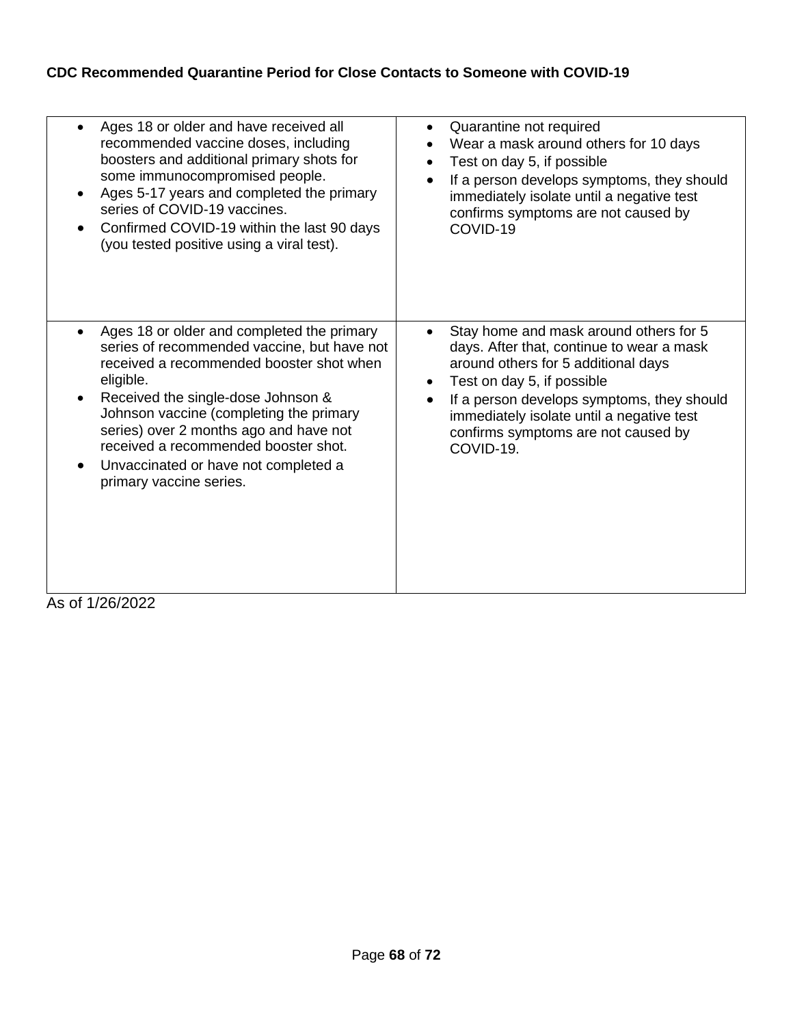#### **CDC Recommended Quarantine Period for Close Contacts to Someone with COVID-19**

| Ages 18 or older and have received all<br>$\bullet$<br>recommended vaccine doses, including<br>boosters and additional primary shots for<br>some immunocompromised people.<br>Ages 5-17 years and completed the primary<br>$\bullet$<br>series of COVID-19 vaccines.<br>Confirmed COVID-19 within the last 90 days<br>$\bullet$<br>(you tested positive using a viral test).                                                                        | Quarantine not required<br>$\bullet$<br>Wear a mask around others for 10 days<br>Test on day 5, if possible<br>$\bullet$<br>If a person develops symptoms, they should<br>$\bullet$<br>immediately isolate until a negative test<br>confirms symptoms are not caused by<br>COVID-19                                                            |
|-----------------------------------------------------------------------------------------------------------------------------------------------------------------------------------------------------------------------------------------------------------------------------------------------------------------------------------------------------------------------------------------------------------------------------------------------------|------------------------------------------------------------------------------------------------------------------------------------------------------------------------------------------------------------------------------------------------------------------------------------------------------------------------------------------------|
| Ages 18 or older and completed the primary<br>$\bullet$<br>series of recommended vaccine, but have not<br>received a recommended booster shot when<br>eligible.<br>Received the single-dose Johnson &<br>$\bullet$<br>Johnson vaccine (completing the primary<br>series) over 2 months ago and have not<br>received a recommended booster shot.<br>Unvaccinated or have not completed a<br>$\bullet$<br>primary vaccine series.<br>$c$ of 1/26/2022 | Stay home and mask around others for 5<br>$\bullet$<br>days. After that, continue to wear a mask<br>around others for 5 additional days<br>Test on day 5, if possible<br>$\bullet$<br>If a person develops symptoms, they should<br>$\bullet$<br>immediately isolate until a negative test<br>confirms symptoms are not caused by<br>COVID-19. |

As of 1/26/2022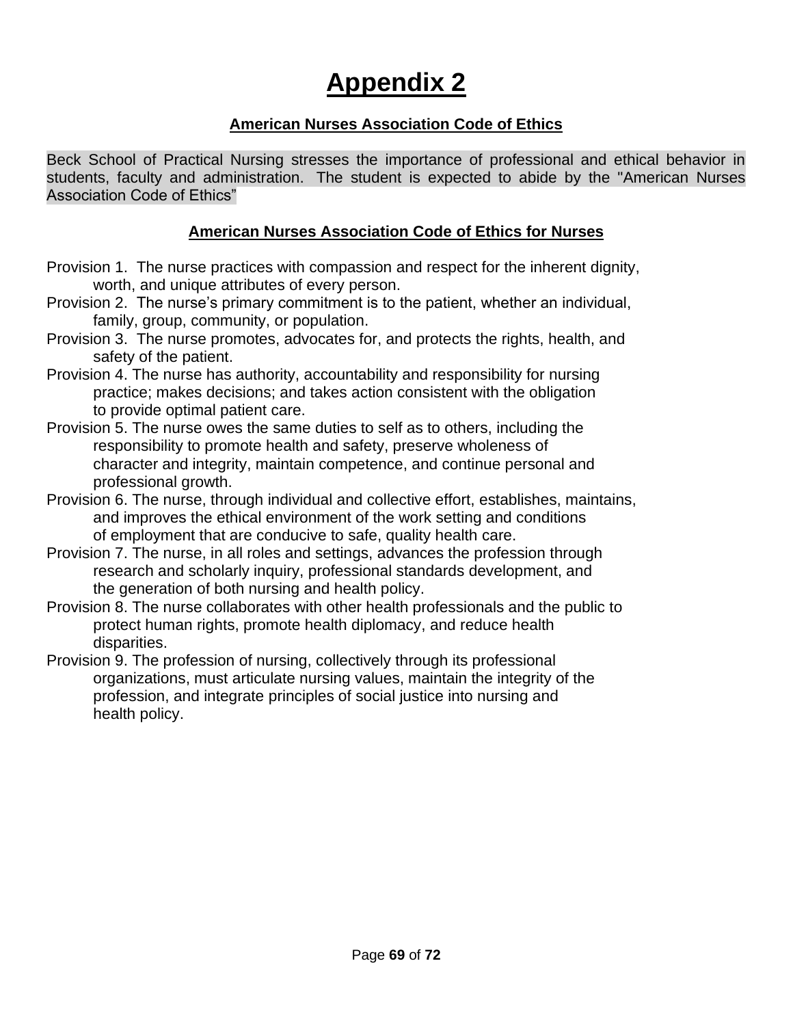# **Appendix 2**

#### **American Nurses Association Code of Ethics**

Beck School of Practical Nursing stresses the importance of professional and ethical behavior in students, faculty and administration. The student is expected to abide by the "American Nurses Association Code of Ethics"

#### **American Nurses Association Code of Ethics for Nurses**

- Provision 1. The nurse practices with compassion and respect for the inherent dignity, worth, and unique attributes of every person.
- Provision 2. The nurse's primary commitment is to the patient, whether an individual, family, group, community, or population.
- Provision 3. The nurse promotes, advocates for, and protects the rights, health, and safety of the patient.
- Provision 4. The nurse has authority, accountability and responsibility for nursing practice; makes decisions; and takes action consistent with the obligation to provide optimal patient care.
- Provision 5. The nurse owes the same duties to self as to others, including the responsibility to promote health and safety, preserve wholeness of character and integrity, maintain competence, and continue personal and professional growth.
- Provision 6. The nurse, through individual and collective effort, establishes, maintains, and improves the ethical environment of the work setting and conditions of employment that are conducive to safe, quality health care.
- Provision 7. The nurse, in all roles and settings, advances the profession through research and scholarly inquiry, professional standards development, and the generation of both nursing and health policy.
- Provision 8. The nurse collaborates with other health professionals and the public to protect human rights, promote health diplomacy, and reduce health disparities.
- Provision 9. The profession of nursing, collectively through its professional organizations, must articulate nursing values, maintain the integrity of the profession, and integrate principles of social justice into nursing and health policy.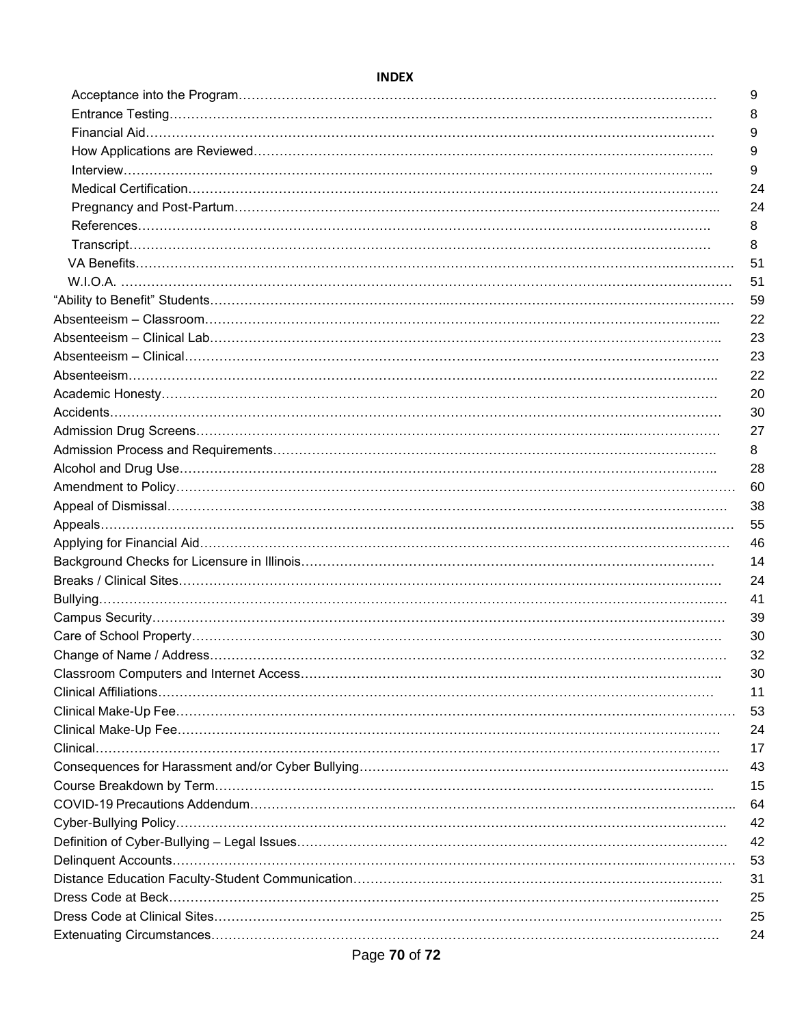#### **INDEX**

| 9  |
|----|
| 8  |
| 9  |
| 9  |
| 9  |
| 24 |
| 24 |
| 8  |
| 8  |
| 51 |
| 51 |
| 59 |
| 22 |
| 23 |
| 23 |
| 22 |
| 20 |
| 30 |
| 27 |
| 8  |
| 28 |
| 60 |
| 38 |
| 55 |
| 46 |
| 14 |
| 24 |
| 41 |
| 39 |
| 30 |
| 32 |
| 30 |
| 11 |
| 53 |
| 24 |
| 17 |
| 43 |
| 15 |
| 64 |
| 42 |
| 42 |
| 53 |
| 31 |
| 25 |
| 25 |
| 24 |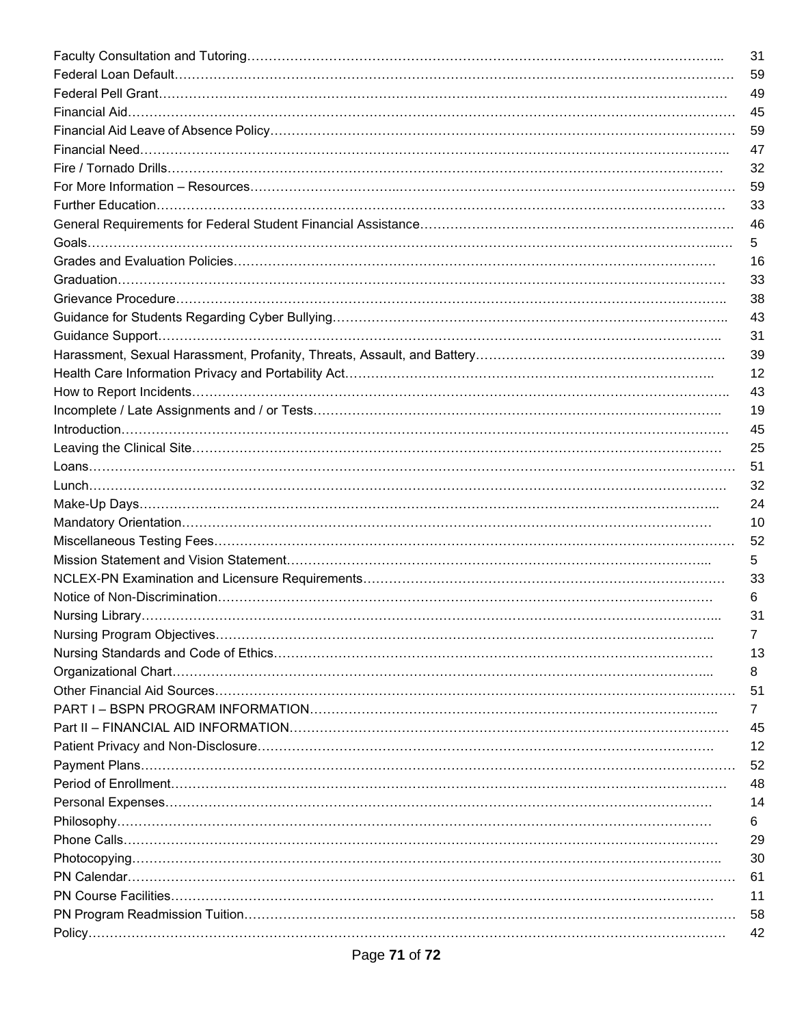| 31             |
|----------------|
| 59             |
| 49             |
| 45             |
| 59             |
| 47             |
| 32             |
| 59             |
| 33             |
| 46             |
| 5              |
| 16             |
| 33             |
| 38             |
| 43             |
| 31             |
| 39             |
| 12             |
| 43             |
| 19             |
|                |
| 45             |
| 25             |
| 51             |
| 32             |
| 24             |
| 10             |
| 52             |
| 5              |
| 33             |
| 6              |
| 31             |
| 7              |
| 13             |
| 8              |
| 51             |
| $\overline{7}$ |
| 45             |
| 12             |
| 52             |
| 48             |
| 14             |
| 6              |
| 29             |
| 30             |
| 61             |
| 11             |
| 58             |
| 42             |
|                |